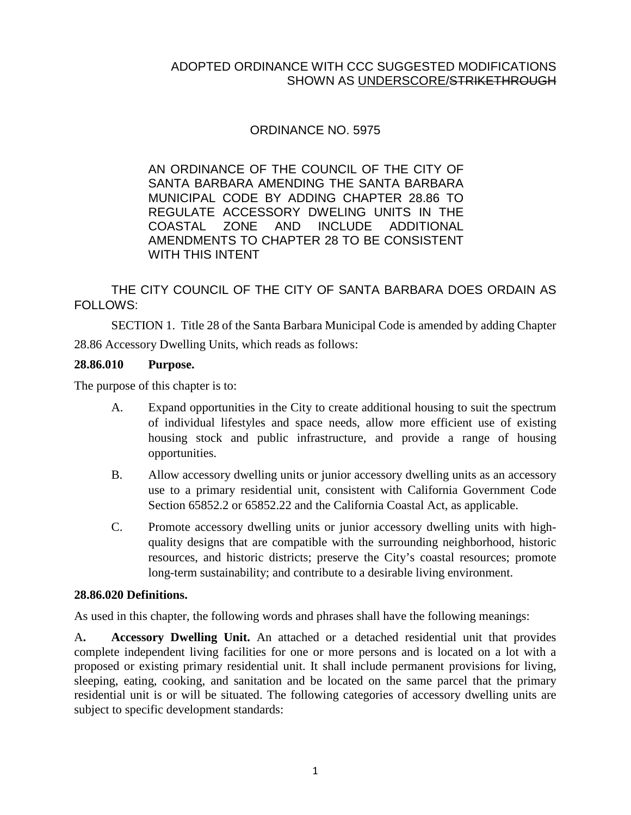# ORDINANCE NO. 5975

AN ORDINANCE OF THE COUNCIL OF THE CITY OF SANTA BARBARA AMENDING THE SANTA BARBARA MUNICIPAL CODE BY ADDING CHAPTER 28.86 TO REGULATE ACCESSORY DWELING UNITS IN THE COASTAL ZONE AND INCLUDE ADDITIONAL AMENDMENTS TO CHAPTER 28 TO BE CONSISTENT WITH THIS INTENT

THE CITY COUNCIL OF THE CITY OF SANTA BARBARA DOES ORDAIN AS FOLLOWS:

SECTION 1. Title 28 of the Santa Barbara Municipal Code is amended by adding Chapter 28.86 Accessory Dwelling Units, which reads as follows:

#### **28.86.010 Purpose.**

The purpose of this chapter is to:

- A. Expand opportunities in the City to create additional housing to suit the spectrum of individual lifestyles and space needs, allow more efficient use of existing housing stock and public infrastructure, and provide a range of housing opportunities.
- B. Allow accessory dwelling units or junior accessory dwelling units as an accessory use to a primary residential unit, consistent with California [Government](http://qcode.us/codes/othercode.php?state=ca&code=gov) Code Section 65852.2 or 65852.22 and the California Coastal Act, as applicable.
- C. Promote accessory dwelling units or junior accessory dwelling units with highquality designs that are compatible with the surrounding neighborhood, historic resources, and historic districts; preserve the City's coastal resources; promote long-term sustainability; and contribute to a desirable living environment.

#### **28.86.020 Definitions.**

As used in this chapter, the following words and phrases shall have the following meanings:

A**. Accessory Dwelling Unit.** An attached or a detached residential unit that provides complete independent living facilities for one or more persons and is located on a lot with a proposed or existing primary residential unit. It shall include permanent provisions for living, sleeping, eating, cooking, and sanitation and be located on the same parcel that the primary residential unit is or will be situated. The following categories of accessory dwelling units are subject to specific development standards: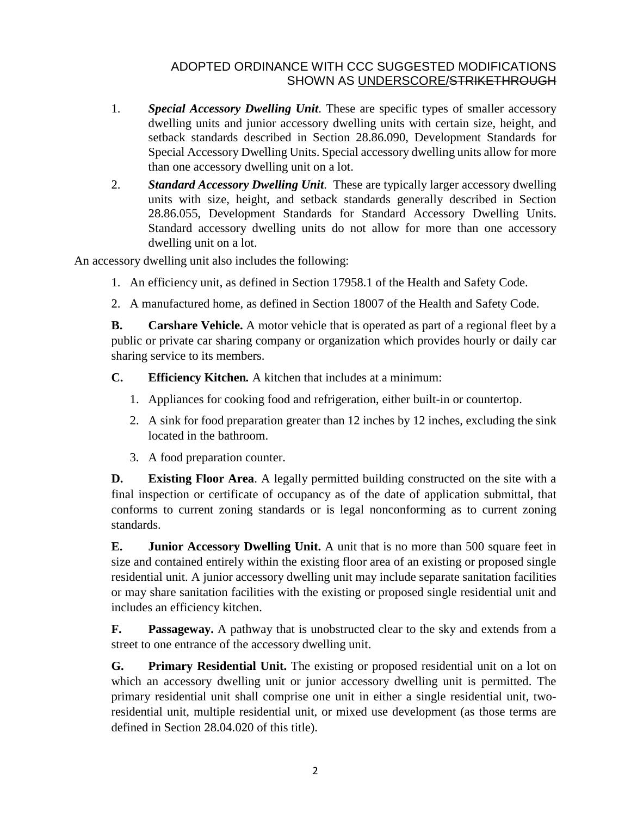- 1. *Special Accessory Dwelling Unit*. These are specific types of smaller accessory dwelling units and junior accessory dwelling units with certain size, height, and setback standards described in Section 28.86.090, Development Standards for Special Accessory Dwelling Units. Special accessory dwelling units allow for more than one accessory dwelling unit on a lot.
- 2. *Standard Accessory Dwelling Unit*. These are typically larger accessory dwelling units with size, height, and setback standards generally described in Section 28.86.055, Development Standards for Standard Accessory Dwelling Units. Standard accessory dwelling units do not allow for more than one accessory dwelling unit on a lot.

An accessory dwelling unit also includes the following:

- 1. An efficiency unit, as defined in Section 17958.1 of the [Health](http://qcode.us/codes/othercode.php?state=ca&code=heasaf) and Safety Code.
- 2. A manufactured home, as defined in Section 18007 of the [Health](http://qcode.us/codes/othercode.php?state=ca&code=heasaf) and Safety Code.

**B. Carshare Vehicle.** A motor vehicle that is operated as part of a regional fleet by a public or private car sharing company or organization which provides hourly or daily car sharing service to its members.

- **C. Efficiency Kitchen***.* A kitchen that includes at a minimum:
	- 1. Appliances for cooking food and refrigeration, either built-in or countertop.
	- 2. A sink for food preparation greater than 12 inches by 12 inches, excluding the sink located in the bathroom.
	- 3. A food preparation counter.

**D. Existing Floor Area**. A legally permitted building constructed on the site with a final inspection or certificate of occupancy as of the date of application submittal, that conforms to current zoning standards or is legal nonconforming as to current zoning standards.

**E. Junior Accessory Dwelling Unit.** A unit that is no more than 500 square feet in size and contained entirely within the existing floor area of an existing or proposed single residential unit. A junior accessory dwelling unit may include separate sanitation facilities or may share sanitation facilities with the existing or proposed single residential unit and includes an efficiency kitchen.

**F. Passageway.** A pathway that is unobstructed clear to the sky and extends from a street to one entrance of the accessory dwelling unit.

**G. Primary Residential Unit.** The existing or proposed residential unit on a lot on which an accessory dwelling unit or junior accessory dwelling unit is permitted. The primary residential unit shall comprise one unit in either a single residential unit, tworesidential unit, multiple residential unit, or mixed use development (as those terms are defined in Section 28.04.020 of this title).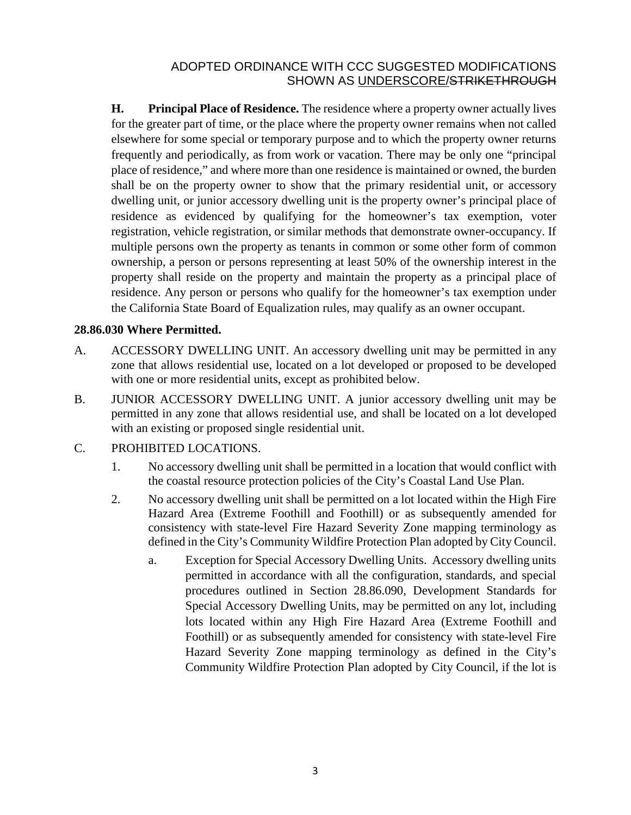**H. Principal Place of Residence.** The residence where a property owner actually lives for the greater part of time, or the place where the property owner remains when not called elsewhere for some special or temporary purpose and to which the property owner returns frequently and periodically, as from work or vacation. There may be only one "principal place of residence," and where more than one residence is maintained or owned, the burden shall be on the property owner to show that the primary residential unit, or accessory dwelling unit, or junior accessory dwelling unit is the property owner's principal place of residence as evidenced by qualifying for the homeowner's tax exemption, voter registration, vehicle registration, or similar methods that demonstrate owner-occupancy. If multiple persons own the property as tenants in common or some other form of common ownership, a person or persons representing at least 50% of the ownership interest in the property shall reside on the property and maintain the property as a principal place of residence. Any person or persons who qualify for the homeowner's tax exemption under the California State Board of Equalization rules, may qualify as an owner occupant.

#### **28.86.030 Where Permitted.**

- A. ACCESSORY DWELLING UNIT. An accessory dwelling unit may be permitted in any zone that allows residential use, located on a lot developed or proposed to be developed with one or more residential units, except as prohibited below.
- B. JUNIOR ACCESSORY DWELLING UNIT. A junior accessory dwelling unit may be permitted in any zone that allows residential use, and shall be located on a lot developed with an existing or proposed single residential unit.

#### C. PROHIBITED LOCATIONS.

- 1. No accessory dwelling unit shall be permitted in a location that would conflict with the coastal resource protection policies of the City's Coastal Land Use Plan.
- 2. No accessory dwelling unit shall be permitted on a lot located within the High Fire Hazard Area (Extreme Foothill and Foothill) or as subsequently amended for consistency with state-level Fire Hazard Severity Zone mapping terminology as defined in the City's Community Wildfire Protection Plan adopted by City Council.
	- a. Exception for Special Accessory Dwelling Units. Accessory dwelling units permitted in accordance with all the configuration, standards, and special procedures outlined in Section 28.86.090, Development Standards for Special Accessory Dwelling Units, may be permitted on any lot, including lots located within any High Fire Hazard Area (Extreme Foothill and Foothill) or as subsequently amended for consistency with state-level Fire Hazard Severity Zone mapping terminology as defined in the City's Community Wildfire Protection Plan adopted by City Council, if the lot is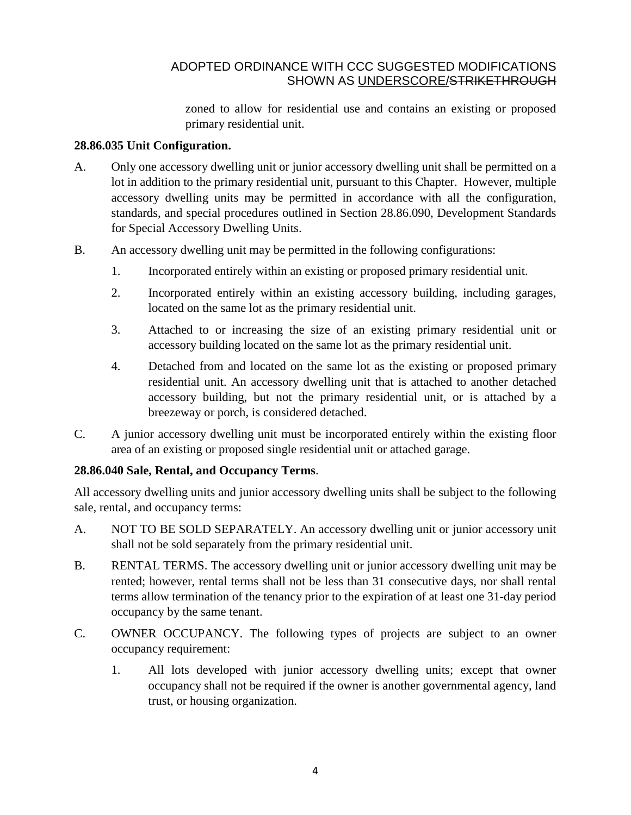zoned to allow for residential use and contains an existing or proposed primary residential unit.

#### **28.86.035 Unit Configuration.**

- A. Only one accessory dwelling unit or junior accessory dwelling unit shall be permitted on a lot in addition to the primary residential unit, pursuant to this Chapter. However, multiple accessory dwelling units may be permitted in accordance with all the configuration, standards, and special procedures outlined in Section 28.86.090, Development Standards for Special Accessory Dwelling Units.
- B. An accessory dwelling unit may be permitted in the following configurations:
	- 1. Incorporated entirely within an existing or proposed primary residential unit.
	- 2. Incorporated entirely within an existing accessory building, including garages, located on the same lot as the primary residential unit.
	- 3. Attached to or increasing the size of an existing primary residential unit or accessory building located on the same lot as the primary residential unit.
	- 4. Detached from and located on the same lot as the existing or proposed primary residential unit. An accessory dwelling unit that is attached to another detached accessory building, but not the primary residential unit, or is attached by a breezeway or porch, is considered detached.
- C. A junior accessory dwelling unit must be incorporated entirely within the existing floor area of an existing or proposed single residential unit or attached garage.

## **28.86.040 Sale, Rental, and Occupancy Terms**.

All accessory dwelling units and junior accessory dwelling units shall be subject to the following sale, rental, and occupancy terms:

- A. NOT TO BE SOLD SEPARATELY. An accessory dwelling unit or junior accessory unit shall not be sold separately from the primary residential unit.
- B. RENTAL TERMS. The accessory dwelling unit or junior accessory dwelling unit may be rented; however, rental terms shall not be less than 31 consecutive days, nor shall rental terms allow termination of the tenancy prior to the expiration of at least one 31-day period occupancy by the same tenant.
- C. OWNER OCCUPANCY. The following types of projects are subject to an owner occupancy requirement:
	- 1. All lots developed with junior accessory dwelling units; except that owner occupancy shall not be required if the owner is another governmental agency, land trust, or housing organization.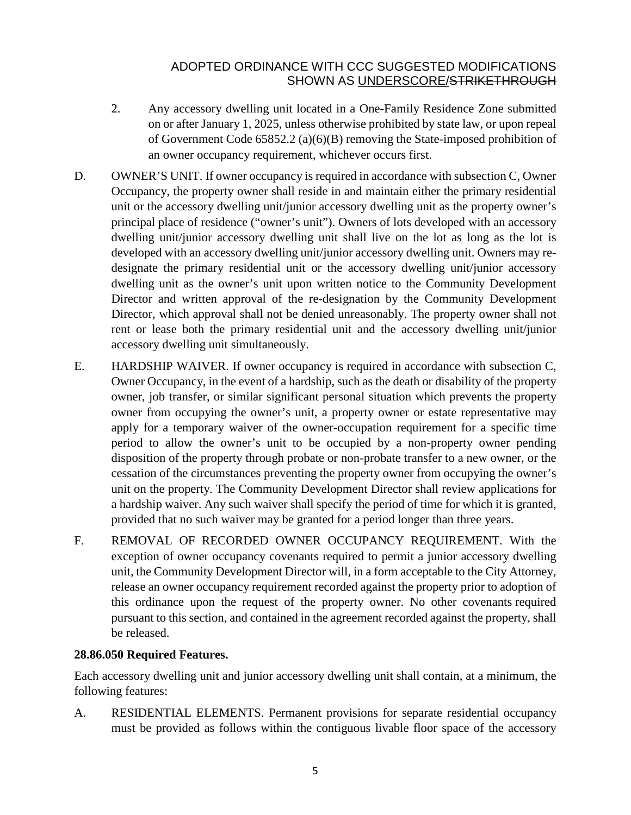- 2. Any accessory dwelling unit located in a One-Family Residence Zone submitted on or after January 1, 2025, unless otherwise prohibited by state law, or upon repeal of Government Code 65852.2 (a)(6)(B) removing the State-imposed prohibition of an owner occupancy requirement, whichever occurs first.
- D. OWNER'S UNIT. If owner occupancy is required in accordance with subsection C, Owner Occupancy, the property owner shall reside in and maintain either the primary residential unit or the accessory dwelling unit/junior accessory dwelling unit as the property owner's principal place of residence ("owner's unit"). Owners of lots developed with an accessory dwelling unit/junior accessory dwelling unit shall live on the lot as long as the lot is developed with an accessory dwelling unit/junior accessory dwelling unit. Owners may redesignate the primary residential unit or the accessory dwelling unit/junior accessory dwelling unit as the owner's unit upon written notice to the Community Development Director and written approval of the re-designation by the Community Development Director, which approval shall not be denied unreasonably. The property owner shall not rent or lease both the primary residential unit and the accessory dwelling unit/junior accessory dwelling unit simultaneously.
- E. HARDSHIP WAIVER. If owner occupancy is required in accordance with subsection C, Owner Occupancy, in the event of a hardship, such as the death or disability of the property owner, job transfer, or similar significant personal situation which prevents the property owner from occupying the owner's unit, a property owner or estate representative may apply for a temporary waiver of the owner-occupation requirement for a specific time period to allow the owner's unit to be occupied by a non-property owner pending disposition of the property through probate or non-probate transfer to a new owner, or the cessation of the circumstances preventing the property owner from occupying the owner's unit on the property. The Community Development Director shall review applications for a hardship waiver. Any such waiver shall specify the period of time for which it is granted, provided that no such waiver may be granted for a period longer than three years.
- F. REMOVAL OF RECORDED OWNER OCCUPANCY REQUIREMENT. With the exception of owner occupancy covenants required to permit a junior accessory dwelling unit, the Community Development Director will, in a form acceptable to the City Attorney, release an owner occupancy requirement recorded against the property prior to adoption of this ordinance upon the request of the property owner. No other covenants required pursuant to this section, and contained in the agreement recorded against the property, shall be released.

## **28.86.050 Required Features.**

Each accessory dwelling unit and junior accessory dwelling unit shall contain, at a minimum, the following features:

A. RESIDENTIAL ELEMENTS. Permanent provisions for separate residential occupancy must be provided as follows within the contiguous livable floor space of the accessory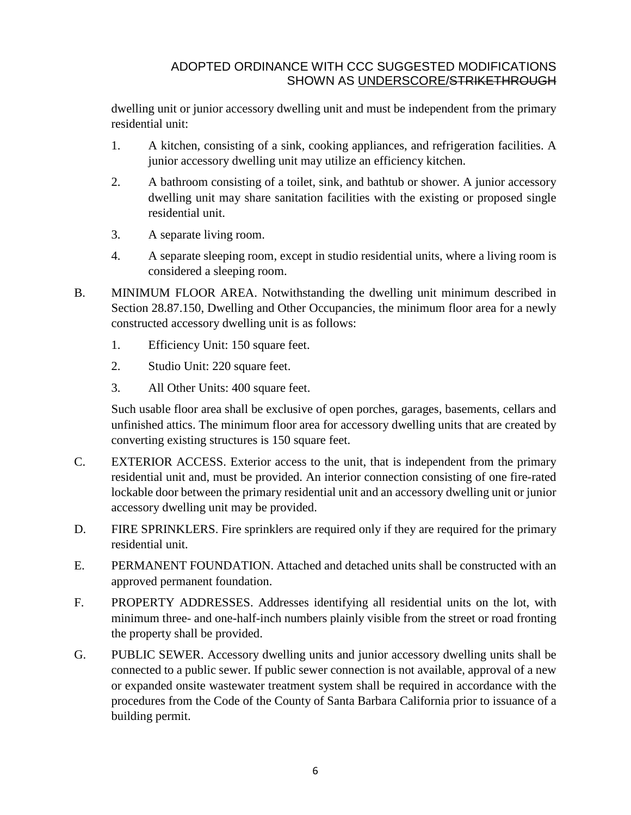dwelling unit or junior accessory dwelling unit and must be independent from the primary residential unit:

- 1. A kitchen, consisting of a sink, cooking appliances, and refrigeration facilities. A junior accessory dwelling unit may utilize an efficiency kitchen.
- 2. A bathroom consisting of a toilet, sink, and bathtub or shower. A junior accessory dwelling unit may share sanitation facilities with the existing or proposed single residential unit.
- 3. A separate living room.
- 4. A separate sleeping room, except in studio residential units, where a living room is considered a sleeping room.
- B. MINIMUM FLOOR AREA. Notwithstanding the dwelling unit minimum described in Section 28.87.150, Dwelling and Other Occupancies, the minimum floor area for a newly constructed accessory dwelling unit is as follows:
	- 1. Efficiency Unit: 150 square feet.
	- 2. Studio Unit: 220 square feet.
	- 3. All Other Units: 400 square feet.

Such usable floor area shall be exclusive of open porches, garages, basements, cellars and unfinished attics. The minimum floor area for accessory dwelling units that are created by converting existing structures is 150 square feet.

- C. EXTERIOR ACCESS. Exterior access to the unit, that is independent from the primary residential unit and, must be provided. An interior connection consisting of one fire-rated lockable door between the primary residential unit and an accessory dwelling unit or junior accessory dwelling unit may be provided.
- D. FIRE SPRINKLERS. Fire sprinklers are required only if they are required for the primary residential unit.
- E. PERMANENT FOUNDATION. Attached and detached units shall be constructed with an approved permanent foundation.
- F. PROPERTY ADDRESSES. Addresses identifying all residential units on the lot, with minimum three- and one-half-inch numbers plainly visible from the street or road fronting the property shall be provided.
- G. PUBLIC SEWER. Accessory dwelling units and junior accessory dwelling units shall be connected to a public sewer. If public sewer connection is not available, approval of a new or expanded onsite wastewater treatment system shall be required in accordance with the procedures from the Code of the County of Santa Barbara California prior to issuance of a building permit.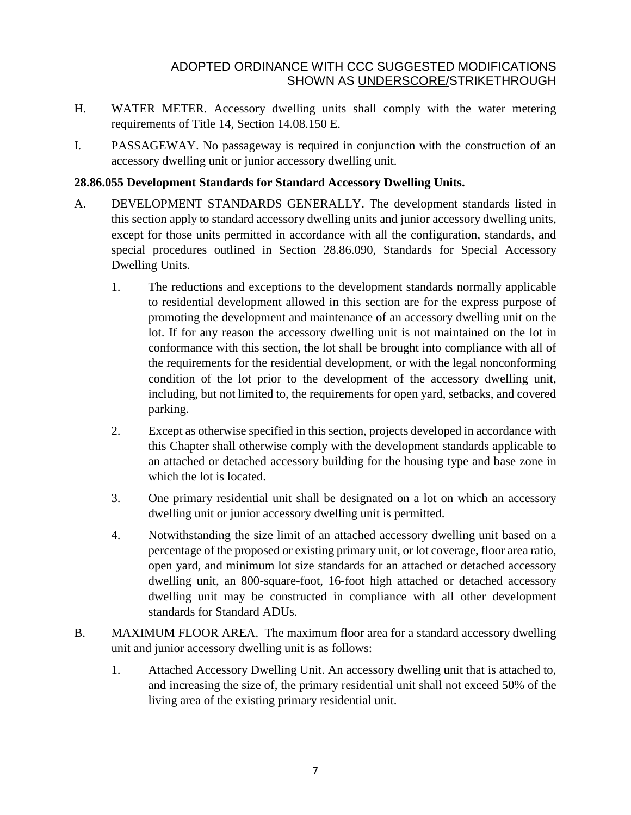- H. WATER METER. Accessory dwelling units shall comply with the water metering requirements of Title 14, Section 14.08.150 E.
- I. PASSAGEWAY. No passageway is required in conjunction with the construction of an accessory dwelling unit or junior accessory dwelling unit.

## **28.86.055 Development Standards for Standard Accessory Dwelling Units.**

- A. DEVELOPMENT STANDARDS GENERALLY. The development standards listed in this section apply to standard accessory dwelling units and junior accessory dwelling units, except for those units permitted in accordance with all the configuration, standards, and special procedures outlined in Section 28.86.090, Standards for Special Accessory Dwelling Units.
	- 1. The reductions and exceptions to the development standards normally applicable to residential development allowed in this section are for the express purpose of promoting the development and maintenance of an accessory dwelling unit on the lot. If for any reason the accessory dwelling unit is not maintained on the lot in conformance with this section, the lot shall be brought into compliance with all of the requirements for the residential development, or with the legal nonconforming condition of the lot prior to the development of the accessory dwelling unit, including, but not limited to, the requirements for open yard, setbacks, and covered parking.
	- 2. Except as otherwise specified in this section, projects developed in accordance with this Chapter shall otherwise comply with the development standards applicable to an attached or detached accessory building for the housing type and base zone in which the lot is located.
	- 3. One primary residential unit shall be designated on a lot on which an accessory dwelling unit or junior accessory dwelling unit is permitted.
	- 4. Notwithstanding the size limit of an attached accessory dwelling unit based on a percentage of the proposed or existing primary unit, or lot coverage, floor area ratio, open yard, and minimum lot size standards for an attached or detached accessory dwelling unit, an 800-square-foot, 16-foot high attached or detached accessory dwelling unit may be constructed in compliance with all other development standards for Standard ADUs.
- B. MAXIMUM FLOOR AREA. The maximum floor area for a standard accessory dwelling unit and junior accessory dwelling unit is as follows:
	- 1. Attached Accessory Dwelling Unit. An accessory dwelling unit that is attached to, and increasing the size of, the primary residential unit shall not exceed 50% of the living area of the existing primary residential unit.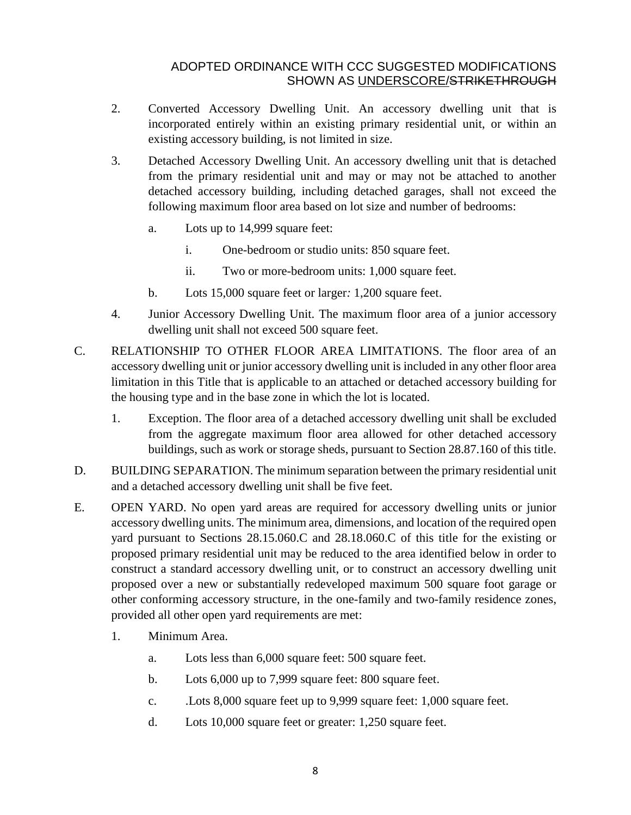- 2. Converted Accessory Dwelling Unit. An accessory dwelling unit that is incorporated entirely within an existing primary residential unit, or within an existing accessory building, is not limited in size.
- 3. Detached Accessory Dwelling Unit. An accessory dwelling unit that is detached from the primary residential unit and may or may not be attached to another detached accessory building, including detached garages, shall not exceed the following maximum floor area based on lot size and number of bedrooms:
	- a. Lots up to 14,999 square feet:
		- i. One-bedroom or studio units: 850 square feet.
		- ii. Two or more-bedroom units: 1,000 square feet.
	- b. Lots 15,000 square feet or larger*:* 1,200 square feet.
- 4. Junior Accessory Dwelling Unit. The maximum floor area of a junior accessory dwelling unit shall not exceed 500 square feet.
- C. RELATIONSHIP TO OTHER FLOOR AREA LIMITATIONS. The floor area of an accessory dwelling unit or junior accessory dwelling unit is included in any other floor area limitation in this Title that is applicable to an attached or detached accessory building for the housing type and in the base zone in which the lot is located.
	- 1. Exception. The floor area of a detached accessory dwelling unit shall be excluded from the aggregate maximum floor area allowed for other detached accessory buildings, such as work or storage sheds, pursuant to Section 28.87.160 of this title.
- D. BUILDING SEPARATION. The minimum separation between the primary residential unit and a detached accessory dwelling unit shall be five feet.
- E. OPEN YARD. No open yard areas are required for accessory dwelling units or junior accessory dwelling units. The minimum area, dimensions, and location of the required open yard pursuant to Sections 28.15.060.C and 28.18.060.C of this title for the existing or proposed primary residential unit may be reduced to the area identified below in order to construct a standard accessory dwelling unit, or to construct an accessory dwelling unit proposed over a new or substantially redeveloped maximum 500 square foot garage or other conforming accessory structure, in the one-family and two-family residence zones, provided all other open yard requirements are met:
	- 1. Minimum Area.
		- a. Lots less than 6,000 square feet: 500 square feet.
		- b. Lots 6,000 up to 7,999 square feet: 800 square feet.
		- c. .Lots 8,000 square feet up to 9,999 square feet: 1,000 square feet.
		- d. Lots 10,000 square feet or greater: 1,250 square feet.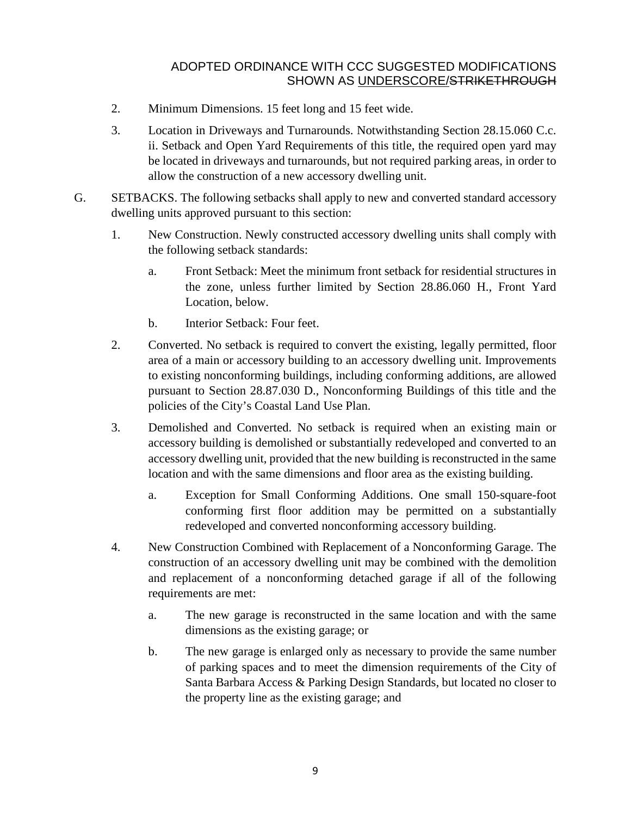- 2. Minimum Dimensions. 15 feet long and 15 feet wide.
- 3. Location in Driveways and Turnarounds. Notwithstanding Section 28.15.060 C.c. ii. Setback and Open Yard Requirements of this title, the required open yard may be located in driveways and turnarounds, but not required parking areas, in order to allow the construction of a new accessory dwelling unit.
- G. SETBACKS. The following setbacks shall apply to new and converted standard accessory dwelling units approved pursuant to this section:
	- 1. New Construction. Newly constructed accessory dwelling units shall comply with the following setback standards:
		- a. Front Setback: Meet the minimum front setback for residential structures in the zone, unless further limited by Section 28.86.060 H., Front Yard Location, below.
		- b. Interior Setback: Four feet.
	- 2. Converted. No setback is required to convert the existing, legally permitted, floor area of a main or accessory building to an accessory dwelling unit. Improvements to existing nonconforming buildings, including conforming additions, are allowed pursuant to Section 28.87.030 D., Nonconforming Buildings of this title and the policies of the City's Coastal Land Use Plan.
	- 3. Demolished and Converted. No setback is required when an existing main or accessory building is demolished or substantially redeveloped and converted to an accessory dwelling unit, provided that the new building is reconstructed in the same location and with the same dimensions and floor area as the existing building.
		- a. Exception for Small Conforming Additions. One small 150-square-foot conforming first floor addition may be permitted on a substantially redeveloped and converted nonconforming accessory building.
	- 4. New Construction Combined with Replacement of a Nonconforming Garage. The construction of an accessory dwelling unit may be combined with the demolition and replacement of a nonconforming detached garage if all of the following requirements are met:
		- a. The new garage is reconstructed in the same location and with the same dimensions as the existing garage; or
		- b. The new garage is enlarged only as necessary to provide the same number of parking spaces and to meet the dimension requirements of the City of Santa Barbara Access & Parking Design Standards, but located no closer to the property line as the existing garage; and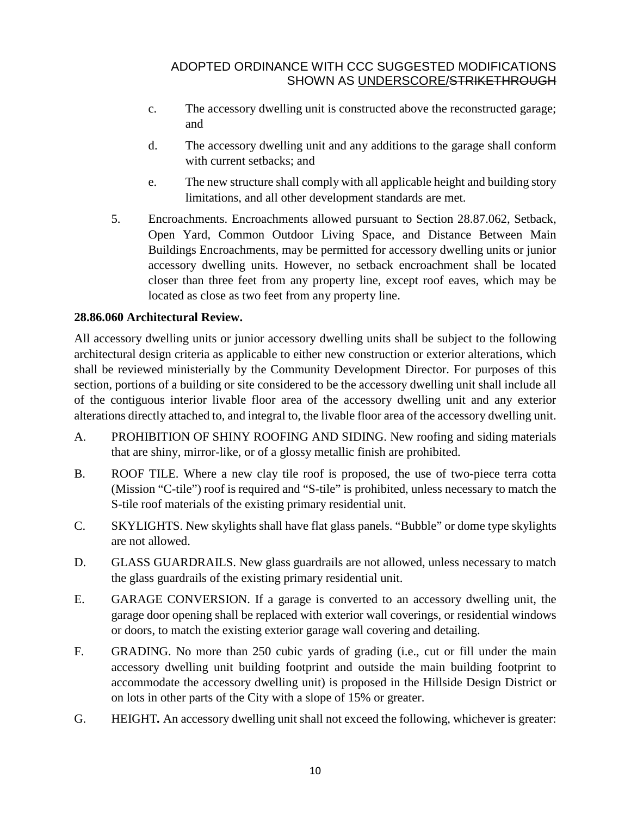- c. The accessory dwelling unit is constructed above the reconstructed garage; and
- d. The accessory dwelling unit and any additions to the garage shall conform with current setbacks; and
- e. The new structure shall comply with all applicable height and building story limitations, and all other development standards are met.
- 5. Encroachments. Encroachments allowed pursuant to Section [28.87.062,](http://qcode.us/codes/santabarbara/view.php?cite=section_30.140.090&confidence=6) Setback, Open Yard, Common Outdoor Living Space, and Distance Between Main Buildings Encroachments, may be permitted for accessory dwelling units or junior accessory dwelling units. However, no setback encroachment shall be located closer than three feet from any property line, except roof eaves, which may be located as close as two feet from any property line.

## **28.86.060 Architectural Review.**

All accessory dwelling units or junior accessory dwelling units shall be subject to the following architectural design criteria as applicable to either new construction or exterior alterations, which shall be reviewed ministerially by the Community Development Director. For purposes of this section, portions of a building or site considered to be the accessory dwelling unit shall include all of the contiguous interior livable floor area of the accessory dwelling unit and any exterior alterations directly attached to, and integral to, the livable floor area of the accessory dwelling unit.

- A. PROHIBITION OF SHINY ROOFING AND SIDING. New roofing and siding materials that are shiny, mirror-like, or of a glossy metallic finish are prohibited.
- B. ROOF TILE. Where a new clay tile roof is proposed, the use of two-piece terra cotta (Mission "C-tile") roof is required and "S-tile" is prohibited, unless necessary to match the S-tile roof materials of the existing primary residential unit.
- C. SKYLIGHTS. New skylights shall have flat glass panels. "Bubble" or dome type skylights are not allowed.
- D. GLASS GUARDRAILS. New glass guardrails are not allowed, unless necessary to match the glass guardrails of the existing primary residential unit.
- E. GARAGE CONVERSION. If a garage is converted to an accessory dwelling unit, the garage door opening shall be replaced with exterior wall coverings, or residential windows or doors, to match the existing exterior garage wall covering and detailing.
- F. GRADING. No more than 250 cubic yards of grading (i.e., cut or fill under the main accessory dwelling unit building footprint and outside the main building footprint to accommodate the accessory dwelling unit) is proposed in the Hillside Design District or on lots in other parts of the City with a slope of 15% or greater.
- G. HEIGHT*.* An accessory dwelling unit shall not exceed the following, whichever is greater: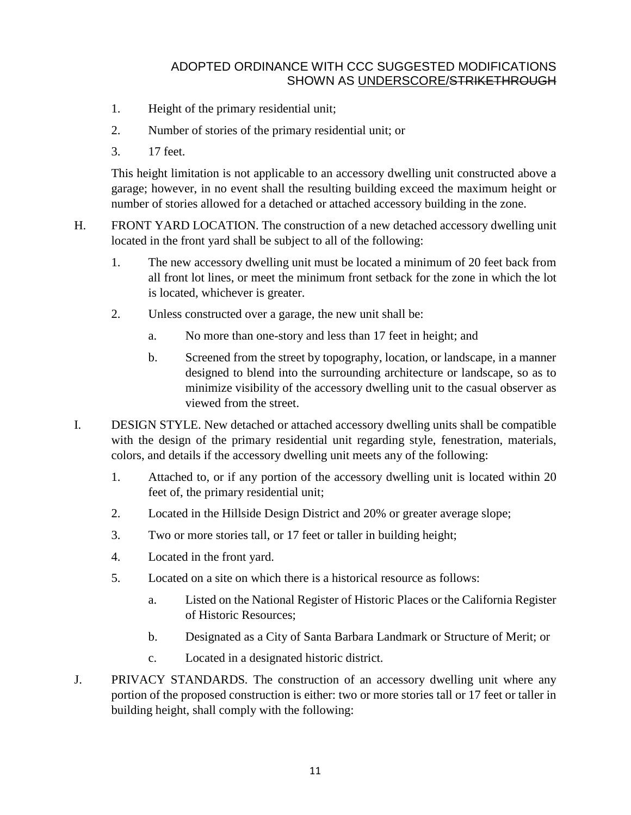- 1. Height of the primary residential unit;
- 2. Number of stories of the primary residential unit; or
- 3. 17 feet.

This height limitation is not applicable to an accessory dwelling unit constructed above a garage; however, in no event shall the resulting building exceed the maximum height or number of stories allowed for a detached or attached accessory building in the zone.

- H. FRONT YARD LOCATION. The construction of a new detached accessory dwelling unit located in the front yard shall be subject to all of the following:
	- 1. The new accessory dwelling unit must be located a minimum of 20 feet back from all front lot lines, or meet the minimum front setback for the zone in which the lot is located, whichever is greater.
	- 2. Unless constructed over a garage, the new unit shall be:
		- a. No more than one-story and less than 17 feet in height; and
		- b. Screened from the street by topography, location, or landscape, in a manner designed to blend into the surrounding architecture or landscape, so as to minimize visibility of the accessory dwelling unit to the casual observer as viewed from the street.
- I. DESIGN STYLE. New detached or attached accessory dwelling units shall be compatible with the design of the primary residential unit regarding style, fenestration, materials, colors, and details if the accessory dwelling unit meets any of the following:
	- 1. Attached to, or if any portion of the accessory dwelling unit is located within 20 feet of, the primary residential unit;
	- 2. Located in the Hillside Design District and 20% or greater average slope;
	- 3. Two or more stories tall, or 17 feet or taller in building height;
	- 4. Located in the front yard.
	- 5. Located on a site on which there is a historical resource as follows:
		- a. Listed on the National Register of Historic Places or the California Register of Historic Resources;
		- b. Designated as a City of Santa Barbara Landmark or Structure of Merit; or
		- c. Located in a designated historic district.
- J. PRIVACY STANDARDS*.* The construction of an accessory dwelling unit where any portion of the proposed construction is either: two or more stories tall or 17 feet or taller in building height, shall comply with the following: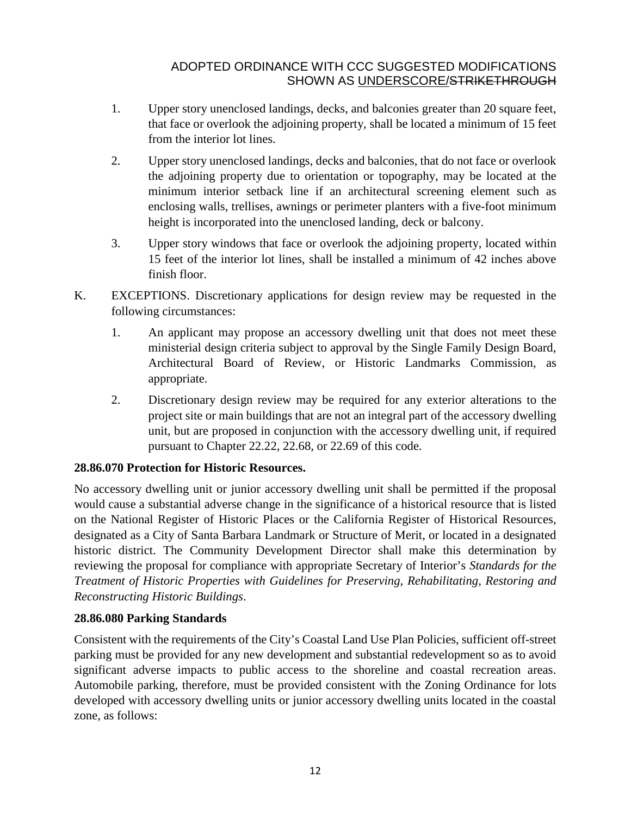- 1. Upper story unenclosed landings, decks, and balconies greater than 20 square feet, that face or overlook the adjoining property, shall be located a minimum of 15 feet from the interior lot lines.
- 2. Upper story unenclosed landings, decks and balconies, that do not face or overlook the adjoining property due to orientation or topography, may be located at the minimum interior setback line if an architectural screening element such as enclosing walls, trellises, awnings or perimeter planters with a five-foot minimum height is incorporated into the unenclosed landing, deck or balcony.
- 3. Upper story windows that face or overlook the adjoining property, located within 15 feet of the interior lot lines, shall be installed a minimum of 42 inches above finish floor.
- K. EXCEPTIONS. Discretionary applications for design review may be requested in the following circumstances:
	- 1. An applicant may propose an accessory dwelling unit that does not meet these ministerial design criteria subject to approval by the Single Family Design Board, Architectural Board of Review, or Historic Landmarks Commission, as appropriate.
	- 2. Discretionary design review may be required for any exterior alterations to the project site or main buildings that are not an integral part of the accessory dwelling unit, but are proposed in conjunction with the accessory dwelling unit, if required pursuant to Chapter [22.22,](http://qcode.us/codes/santabarbara/view.php?cite=chapter_22.22&confidence=8) [22.68,](http://qcode.us/codes/santabarbara/view.php?cite=chapter_22.68&confidence=8) or [22.69](http://qcode.us/codes/santabarbara/view.php?cite=chapter_22.69&confidence=8) of this code.

## **28.86.070 Protection for Historic Resources.**

No accessory dwelling unit or junior accessory dwelling unit shall be permitted if the proposal would cause a substantial adverse change in the significance of a historical resource that is listed on the National Register of Historic Places or the California Register of Historical Resources, designated as a City of Santa Barbara Landmark or Structure of Merit, or located in a designated historic district. The Community Development Director shall make this determination by reviewing the proposal for compliance with appropriate Secretary of Interior's *Standards for the Treatment of Historic Properties with Guidelines for Preserving, Rehabilitating, Restoring and Reconstructing Historic Buildings*.

## **28.86.080 Parking Standards**

Consistent with the requirements of the City's Coastal Land Use Plan Policies, sufficient off-street parking must be provided for any new development and substantial redevelopment so as to avoid significant adverse impacts to public access to the shoreline and coastal recreation areas. Automobile parking, therefore, must be provided consistent with the Zoning Ordinance for lots developed with accessory dwelling units or junior accessory dwelling units located in the coastal zone, as follows: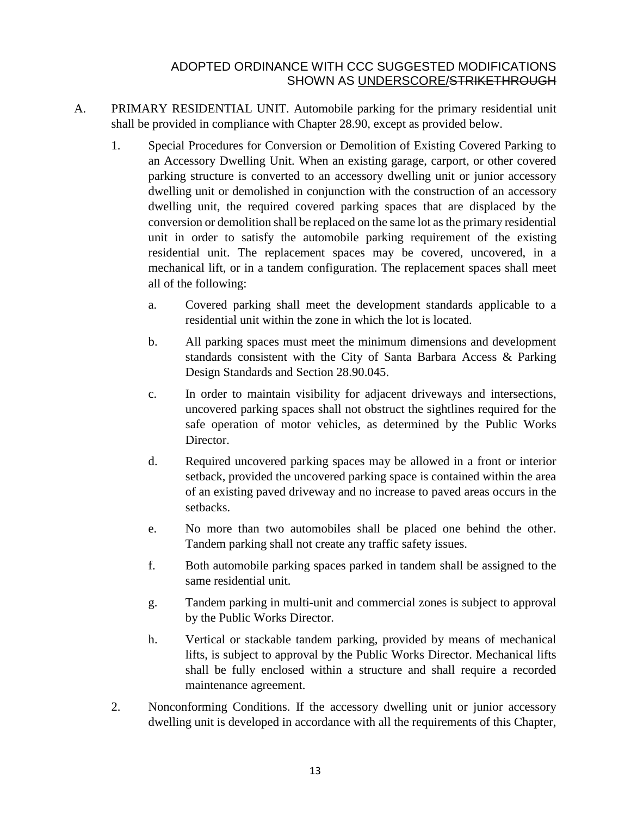- A. PRIMARY RESIDENTIAL UNIT. Automobile parking for the primary residential unit shall be provided in compliance with Chapter 28.90, except as provided below.
	- 1. Special Procedures for Conversion or Demolition of Existing Covered Parking to an Accessory Dwelling Unit. When an existing garage, carport, or other covered parking structure is converted to an accessory dwelling unit or junior accessory dwelling unit or demolished in conjunction with the construction of an accessory dwelling unit, the required covered parking spaces that are displaced by the conversion or demolition shall be replaced on the same lot asthe primary residential unit in order to satisfy the automobile parking requirement of the existing residential unit. The replacement spaces may be covered, uncovered, in a mechanical lift, or in a tandem configuration. The replacement spaces shall meet all of the following:
		- a. Covered parking shall meet the development standards applicable to a residential unit within the zone in which the lot is located.
		- b. All parking spaces must meet the minimum dimensions and development standards consistent with the City of Santa Barbara Access & Parking Design Standards and Section 28.90.045.
		- c. In order to maintain visibility for adjacent driveways and intersections, uncovered parking spaces shall not obstruct the sightlines required for the safe operation of motor vehicles, as determined by the Public Works Director.
		- d. Required uncovered parking spaces may be allowed in a front or interior setback, provided the uncovered parking space is contained within the area of an existing paved driveway and no increase to paved areas occurs in the setbacks.
		- e. No more than two automobiles shall be placed one behind the other. Tandem parking shall not create any traffic safety issues.
		- f. Both automobile parking spaces parked in tandem shall be assigned to the same residential unit.
		- g. Tandem parking in multi-unit and commercial zones is subject to approval by the Public Works Director.
		- h. Vertical or stackable tandem parking, provided by means of mechanical lifts, is subject to approval by the Public Works Director. Mechanical lifts shall be fully enclosed within a structure and shall require a recorded maintenance agreement.
	- 2. Nonconforming Conditions. If the accessory dwelling unit or junior accessory dwelling unit is developed in accordance with all the requirements of this Chapter,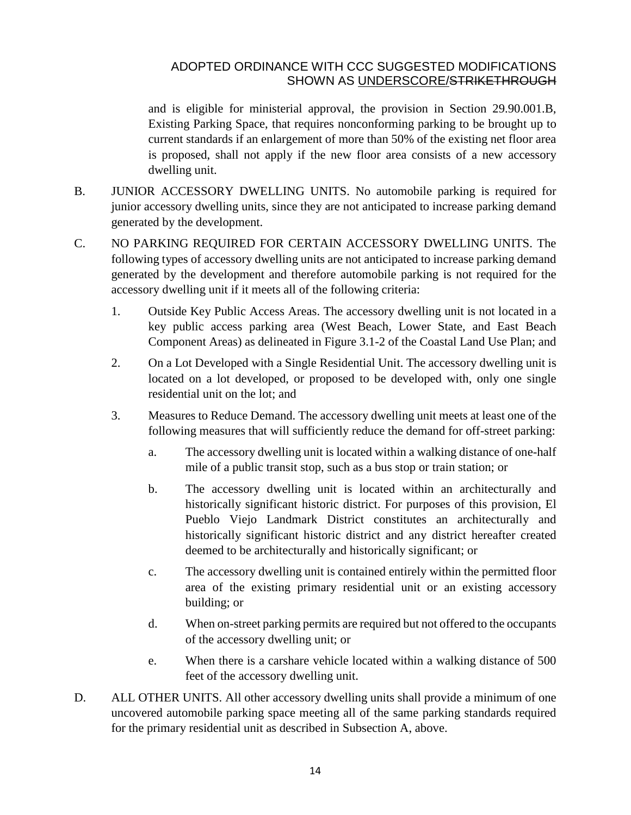and is eligible for ministerial approval, the provision in Section 29.90.001.B, Existing Parking Space, that requires nonconforming parking to be brought up to current standards if an enlargement of more than 50% of the existing net floor area is proposed, shall not apply if the new floor area consists of a new accessory dwelling unit.

- B. JUNIOR ACCESSORY DWELLING UNITS. No automobile parking is required for junior accessory dwelling units, since they are not anticipated to increase parking demand generated by the development.
- C. NO PARKING REQUIRED FOR CERTAIN ACCESSORY DWELLING UNITS. The following types of accessory dwelling units are not anticipated to increase parking demand generated by the development and therefore automobile parking is not required for the accessory dwelling unit if it meets all of the following criteria:
	- 1. Outside Key Public Access Areas. The accessory dwelling unit is not located in a key public access parking area (West Beach, Lower State, and East Beach Component Areas) as delineated in Figure 3.1-2 of the Coastal Land Use Plan; and
	- 2. On a Lot Developed with a Single Residential Unit. The accessory dwelling unit is located on a lot developed, or proposed to be developed with, only one single residential unit on the lot; and
	- 3. Measures to Reduce Demand. The accessory dwelling unit meets at least one of the following measures that will sufficiently reduce the demand for off-street parking:
		- a. The accessory dwelling unit is located within a walking distance of one-half mile of a public transit stop, such as a bus stop or train station; or
		- b. The accessory dwelling unit is located within an architecturally and historically significant historic district. For purposes of this provision, El Pueblo Viejo Landmark District constitutes an architecturally and historically significant historic district and any district hereafter created deemed to be architecturally and historically significant; or
		- c. The accessory dwelling unit is contained entirely within the permitted floor area of the existing primary residential unit or an existing accessory building; or
		- d. When on-street parking permits are required but not offered to the occupants of the accessory dwelling unit; or
		- e. When there is a carshare vehicle located within a walking distance of 500 feet of the accessory dwelling unit.
- D. ALL OTHER UNITS. All other accessory dwelling units shall provide a minimum of one uncovered automobile parking space meeting all of the same parking standards required for the primary residential unit as described in Subsection A, above.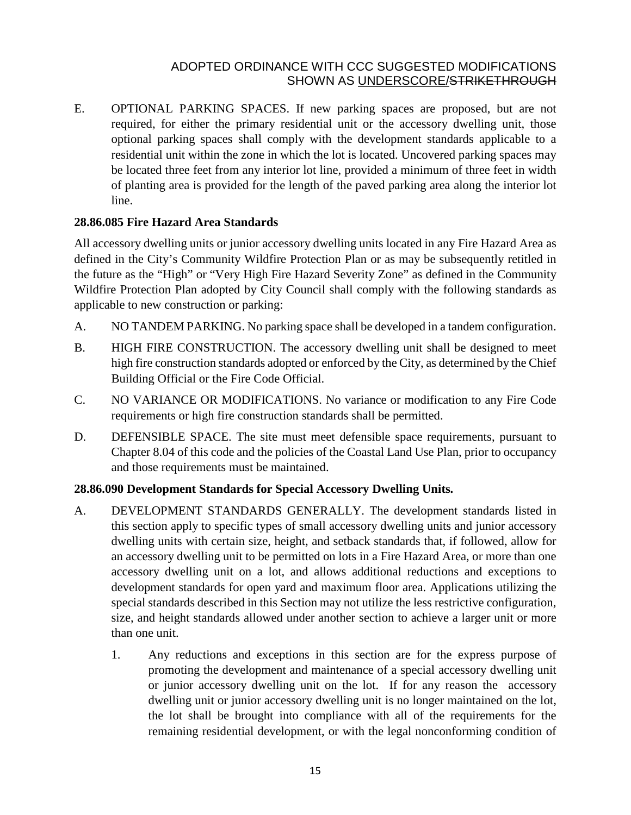E. OPTIONAL PARKING SPACES. If new parking spaces are proposed, but are not required, for either the primary residential unit or the accessory dwelling unit, those optional parking spaces shall comply with the development standards applicable to a residential unit within the zone in which the lot is located. Uncovered parking spaces may be located three feet from any interior lot line, provided a minimum of three feet in width of planting area is provided for the length of the paved parking area along the interior lot line.

#### **28.86.085 Fire Hazard Area Standards**

All accessory dwelling units or junior accessory dwelling units located in any Fire Hazard Area as defined in the City's Community Wildfire Protection Plan or as may be subsequently retitled in the future as the "High" or "Very High Fire Hazard Severity Zone" as defined in the Community Wildfire Protection Plan adopted by City Council shall comply with the following standards as applicable to new construction or parking:

- A. NO TANDEM PARKING. No parking space shall be developed in a tandem configuration.
- B. HIGH FIRE CONSTRUCTION. The accessory dwelling unit shall be designed to meet high fire construction standards adopted or enforced by the City, as determined by the Chief Building Official or the Fire Code Official.
- C. NO VARIANCE OR MODIFICATIONS. No variance or modification to any Fire Code requirements or high fire construction standards shall be permitted.
- D. DEFENSIBLE SPACE. The site must meet defensible space requirements, pursuant to Chapter [8.04](http://qcode.us/codes/santabarbara/view.php?cite=chapter_8.04&confidence=8) of this code and the policies of the Coastal Land Use Plan, prior to occupancy and those requirements must be maintained.

## **28.86.090 Development Standards for Special Accessory Dwelling Units.**

- A. DEVELOPMENT STANDARDS GENERALLY. The development standards listed in this section apply to specific types of small accessory dwelling units and junior accessory dwelling units with certain size, height, and setback standards that, if followed, allow for an accessory dwelling unit to be permitted on lots in a Fire Hazard Area, or more than one accessory dwelling unit on a lot, and allows additional reductions and exceptions to development standards for open yard and maximum floor area. Applications utilizing the special standards described in this Section may not utilize the less restrictive configuration, size, and height standards allowed under another section to achieve a larger unit or more than one unit.
	- 1. Any reductions and exceptions in this section are for the express purpose of promoting the development and maintenance of a special accessory dwelling unit or junior accessory dwelling unit on the lot. If for any reason the accessory dwelling unit or junior accessory dwelling unit is no longer maintained on the lot, the lot shall be brought into compliance with all of the requirements for the remaining residential development, or with the legal nonconforming condition of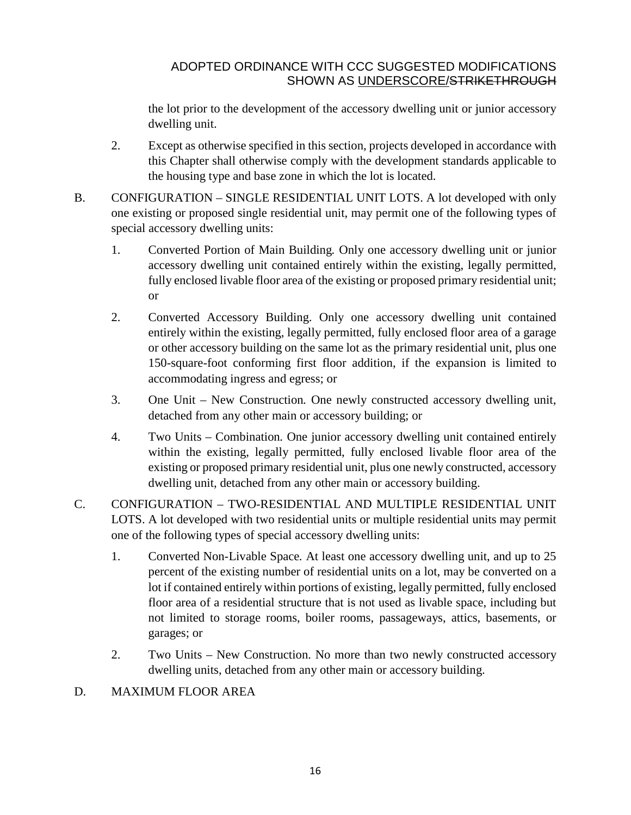the lot prior to the development of the accessory dwelling unit or junior accessory dwelling unit.

- 2. Except as otherwise specified in this section, projects developed in accordance with this Chapter shall otherwise comply with the development standards applicable to the housing type and base zone in which the lot is located.
- B. CONFIGURATION SINGLE RESIDENTIAL UNIT LOTS. A lot developed with only one existing or proposed single residential unit, may permit one of the following types of special accessory dwelling units:
	- 1. Converted Portion of Main Building*.* Only one accessory dwelling unit or junior accessory dwelling unit contained entirely within the existing, legally permitted, fully enclosed livable floor area of the existing or proposed primary residential unit; or
	- 2. Converted Accessory Building. Only one accessory dwelling unit contained entirely within the existing, legally permitted, fully enclosed floor area of a garage or other accessory building on the same lot as the primary residential unit, plus one 150-square-foot conforming first floor addition, if the expansion is limited to accommodating ingress and egress; or
	- 3. One Unit New Construction*.* One newly constructed accessory dwelling unit, detached from any other main or accessory building; or
	- 4. Two Units Combination*.* One junior accessory dwelling unit contained entirely within the existing, legally permitted, fully enclosed livable floor area of the existing or proposed primary residential unit, plus one newly constructed, accessory dwelling unit, detached from any other main or accessory building.
- C. CONFIGURATION TWO-RESIDENTIAL AND MULTIPLE RESIDENTIAL UNIT LOTS. A lot developed with two residential units or multiple residential units may permit one of the following types of special accessory dwelling units:
	- 1. Converted Non-Livable Space*.* At least one accessory dwelling unit, and up to 25 percent of the existing number of residential units on a lot, may be converted on a lot if contained entirely within portions of existing, legally permitted, fully enclosed floor area of a residential structure that is not used as livable space, including but not limited to storage rooms, boiler rooms, passageways, attics, basements, or garages; or
	- 2. Two Units New Construction. No more than two newly constructed accessory dwelling units, detached from any other main or accessory building.

# D. MAXIMUM FLOOR AREA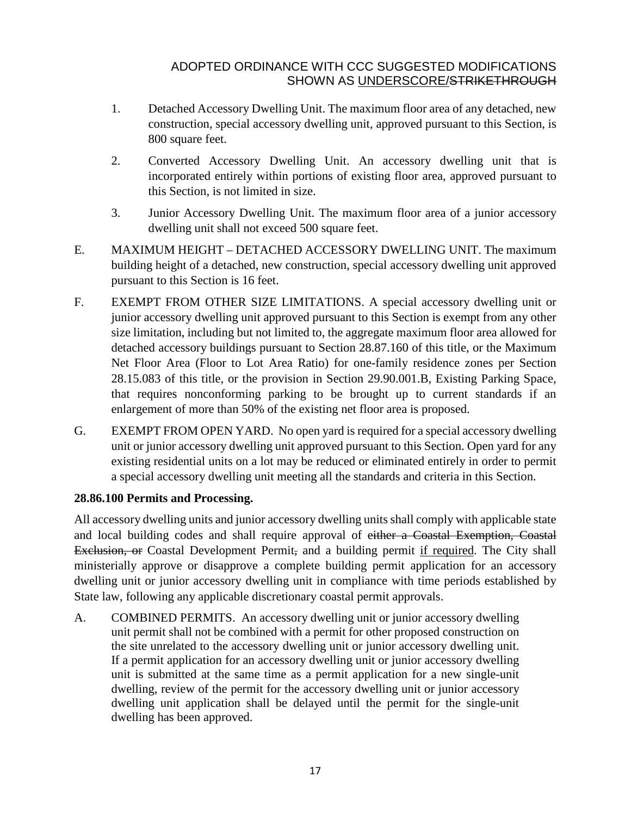- 1. Detached Accessory Dwelling Unit. The maximum floor area of any detached, new construction, special accessory dwelling unit, approved pursuant to this Section, is 800 square feet.
- 2. Converted Accessory Dwelling Unit. An accessory dwelling unit that is incorporated entirely within portions of existing floor area, approved pursuant to this Section, is not limited in size.
- 3. Junior Accessory Dwelling Unit. The maximum floor area of a junior accessory dwelling unit shall not exceed 500 square feet.
- E. MAXIMUM HEIGHT DETACHED ACCESSORY DWELLING UNIT. The maximum building height of a detached, new construction, special accessory dwelling unit approved pursuant to this Section is 16 feet.
- F. EXEMPT FROM OTHER SIZE LIMITATIONS. A special accessory dwelling unit or junior accessory dwelling unit approved pursuant to this Section is exempt from any other size limitation, including but not limited to, the aggregate maximum floor area allowed for detached accessory buildings pursuant to Section 28.87.160 of this title, or the Maximum Net Floor Area (Floor to Lot Area Ratio) for one-family residence zones per Section 28.15.083 of this title, or the provision in Section 29.90.001.B, Existing Parking Space, that requires nonconforming parking to be brought up to current standards if an enlargement of more than 50% of the existing net floor area is proposed.
- G. EXEMPT FROM OPEN YARD. No open yard is required for a special accessory dwelling unit or junior accessory dwelling unit approved pursuant to this Section. Open yard for any existing residential units on a lot may be reduced or eliminated entirely in order to permit a special accessory dwelling unit meeting all the standards and criteria in this Section.

## **28.86.100 Permits and Processing.**

All accessory dwelling units and junior accessory dwelling units shall comply with applicable state and local building codes and shall require approval of either a Coastal Exemption, Coastal Exclusion, or Coastal Development Permit, and a building permit if required. The City shall ministerially approve or disapprove a complete building permit application for an accessory dwelling unit or junior accessory dwelling unit in compliance with time periods established by State law, following any applicable discretionary coastal permit approvals.

A. COMBINED PERMITS. An accessory dwelling unit or junior accessory dwelling unit permit shall not be combined with a permit for other proposed construction on the site unrelated to the accessory dwelling unit or junior accessory dwelling unit. If a permit application for an accessory dwelling unit or junior accessory dwelling unit is submitted at the same time as a permit application for a new single-unit dwelling, review of the permit for the accessory dwelling unit or junior accessory dwelling unit application shall be delayed until the permit for the single-unit dwelling has been approved.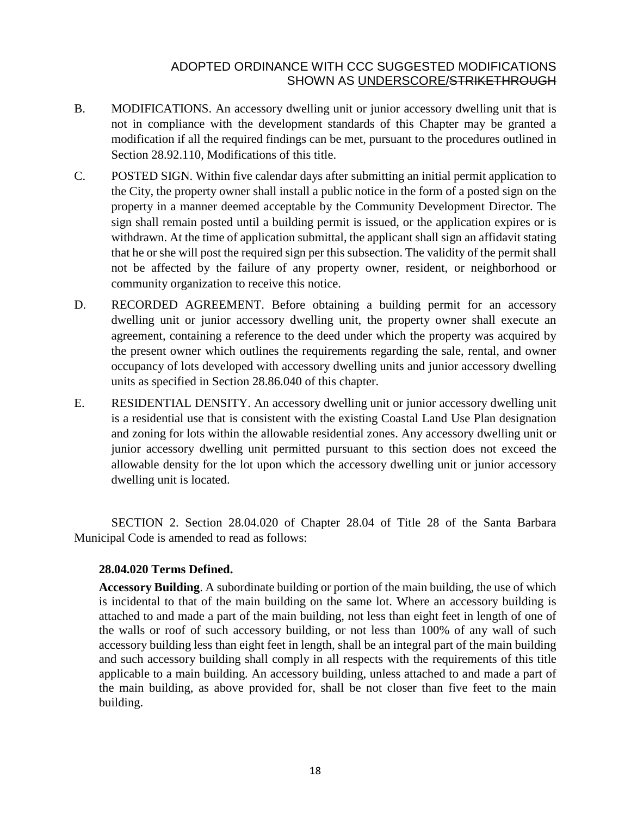- B. MODIFICATIONS. An accessory dwelling unit or junior accessory dwelling unit that is not in compliance with the development standards of this Chapter may be granted a modification if all the required findings can be met, pursuant to the procedures outlined in Section [28.92.110,](http://qcode.us/codes/santabarbara/view.php?cite=chapter_30.250&confidence=6) Modifications of this title.
- C. POSTED SIGN. Within five calendar days after submitting an initial permit application to the City, the property owner shall install a public notice in the form of a posted sign on the property in a manner deemed acceptable by the Community Development Director. The sign shall remain posted until a building permit is issued, or the application expires or is withdrawn. At the time of application submittal, the applicant shall sign an affidavit stating that he or she will post the required sign per this subsection. The validity of the permit shall not be affected by the failure of any property owner, resident, or neighborhood or community organization to receive this notice.
- D. RECORDED AGREEMENT. Before obtaining a building permit for an accessory dwelling unit or junior accessory dwelling unit, the property owner shall execute an agreement, containing a reference to the deed under which the property was acquired by the present owner which outlines the requirements regarding the sale, rental, and owner occupancy of lots developed with accessory dwelling units and junior accessory dwelling units as specified in Section 28.86.040 of this chapter.
- E. RESIDENTIAL DENSITY. An accessory dwelling unit or junior accessory dwelling unit is a residential use that is consistent with the existing Coastal Land Use Plan designation and zoning for lots within the allowable residential zones. Any accessory dwelling unit or junior accessory dwelling unit permitted pursuant to this section does not exceed the allowable density for the lot upon which the accessory dwelling unit or junior accessory dwelling unit is located.

SECTION 2. Section 28.04.020 of Chapter 28.04 of Title 28 of the Santa Barbara Municipal Code is amended to read as follows:

#### **28.04.020 Terms Defined.**

**Accessory Building**. A subordinate building or portion of the main building, the use of which is incidental to that of the main building on the same lot. Where an accessory building is attached to and made a part of the main building, not less than eight feet in length of one of the walls or roof of such accessory building, or not less than 100% of any wall of such accessory building less than eight feet in length, shall be an integral part of the main building and such accessory building shall comply in all respects with the requirements of this title applicable to a main building. An accessory building, unless attached to and made a part of the main building, as above provided for, shall be not closer than five feet to the main building.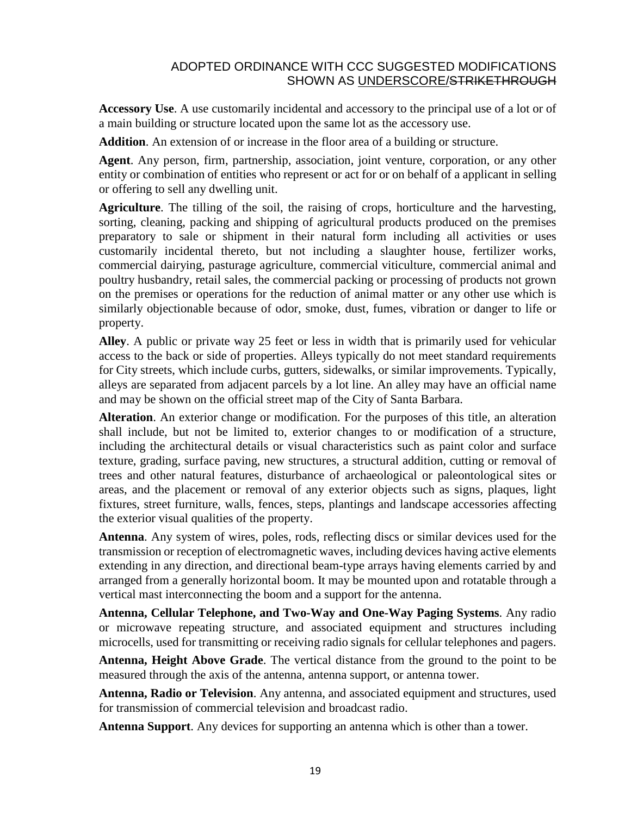**Accessory Use**. A use customarily incidental and accessory to the principal use of a lot or of a main building or structure located upon the same lot as the accessory use.

**Addition**. An extension of or increase in the floor area of a building or structure.

**Agent**. Any person, firm, partnership, association, joint venture, corporation, or any other entity or combination of entities who represent or act for or on behalf of a applicant in selling or offering to sell any dwelling unit.

**Agriculture**. The tilling of the soil, the raising of crops, horticulture and the harvesting, sorting, cleaning, packing and shipping of agricultural products produced on the premises preparatory to sale or shipment in their natural form including all activities or uses customarily incidental thereto, but not including a slaughter house, fertilizer works, commercial dairying, pasturage agriculture, commercial viticulture, commercial animal and poultry husbandry, retail sales, the commercial packing or processing of products not grown on the premises or operations for the reduction of animal matter or any other use which is similarly objectionable because of odor, smoke, dust, fumes, vibration or danger to life or property.

**Alley**. A public or private way 25 feet or less in width that is primarily used for vehicular access to the back or side of properties. Alleys typically do not meet standard requirements for City streets, which include curbs, gutters, sidewalks, or similar improvements. Typically, alleys are separated from adjacent parcels by a lot line. An alley may have an official name and may be shown on the official street map of the City of Santa Barbara.

**Alteration**. An exterior change or modification. For the purposes of this title, an alteration shall include, but not be limited to, exterior changes to or modification of a structure, including the architectural details or visual characteristics such as paint color and surface texture, grading, surface paving, new structures, a structural addition, cutting or removal of trees and other natural features, disturbance of archaeological or paleontological sites or areas, and the placement or removal of any exterior objects such as signs, plaques, light fixtures, street furniture, walls, fences, steps, plantings and landscape accessories affecting the exterior visual qualities of the property.

**Antenna**. Any system of wires, poles, rods, reflecting discs or similar devices used for the transmission or reception of electromagnetic waves, including devices having active elements extending in any direction, and directional beam-type arrays having elements carried by and arranged from a generally horizontal boom. It may be mounted upon and rotatable through a vertical mast interconnecting the boom and a support for the antenna.

**Antenna, Cellular Telephone, and Two-Way and One-Way Paging Systems**. Any radio or microwave repeating structure, and associated equipment and structures including microcells, used for transmitting or receiving radio signals for cellular telephones and pagers.

**Antenna, Height Above Grade**. The vertical distance from the ground to the point to be measured through the axis of the antenna, antenna support, or antenna tower.

**Antenna, Radio or Television**. Any antenna, and associated equipment and structures, used for transmission of commercial television and broadcast radio.

**Antenna Support**. Any devices for supporting an antenna which is other than a tower.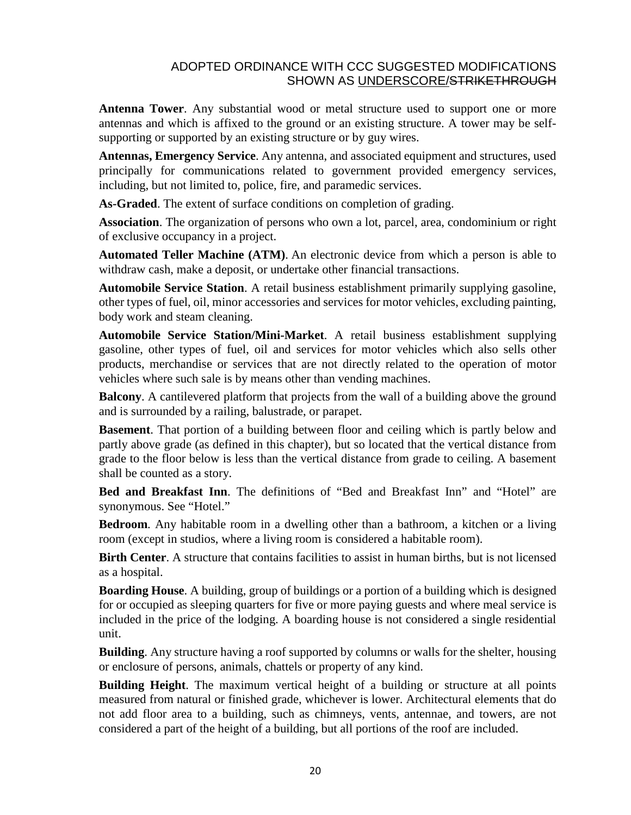**Antenna Tower**. Any substantial wood or metal structure used to support one or more antennas and which is affixed to the ground or an existing structure. A tower may be selfsupporting or supported by an existing structure or by guy wires.

**Antennas, Emergency Service**. Any antenna, and associated equipment and structures, used principally for communications related to government provided emergency services, including, but not limited to, police, fire, and paramedic services.

**As-Graded**. The extent of surface conditions on completion of grading.

**Association**. The organization of persons who own a lot, parcel, area, condominium or right of exclusive occupancy in a project.

**Automated Teller Machine (ATM)**. An electronic device from which a person is able to withdraw cash, make a deposit, or undertake other financial transactions.

**Automobile Service Station**. A retail business establishment primarily supplying gasoline, other types of fuel, oil, minor accessories and services for motor vehicles, excluding painting, body work and steam cleaning.

**Automobile Service Station/Mini-Market**. A retail business establishment supplying gasoline, other types of fuel, oil and services for motor vehicles which also sells other products, merchandise or services that are not directly related to the operation of motor vehicles where such sale is by means other than vending machines.

**Balcony**. A cantilevered platform that projects from the wall of a building above the ground and is surrounded by a railing, balustrade, or parapet.

**Basement**. That portion of a building between floor and ceiling which is partly below and partly above grade (as defined in this chapter), but so located that the vertical distance from grade to the floor below is less than the vertical distance from grade to ceiling. A basement shall be counted as a story.

**Bed and Breakfast Inn**. The definitions of "Bed and Breakfast Inn" and "Hotel" are synonymous. See "Hotel."

**Bedroom**. Any habitable room in a dwelling other than a bathroom, a kitchen or a living room (except in studios, where a living room is considered a habitable room).

**Birth Center**. A structure that contains facilities to assist in human births, but is not licensed as a hospital.

**Boarding House**. A building, group of buildings or a portion of a building which is designed for or occupied as sleeping quarters for five or more paying guests and where meal service is included in the price of the lodging. A boarding house is not considered a single residential unit.

**Building**. Any structure having a roof supported by columns or walls for the shelter, housing or enclosure of persons, animals, chattels or property of any kind.

**Building Height**. The maximum vertical height of a building or structure at all points measured from natural or finished grade, whichever is lower. Architectural elements that do not add floor area to a building, such as chimneys, vents, antennae, and towers, are not considered a part of the height of a building, but all portions of the roof are included.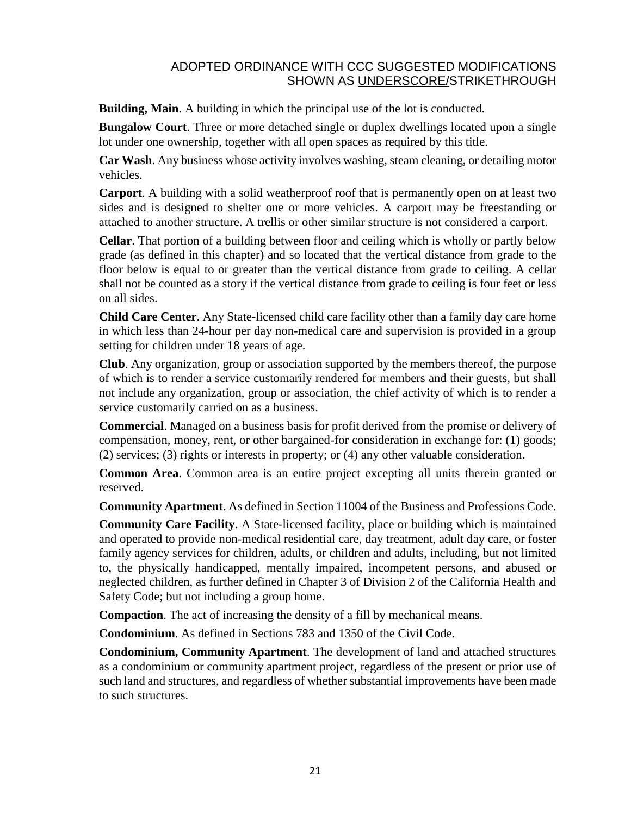**Building, Main**. A building in which the principal use of the lot is conducted.

**Bungalow Court**. Three or more detached single or duplex dwellings located upon a single lot under one ownership, together with all open spaces as required by this title.

**Car Wash**. Any business whose activity involves washing, steam cleaning, or detailing motor vehicles.

**Carport**. A building with a solid weatherproof roof that is permanently open on at least two sides and is designed to shelter one or more vehicles. A carport may be freestanding or attached to another structure. A trellis or other similar structure is not considered a carport.

**Cellar**. That portion of a building between floor and ceiling which is wholly or partly below grade (as defined in this chapter) and so located that the vertical distance from grade to the floor below is equal to or greater than the vertical distance from grade to ceiling. A cellar shall not be counted as a story if the vertical distance from grade to ceiling is four feet or less on all sides.

**Child Care Center**. Any State-licensed child care facility other than a family day care home in which less than 24-hour per day non-medical care and supervision is provided in a group setting for children under 18 years of age.

**Club**. Any organization, group or association supported by the members thereof, the purpose of which is to render a service customarily rendered for members and their guests, but shall not include any organization, group or association, the chief activity of which is to render a service customarily carried on as a business.

**Commercial**. Managed on a business basis for profit derived from the promise or delivery of compensation, money, rent, or other bargained-for consideration in exchange for: (1) goods; (2) services; (3) rights or interests in property; or (4) any other valuable consideration.

**Common Area**. Common area is an entire project excepting all units therein granted or reserved.

**Community Apartment**. As defined in Section 11004 of the Business and [Professions](http://qcode.us/codes/othercode.php?state=ca&code=buspro) Code.

**Community Care Facility**. A State-licensed facility, place or building which is maintained and operated to provide non-medical residential care, day treatment, adult day care, or foster family agency services for children, adults, or children and adults, including, but not limited to, the physically handicapped, mentally impaired, incompetent persons, and abused or neglected children, as further defined in Chapter 3 of Division 2 of the California [Health](http://qcode.us/codes/othercode.php?state=ca&code=heasaf) and [Safety](http://qcode.us/codes/othercode.php?state=ca&code=heasaf) Code; but not including a group home.

**Compaction**. The act of increasing the density of a fill by mechanical means.

**Condominium**. As defined in Sections 783 and 1350 of the Civil [Code.](http://qcode.us/codes/othercode.php?state=ca&code=civ)

**Condominium, Community Apartment**. The development of land and attached structures as a condominium or community apartment project, regardless of the present or prior use of such land and structures, and regardless of whether substantial improvements have been made to such structures.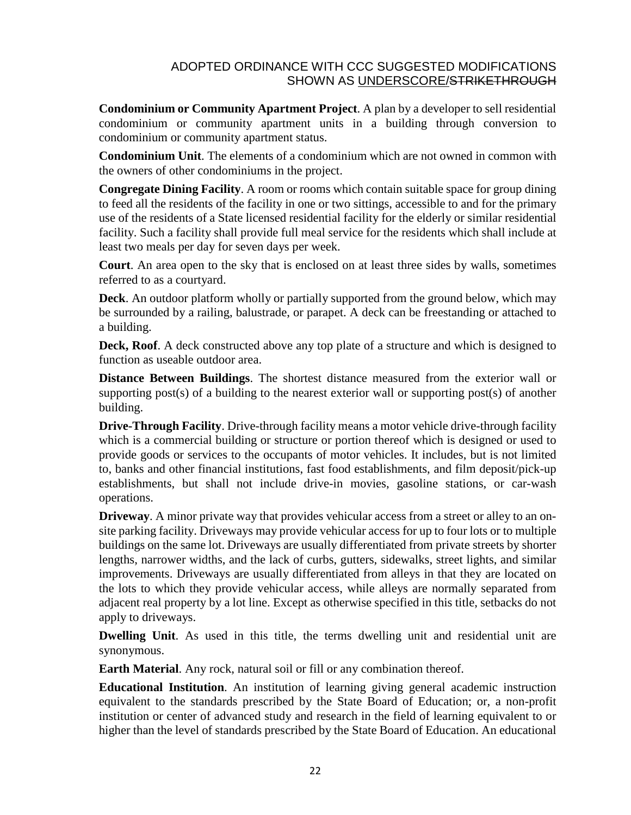**Condominium or Community Apartment Project**. A plan by a developer to sell residential condominium or community apartment units in a building through conversion to condominium or community apartment status.

**Condominium Unit**. The elements of a condominium which are not owned in common with the owners of other condominiums in the project.

**Congregate Dining Facility**. A room or rooms which contain suitable space for group dining to feed all the residents of the facility in one or two sittings, accessible to and for the primary use of the residents of a State licensed residential facility for the elderly or similar residential facility. Such a facility shall provide full meal service for the residents which shall include at least two meals per day for seven days per week.

**Court**. An area open to the sky that is enclosed on at least three sides by walls, sometimes referred to as a courtyard.

**Deck**. An outdoor platform wholly or partially supported from the ground below, which may be surrounded by a railing, balustrade, or parapet. A deck can be freestanding or attached to a building.

**Deck, Roof**. A deck constructed above any top plate of a structure and which is designed to function as useable outdoor area.

**Distance Between Buildings**. The shortest distance measured from the exterior wall or supporting post(s) of a building to the nearest exterior wall or supporting post(s) of another building.

**Drive-Through Facility**. Drive-through facility means a motor vehicle drive-through facility which is a commercial building or structure or portion thereof which is designed or used to provide goods or services to the occupants of motor vehicles. It includes, but is not limited to, banks and other financial institutions, fast food establishments, and film deposit/pick-up establishments, but shall not include drive-in movies, gasoline stations, or car-wash operations.

**Driveway**. A minor private way that provides vehicular access from a street or alley to an onsite parking facility. Driveways may provide vehicular access for up to four lots or to multiple buildings on the same lot. Driveways are usually differentiated from private streets by shorter lengths, narrower widths, and the lack of curbs, gutters, sidewalks, street lights, and similar improvements. Driveways are usually differentiated from alleys in that they are located on the lots to which they provide vehicular access, while alleys are normally separated from adjacent real property by a lot line. Except as otherwise specified in this title, setbacks do not apply to driveways.

**Dwelling Unit**. As used in this title, the terms dwelling unit and residential unit are synonymous.

**Earth Material**. Any rock, natural soil or fill or any combination thereof.

**Educational Institution**. An institution of learning giving general academic instruction equivalent to the standards prescribed by the State Board of Education; or, a non-profit institution or center of advanced study and research in the field of learning equivalent to or higher than the level of standards prescribed by the State Board of Education. An educational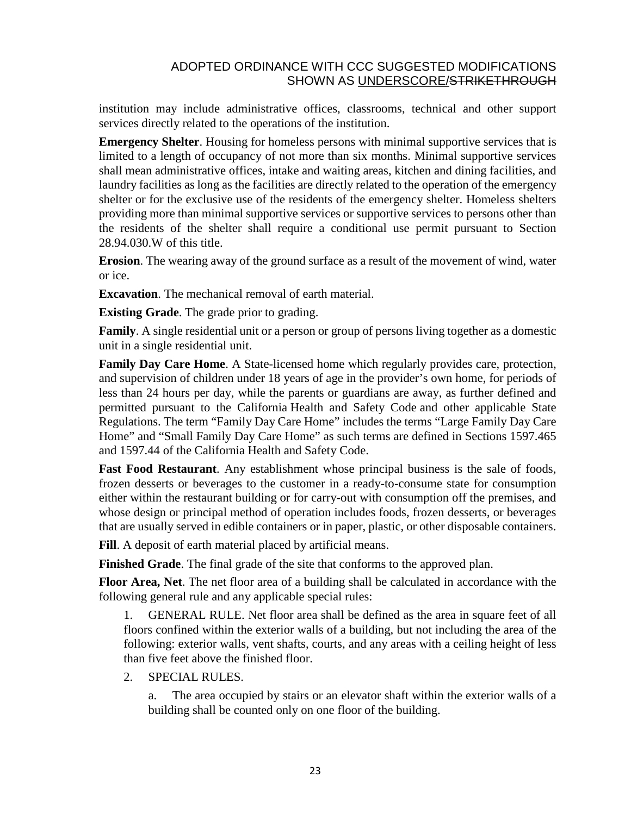institution may include administrative offices, classrooms, technical and other support services directly related to the operations of the institution.

**Emergency Shelter**. Housing for homeless persons with minimal supportive services that is limited to a length of occupancy of not more than six months. Minimal supportive services shall mean administrative offices, intake and waiting areas, kitchen and dining facilities, and laundry facilities as long as the facilities are directly related to the operation of the emergency shelter or for the exclusive use of the residents of the emergency shelter. Homeless shelters providing more than minimal supportive services or supportive services to persons other than the residents of the shelter shall require a conditional use permit pursuant to Section 28.94.030.W of this title.

**Erosion**. The wearing away of the ground surface as a result of the movement of wind, water or ice.

**Excavation**. The mechanical removal of earth material.

**Existing Grade**. The grade prior to grading.

**Family**. A single residential unit or a person or group of persons living together as a domestic unit in a single residential unit.

**Family Day Care Home.** A State-licensed home which regularly provides care, protection, and supervision of children under 18 years of age in the provider's own home, for periods of less than 24 hours per day, while the parents or guardians are away, as further defined and permitted pursuant to the California Health and Safety Code and other applicable State Regulations. The term "Family Day Care Home" includes the terms "Large Family Day Care Home" and "Small Family Day Care Home" as such terms are defined in Sections 1597.465 and 1597.44 of the California Health and Safety Code.

**Fast Food Restaurant**. Any establishment whose principal business is the sale of foods, frozen desserts or beverages to the customer in a ready-to-consume state for consumption either within the restaurant building or for carry-out with consumption off the premises, and whose design or principal method of operation includes foods, frozen desserts, or beverages that are usually served in edible containers or in paper, plastic, or other disposable containers.

**Fill**. A deposit of earth material placed by artificial means.

**Finished Grade**. The final grade of the site that conforms to the approved plan.

**Floor Area, Net**. The net floor area of a building shall be calculated in accordance with the following general rule and any applicable special rules:

1. GENERAL RULE. Net floor area shall be defined as the area in square feet of all floors confined within the exterior walls of a building, but not including the area of the following: exterior walls, vent shafts, courts, and any areas with a ceiling height of less than five feet above the finished floor.

2. SPECIAL RULES.

a. The area occupied by stairs or an elevator shaft within the exterior walls of a building shall be counted only on one floor of the building.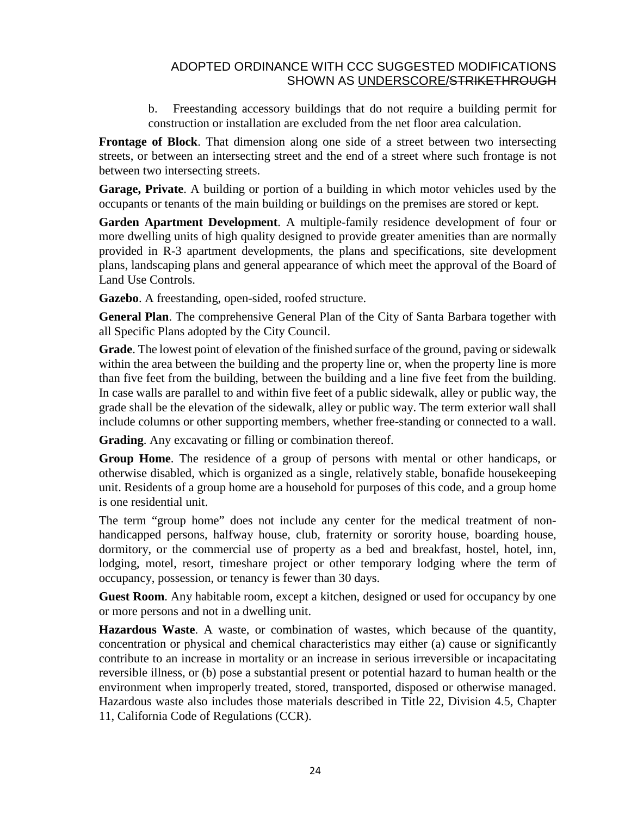b. Freestanding accessory buildings that do not require a building permit for construction or installation are excluded from the net floor area calculation.

**Frontage of Block**. That dimension along one side of a street between two intersecting streets, or between an intersecting street and the end of a street where such frontage is not between two intersecting streets.

**Garage, Private**. A building or portion of a building in which motor vehicles used by the occupants or tenants of the main building or buildings on the premises are stored or kept.

**Garden Apartment Development**. A multiple-family residence development of four or more dwelling units of high quality designed to provide greater amenities than are normally provided in R-3 apartment developments, the plans and specifications, site development plans, landscaping plans and general appearance of which meet the approval of the Board of Land Use Controls.

**Gazebo**. A freestanding, open-sided, roofed structure.

**General Plan**. The comprehensive General Plan of the City of Santa Barbara together with all Specific Plans adopted by the City Council.

**Grade**. The lowest point of elevation of the finished surface of the ground, paving or sidewalk within the area between the building and the property line or, when the property line is more than five feet from the building, between the building and a line five feet from the building. In case walls are parallel to and within five feet of a public sidewalk, alley or public way, the grade shall be the elevation of the sidewalk, alley or public way. The term exterior wall shall include columns or other supporting members, whether free-standing or connected to a wall.

**Grading**. Any excavating or filling or combination thereof.

**Group Home**. The residence of a group of persons with mental or other handicaps, or otherwise disabled, which is organized as a single, relatively stable, bonafide housekeeping unit. Residents of a group home are a household for purposes of this code, and a group home is one residential unit.

The term "group home" does not include any center for the medical treatment of nonhandicapped persons, halfway house, club, fraternity or sorority house, boarding house, dormitory, or the commercial use of property as a bed and breakfast, hostel, hotel, inn, lodging, motel, resort, timeshare project or other temporary lodging where the term of occupancy, possession, or tenancy is fewer than 30 days.

**Guest Room**. Any habitable room, except a kitchen, designed or used for occupancy by one or more persons and not in a dwelling unit.

**Hazardous Waste**. A waste, or combination of wastes, which because of the quantity, concentration or physical and chemical characteristics may either (a) cause or significantly contribute to an increase in mortality or an increase in serious irreversible or incapacitating reversible illness, or (b) pose a substantial present or potential hazard to human health or the environment when improperly treated, stored, transported, disposed or otherwise managed. Hazardous waste also includes those materials described in Title 22, Division 4.5, Chapter 11, California Code of [Regulations](http://qcode.us/codes/othercode.php?state=ca&code=reg) [\(CCR\)](http://qcode.us/codes/othercode.php?state=ca&code=ccr).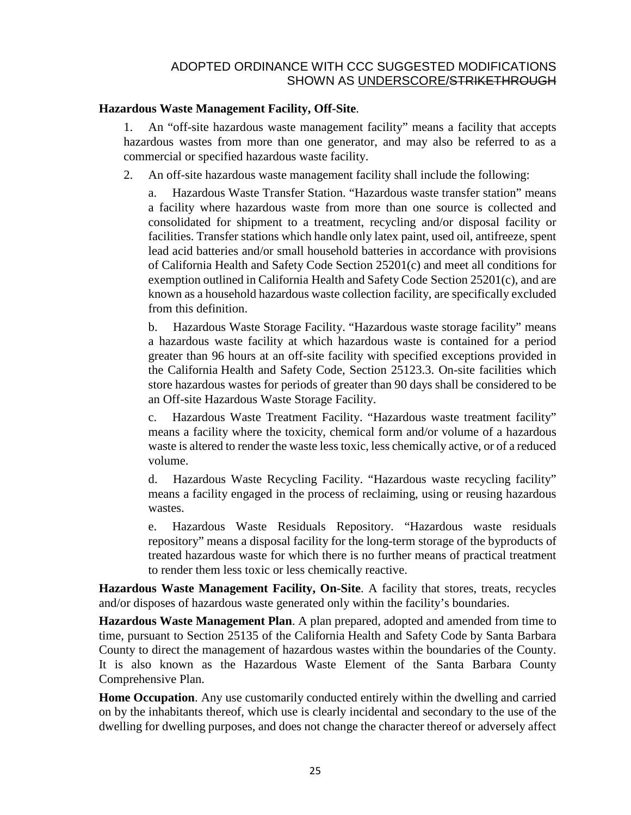#### **Hazardous Waste Management Facility, Off-Site**.

1. An "off-site hazardous waste management facility" means a facility that accepts hazardous wastes from more than one generator, and may also be referred to as a commercial or specified hazardous waste facility.

2. An off-site hazardous waste management facility shall include the following:

a. Hazardous Waste Transfer Station. "Hazardous waste transfer station" means a facility where hazardous waste from more than one source is collected and consolidated for shipment to a treatment, recycling and/or disposal facility or facilities. Transfer stations which handle only latex paint, used oil, antifreeze, spent lead acid batteries and/or small household batteries in accordance with provisions of California [Health](http://qcode.us/codes/othercode.php?state=ca&code=heasaf) and Safety Code Section 25201(c) and meet all conditions for exemption outlined in California [Health](http://qcode.us/codes/othercode.php?state=ca&code=heasaf) and Safety Code Section 25201(c), and are known as a household hazardous waste collection facility, are specifically excluded from this definition.

b. Hazardous Waste Storage Facility. "Hazardous waste storage facility" means a hazardous waste facility at which hazardous waste is contained for a period greater than 96 hours at an off-site facility with specified exceptions provided in the California Health and Safety Code, Section 25123.3. On-site facilities which store hazardous wastes for periods of greater than 90 days shall be considered to be an Off-site Hazardous Waste Storage Facility.

c. Hazardous Waste Treatment Facility. "Hazardous waste treatment facility" means a facility where the toxicity, chemical form and/or volume of a hazardous waste is altered to render the waste less toxic, less chemically active, or of a reduced volume.

d. Hazardous Waste Recycling Facility. "Hazardous waste recycling facility" means a facility engaged in the process of reclaiming, using or reusing hazardous wastes.

e. Hazardous Waste Residuals Repository. "Hazardous waste residuals repository" means a disposal facility for the long-term storage of the byproducts of treated hazardous waste for which there is no further means of practical treatment to render them less toxic or less chemically reactive.

**Hazardous Waste Management Facility, On-Site**. A facility that stores, treats, recycles and/or disposes of hazardous waste generated only within the facility's boundaries.

**Hazardous Waste Management Plan**. A plan prepared, adopted and amended from time to time, pursuant to Section 25135 of the California [Health](http://qcode.us/codes/othercode.php?state=ca&code=heasaf) and Safety Code by Santa Barbara County to direct the management of hazardous wastes within the boundaries of the County. It is also known as the Hazardous Waste Element of the Santa Barbara County Comprehensive Plan.

**Home Occupation**. Any use customarily conducted entirely within the dwelling and carried on by the inhabitants thereof, which use is clearly incidental and secondary to the use of the dwelling for dwelling purposes, and does not change the character thereof or adversely affect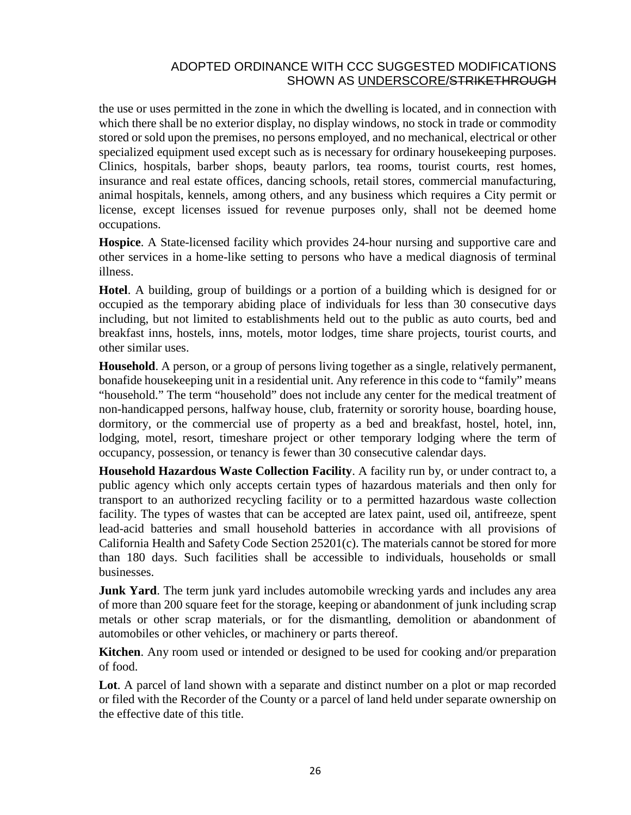the use or uses permitted in the zone in which the dwelling is located, and in connection with which there shall be no exterior display, no display windows, no stock in trade or commodity stored or sold upon the premises, no persons employed, and no mechanical, electrical or other specialized equipment used except such as is necessary for ordinary housekeeping purposes. Clinics, hospitals, barber shops, beauty parlors, tea rooms, tourist courts, rest homes, insurance and real estate offices, dancing schools, retail stores, commercial manufacturing, animal hospitals, kennels, among others, and any business which requires a City permit or license, except licenses issued for revenue purposes only, shall not be deemed home occupations.

**Hospice**. A State-licensed facility which provides 24-hour nursing and supportive care and other services in a home-like setting to persons who have a medical diagnosis of terminal illness.

**Hotel**. A building, group of buildings or a portion of a building which is designed for or occupied as the temporary abiding place of individuals for less than 30 consecutive days including, but not limited to establishments held out to the public as auto courts, bed and breakfast inns, hostels, inns, motels, motor lodges, time share projects, tourist courts, and other similar uses.

**Household**. A person, or a group of persons living together as a single, relatively permanent, bonafide housekeeping unit in a residential unit. Any reference in this code to "family" means "household." The term "household" does not include any center for the medical treatment of non-handicapped persons, halfway house, club, fraternity or sorority house, boarding house, dormitory, or the commercial use of property as a bed and breakfast, hostel, hotel, inn, lodging, motel, resort, timeshare project or other temporary lodging where the term of occupancy, possession, or tenancy is fewer than 30 consecutive calendar days.

**Household Hazardous Waste Collection Facility**. A facility run by, or under contract to, a public agency which only accepts certain types of hazardous materials and then only for transport to an authorized recycling facility or to a permitted hazardous waste collection facility. The types of wastes that can be accepted are latex paint, used oil, antifreeze, spent lead-acid batteries and small household batteries in accordance with all provisions of California [Health](http://qcode.us/codes/othercode.php?state=ca&code=heasaf) and Safety Code Section 25201(c). The materials cannot be stored for more than 180 days. Such facilities shall be accessible to individuals, households or small businesses.

**Junk Yard**. The term junk yard includes automobile wrecking yards and includes any area of more than 200 square feet for the storage, keeping or abandonment of junk including scrap metals or other scrap materials, or for the dismantling, demolition or abandonment of automobiles or other vehicles, or machinery or parts thereof.

**Kitchen**. Any room used or intended or designed to be used for cooking and/or preparation of food.

**Lot**. A parcel of land shown with a separate and distinct number on a plot or map recorded or filed with the Recorder of the County or a parcel of land held under separate ownership on the effective date of this title.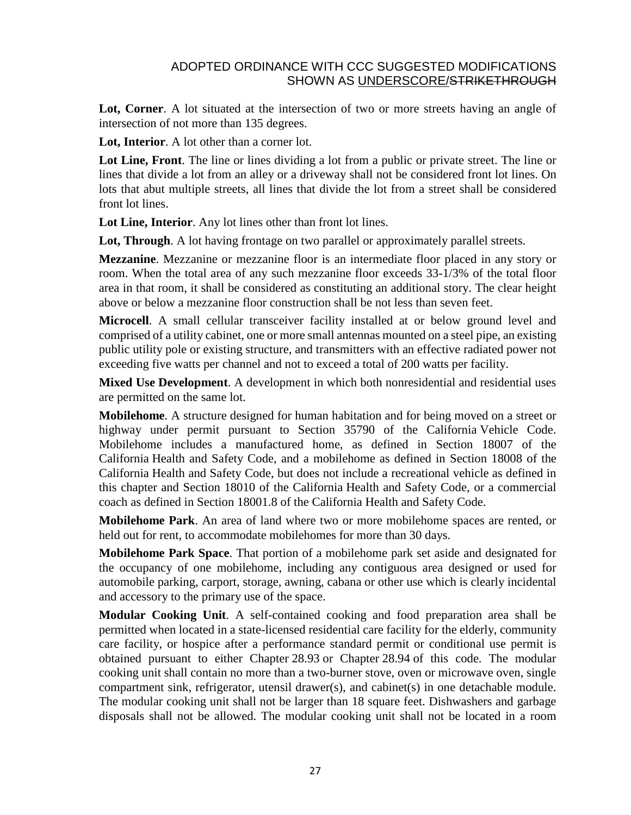**Lot, Corner**. A lot situated at the intersection of two or more streets having an angle of intersection of not more than 135 degrees.

**Lot, Interior**. A lot other than a corner lot.

**Lot Line, Front**. The line or lines dividing a lot from a public or private street. The line or lines that divide a lot from an alley or a driveway shall not be considered front lot lines. On lots that abut multiple streets, all lines that divide the lot from a street shall be considered front lot lines.

**Lot Line, Interior**. Any lot lines other than front lot lines.

**Lot, Through**. A lot having frontage on two parallel or approximately parallel streets.

**Mezzanine**. Mezzanine or mezzanine floor is an intermediate floor placed in any story or room. When the total area of any such mezzanine floor exceeds 33-1/3% of the total floor area in that room, it shall be considered as constituting an additional story. The clear height above or below a mezzanine floor construction shall be not less than seven feet.

**Microcell**. A small cellular transceiver facility installed at or below ground level and comprised of a utility cabinet, one or more small antennas mounted on a steel pipe, an existing public utility pole or existing structure, and transmitters with an effective radiated power not exceeding five watts per channel and not to exceed a total of 200 watts per facility.

**Mixed Use Development**. A development in which both nonresidential and residential uses are permitted on the same lot.

**Mobilehome**. A structure designed for human habitation and for being moved on a street or highway under permit pursuant to Section 35790 of the California [Vehicle](http://qcode.us/codes/othercode.php?state=ca&code=veh) Code. Mobilehome includes a manufactured home, as defined in Section 18007 of the California [Health](http://qcode.us/codes/othercode.php?state=ca&code=heasaf) and Safety Code, and a mobilehome as defined in Section 18008 of the California [Health](http://qcode.us/codes/othercode.php?state=ca&code=heasaf) and Safety Code, but does not include a recreational vehicle as defined in this chapter and Section 18010 of the California [Health](http://qcode.us/codes/othercode.php?state=ca&code=heasaf) and Safety Code, or a commercial coach as defined in Section 18001.8 of the California [Health](http://qcode.us/codes/othercode.php?state=ca&code=heasaf) and Safety Code.

**Mobilehome Park**. An area of land where two or more mobilehome spaces are rented, or held out for rent, to accommodate mobilehomes for more than 30 days.

**Mobilehome Park Space**. That portion of a mobilehome park set aside and designated for the occupancy of one mobilehome, including any contiguous area designed or used for automobile parking, carport, storage, awning, cabana or other use which is clearly incidental and accessory to the primary use of the space.

**Modular Cooking Unit**. A self-contained cooking and food preparation area shall be permitted when located in a state-licensed residential care facility for the elderly, community care facility, or hospice after a performance standard permit or conditional use permit is obtained pursuant to either Chapter [28.93](http://qcode.us/codes/santabarbara/view.php?cite=chapter_28.93&confidence=6) or Chapter [28.94](http://qcode.us/codes/santabarbara/view.php?cite=chapter_28.94&confidence=8) of this code. The modular cooking unit shall contain no more than a two-burner stove, oven or microwave oven, single compartment sink, refrigerator, utensil drawer(s), and cabinet(s) in one detachable module. The modular cooking unit shall not be larger than 18 square feet. Dishwashers and garbage disposals shall not be allowed. The modular cooking unit shall not be located in a room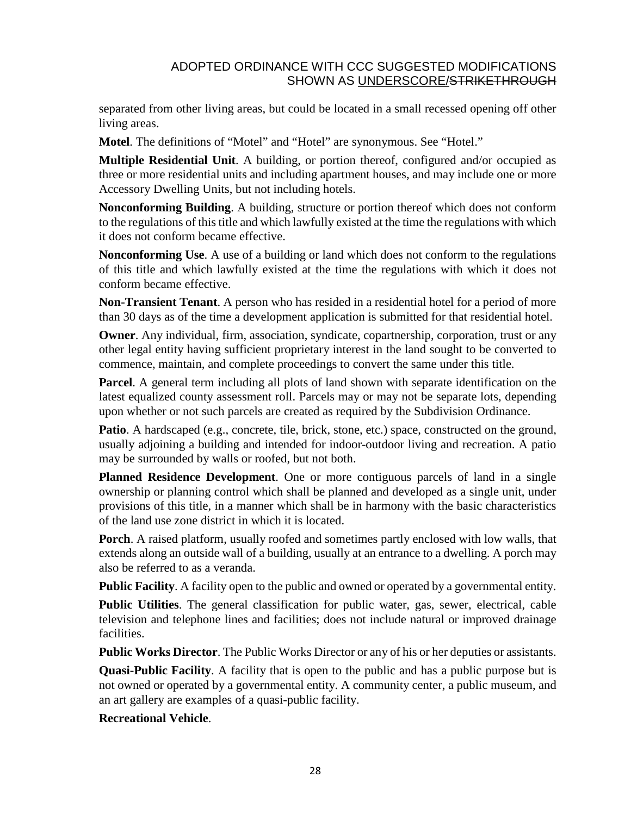separated from other living areas, but could be located in a small recessed opening off other living areas.

**Motel**. The definitions of "Motel" and "Hotel" are synonymous. See "Hotel."

**Multiple Residential Unit**. A building, or portion thereof, configured and/or occupied as three or more residential units and including apartment houses, and may include one or more Accessory Dwelling Units, but not including hotels.

**Nonconforming Building**. A building, structure or portion thereof which does not conform to the regulations of this title and which lawfully existed at the time the regulations with which it does not conform became effective.

**Nonconforming Use**. A use of a building or land which does not conform to the regulations of this title and which lawfully existed at the time the regulations with which it does not conform became effective.

**Non-Transient Tenant**. A person who has resided in a residential hotel for a period of more than 30 days as of the time a development application is submitted for that residential hotel.

**Owner**. Any individual, firm, association, syndicate, copartnership, corporation, trust or any other legal entity having sufficient proprietary interest in the land sought to be converted to commence, maintain, and complete proceedings to convert the same under this title.

**Parcel**. A general term including all plots of land shown with separate identification on the latest equalized county assessment roll. Parcels may or may not be separate lots, depending upon whether or not such parcels are created as required by the Subdivision Ordinance.

Patio. A hardscaped (e.g., concrete, tile, brick, stone, etc.) space, constructed on the ground, usually adjoining a building and intended for indoor-outdoor living and recreation. A patio may be surrounded by walls or roofed, but not both.

**Planned Residence Development**. One or more contiguous parcels of land in a single ownership or planning control which shall be planned and developed as a single unit, under provisions of this title, in a manner which shall be in harmony with the basic characteristics of the land use zone district in which it is located.

**Porch**. A raised platform, usually roofed and sometimes partly enclosed with low walls, that extends along an outside wall of a building, usually at an entrance to a dwelling. A porch may also be referred to as a veranda.

**Public Facility**. A facility open to the public and owned or operated by a governmental entity.

**Public Utilities**. The general classification for public water, gas, sewer, electrical, cable television and telephone lines and facilities; does not include natural or improved drainage facilities.

**Public Works Director**. The Public Works Director or any of his or her deputies or assistants.

**Quasi-Public Facility**. A facility that is open to the public and has a public purpose but is not owned or operated by a governmental entity. A community center, a public museum, and an art gallery are examples of a quasi-public facility.

**Recreational Vehicle**.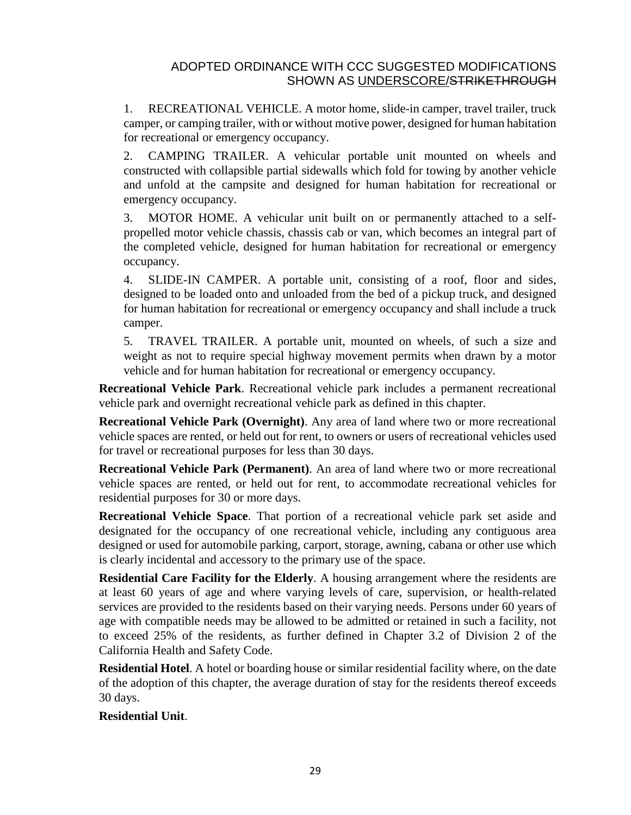1. RECREATIONAL VEHICLE. A motor home, slide-in camper, travel trailer, truck camper, or camping trailer, with or without motive power, designed for human habitation for recreational or emergency occupancy.

2. CAMPING TRAILER. A vehicular portable unit mounted on wheels and constructed with collapsible partial sidewalls which fold for towing by another vehicle and unfold at the campsite and designed for human habitation for recreational or emergency occupancy.

3. MOTOR HOME. A vehicular unit built on or permanently attached to a selfpropelled motor vehicle chassis, chassis cab or van, which becomes an integral part of the completed vehicle, designed for human habitation for recreational or emergency occupancy.

4. SLIDE-IN CAMPER. A portable unit, consisting of a roof, floor and sides, designed to be loaded onto and unloaded from the bed of a pickup truck, and designed for human habitation for recreational or emergency occupancy and shall include a truck camper.

5. TRAVEL TRAILER. A portable unit, mounted on wheels, of such a size and weight as not to require special highway movement permits when drawn by a motor vehicle and for human habitation for recreational or emergency occupancy.

**Recreational Vehicle Park**. Recreational vehicle park includes a permanent recreational vehicle park and overnight recreational vehicle park as defined in this chapter.

**Recreational Vehicle Park (Overnight)**. Any area of land where two or more recreational vehicle spaces are rented, or held out for rent, to owners or users of recreational vehicles used for travel or recreational purposes for less than 30 days.

**Recreational Vehicle Park (Permanent)**. An area of land where two or more recreational vehicle spaces are rented, or held out for rent, to accommodate recreational vehicles for residential purposes for 30 or more days.

**Recreational Vehicle Space**. That portion of a recreational vehicle park set aside and designated for the occupancy of one recreational vehicle, including any contiguous area designed or used for automobile parking, carport, storage, awning, cabana or other use which is clearly incidental and accessory to the primary use of the space.

**Residential Care Facility for the Elderly.** A housing arrangement where the residents are at least 60 years of age and where varying levels of care, supervision, or health-related services are provided to the residents based on their varying needs. Persons under 60 years of age with compatible needs may be allowed to be admitted or retained in such a facility, not to exceed 25% of the residents, as further defined in Chapter 3.2 of Division 2 of the California [Health](http://qcode.us/codes/othercode.php?state=ca&code=heasaf) and Safety Code.

**Residential Hotel**. A hotel or boarding house or similar residential facility where, on the date of the adoption of this chapter, the average duration of stay for the residents thereof exceeds 30 days.

## **Residential Unit**.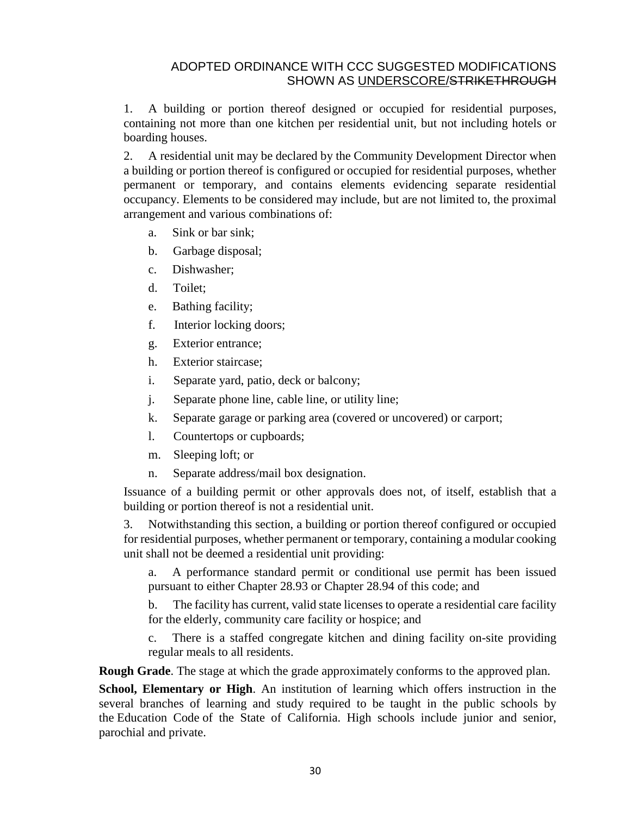1. A building or portion thereof designed or occupied for residential purposes, containing not more than one kitchen per residential unit, but not including hotels or boarding houses.

2. A residential unit may be declared by the Community Development Director when a building or portion thereof is configured or occupied for residential purposes, whether permanent or temporary, and contains elements evidencing separate residential occupancy. Elements to be considered may include, but are not limited to, the proximal arrangement and various combinations of:

- a. Sink or bar sink;
- b. Garbage disposal;
- c. Dishwasher;
- d. Toilet;
- e. Bathing facility;
- f. Interior locking doors;
- g. Exterior entrance;
- h. Exterior staircase;
- i. Separate yard, patio, deck or balcony;
- j. Separate phone line, cable line, or utility line;
- k. Separate garage or parking area (covered or uncovered) or carport;
- l. Countertops or cupboards;
- m. Sleeping loft; or
- n. Separate address/mail box designation.

Issuance of a building permit or other approvals does not, of itself, establish that a building or portion thereof is not a residential unit.

3. Notwithstanding this section, a building or portion thereof configured or occupied for residential purposes, whether permanent or temporary, containing a modular cooking unit shall not be deemed a residential unit providing:

a. A performance standard permit or conditional use permit has been issued pursuant to either Chapter [28.93](http://qcode.us/codes/santabarbara/view.php?cite=chapter_28.93&confidence=6) or Chapter [28.94](http://qcode.us/codes/santabarbara/view.php?cite=chapter_28.94&confidence=8) of this code; and

b. The facility has current, valid state licenses to operate a residential care facility for the elderly, community care facility or hospice; and

c. There is a staffed congregate kitchen and dining facility on-site providing regular meals to all residents.

**Rough Grade**. The stage at which the grade approximately conforms to the approved plan.

**School, Elementary or High**. An institution of learning which offers instruction in the several branches of learning and study required to be taught in the public schools by the [Education](http://qcode.us/codes/othercode.php?state=ca&code=edu) Code of the State of California. High schools include junior and senior, parochial and private.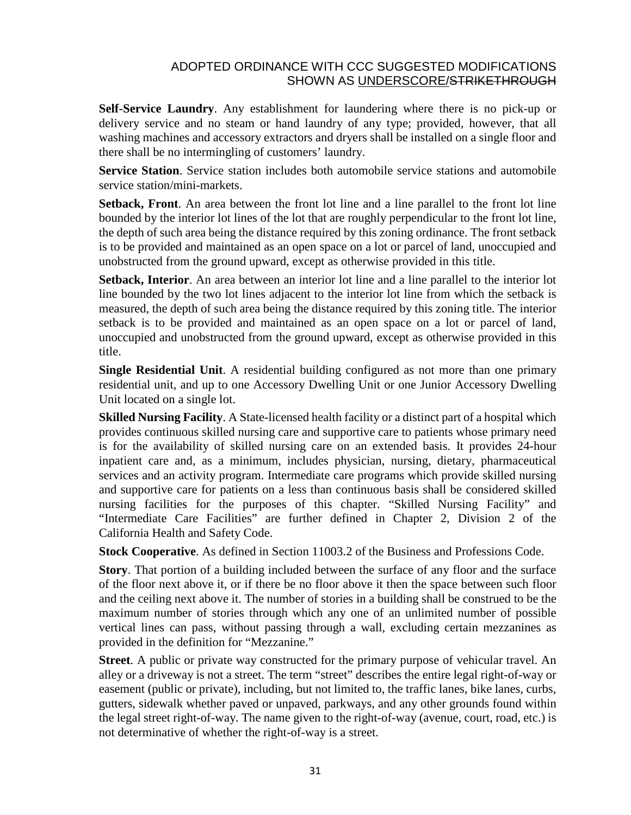**Self-Service Laundry**. Any establishment for laundering where there is no pick-up or delivery service and no steam or hand laundry of any type; provided, however, that all washing machines and accessory extractors and dryers shall be installed on a single floor and there shall be no intermingling of customers' laundry.

**Service Station**. Service station includes both automobile service stations and automobile service station/mini-markets.

**Setback, Front**. An area between the front lot line and a line parallel to the front lot line bounded by the interior lot lines of the lot that are roughly perpendicular to the front lot line, the depth of such area being the distance required by this zoning ordinance. The front setback is to be provided and maintained as an open space on a lot or parcel of land, unoccupied and unobstructed from the ground upward, except as otherwise provided in this title.

**Setback, Interior**. An area between an interior lot line and a line parallel to the interior lot line bounded by the two lot lines adjacent to the interior lot line from which the setback is measured, the depth of such area being the distance required by this zoning title. The interior setback is to be provided and maintained as an open space on a lot or parcel of land, unoccupied and unobstructed from the ground upward, except as otherwise provided in this title.

**Single Residential Unit**. A residential building configured as not more than one primary residential unit, and up to one Accessory Dwelling Unit or one Junior Accessory Dwelling Unit located on a single lot.

**Skilled Nursing Facility**. A State-licensed health facility or a distinct part of a hospital which provides continuous skilled nursing care and supportive care to patients whose primary need is for the availability of skilled nursing care on an extended basis. It provides 24-hour inpatient care and, as a minimum, includes physician, nursing, dietary, pharmaceutical services and an activity program. Intermediate care programs which provide skilled nursing and supportive care for patients on a less than continuous basis shall be considered skilled nursing facilities for the purposes of this chapter. "Skilled Nursing Facility" and "Intermediate Care Facilities" are further defined in Chapter 2, Division 2 of the California [Health](http://qcode.us/codes/othercode.php?state=ca&code=heasaf) and Safety Code.

**Stock Cooperative**. As defined in Section 11003.2 of the Business and [Professions](http://qcode.us/codes/othercode.php?state=ca&code=buspro) Code.

**Story**. That portion of a building included between the surface of any floor and the surface of the floor next above it, or if there be no floor above it then the space between such floor and the ceiling next above it. The number of stories in a building shall be construed to be the maximum number of stories through which any one of an unlimited number of possible vertical lines can pass, without passing through a wall, excluding certain mezzanines as provided in the definition for "Mezzanine."

**Street**. A public or private way constructed for the primary purpose of vehicular travel. An alley or a driveway is not a street. The term "street" describes the entire legal right-of-way or easement (public or private), including, but not limited to, the traffic lanes, bike lanes, curbs, gutters, sidewalk whether paved or unpaved, parkways, and any other grounds found within the legal street right-of-way. The name given to the right-of-way (avenue, court, road, etc.) is not determinative of whether the right-of-way is a street.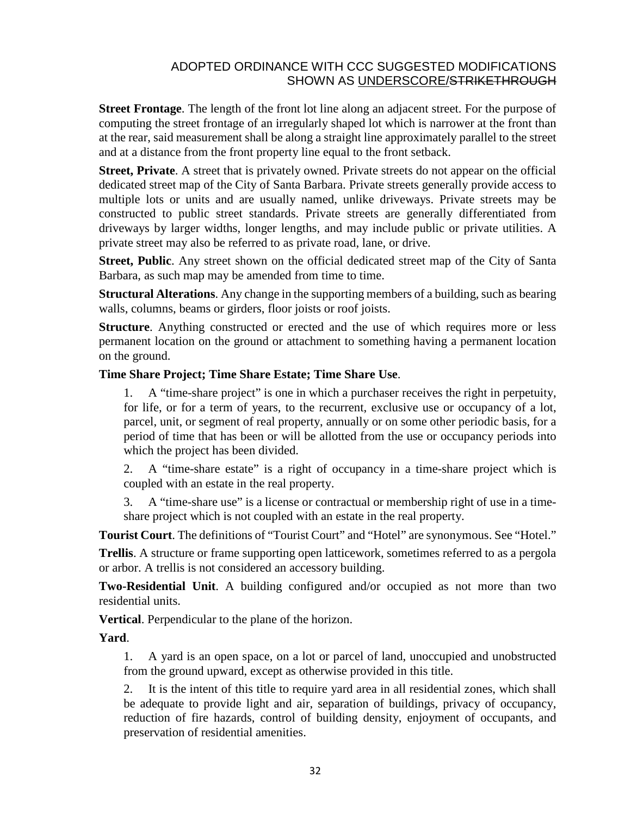**Street Frontage**. The length of the front lot line along an adjacent street. For the purpose of computing the street frontage of an irregularly shaped lot which is narrower at the front than at the rear, said measurement shall be along a straight line approximately parallel to the street and at a distance from the front property line equal to the front setback.

**Street, Private**. A street that is privately owned. Private streets do not appear on the official dedicated street map of the City of Santa Barbara. Private streets generally provide access to multiple lots or units and are usually named, unlike driveways. Private streets may be constructed to public street standards. Private streets are generally differentiated from driveways by larger widths, longer lengths, and may include public or private utilities. A private street may also be referred to as private road, lane, or drive.

**Street, Public**. Any street shown on the official dedicated street map of the City of Santa Barbara, as such map may be amended from time to time.

**Structural Alterations**. Any change in the supporting members of a building, such as bearing walls, columns, beams or girders, floor joists or roof joists.

**Structure**. Anything constructed or erected and the use of which requires more or less permanent location on the ground or attachment to something having a permanent location on the ground.

#### **Time Share Project; Time Share Estate; Time Share Use**.

1. A "time-share project" is one in which a purchaser receives the right in perpetuity, for life, or for a term of years, to the recurrent, exclusive use or occupancy of a lot, parcel, unit, or segment of real property, annually or on some other periodic basis, for a period of time that has been or will be allotted from the use or occupancy periods into which the project has been divided.

2. A "time-share estate" is a right of occupancy in a time-share project which is coupled with an estate in the real property.

3. A "time-share use" is a license or contractual or membership right of use in a timeshare project which is not coupled with an estate in the real property.

**Tourist Court**. The definitions of "Tourist Court" and "Hotel" are synonymous. See "Hotel."

**Trellis**. A structure or frame supporting open latticework, sometimes referred to as a pergola or arbor. A trellis is not considered an accessory building.

**Two-Residential Unit**. A building configured and/or occupied as not more than two residential units.

**Vertical**. Perpendicular to the plane of the horizon.

**Yard**.

1. A yard is an open space, on a lot or parcel of land, unoccupied and unobstructed from the ground upward, except as otherwise provided in this title.

2. It is the intent of this title to require yard area in all residential zones, which shall be adequate to provide light and air, separation of buildings, privacy of occupancy, reduction of fire hazards, control of building density, enjoyment of occupants, and preservation of residential amenities.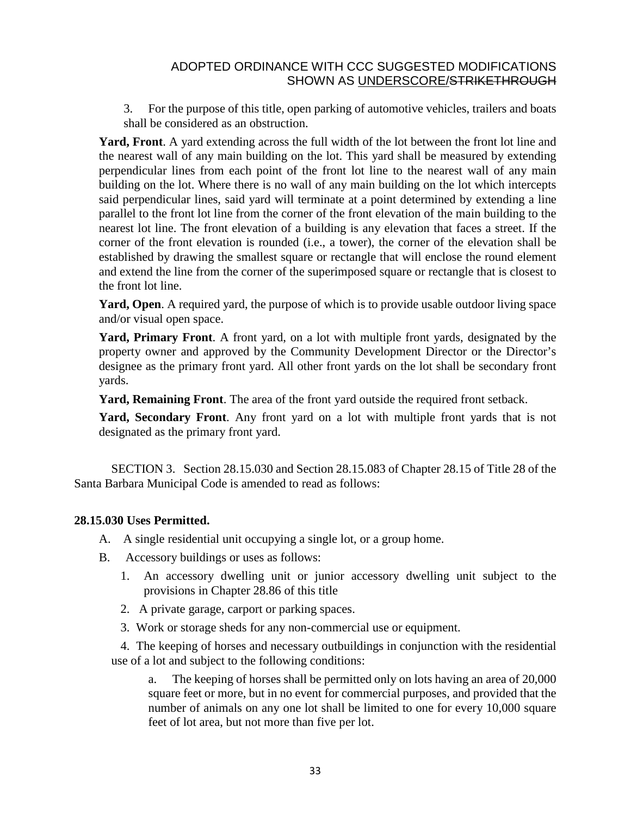3. For the purpose of this title, open parking of automotive vehicles, trailers and boats shall be considered as an obstruction.

**Yard, Front**. A yard extending across the full width of the lot between the front lot line and the nearest wall of any main building on the lot. This yard shall be measured by extending perpendicular lines from each point of the front lot line to the nearest wall of any main building on the lot. Where there is no wall of any main building on the lot which intercepts said perpendicular lines, said yard will terminate at a point determined by extending a line parallel to the front lot line from the corner of the front elevation of the main building to the nearest lot line. The front elevation of a building is any elevation that faces a street. If the corner of the front elevation is rounded (i.e., a tower), the corner of the elevation shall be established by drawing the smallest square or rectangle that will enclose the round element and extend the line from the corner of the superimposed square or rectangle that is closest to the front lot line.

**Yard, Open**. A required yard, the purpose of which is to provide usable outdoor living space and/or visual open space.

**Yard, Primary Front**. A front yard, on a lot with multiple front yards, designated by the property owner and approved by the Community Development Director or the Director's designee as the primary front yard. All other front yards on the lot shall be secondary front yards.

**Yard, Remaining Front**. The area of the front yard outside the required front setback.

**Yard, Secondary Front**. Any front yard on a lot with multiple front yards that is not designated as the primary front yard.

SECTION 3. Section 28.15.030 and Section 28.15.083 of Chapter 28.15 of Title 28 of the Santa Barbara Municipal Code is amended to read as follows:

#### **28.15.030 Uses Permitted.**

A. A single residential unit occupying a single lot, or a group home.

- B. Accessory buildings or uses as follows:
	- 1. An accessory dwelling unit or junior accessory dwelling unit subject to the provisions in Chapter 28.86 of this title
	- 2. A private garage, carport or parking spaces.
	- 3. Work or storage sheds for any non-commercial use or equipment.

4. The keeping of horses and necessary outbuildings in conjunction with the residential use of a lot and subject to the following conditions:

a. The keeping of horses shall be permitted only on lots having an area of 20,000 square feet or more, but in no event for commercial purposes, and provided that the number of animals on any one lot shall be limited to one for every 10,000 square feet of lot area, but not more than five per lot.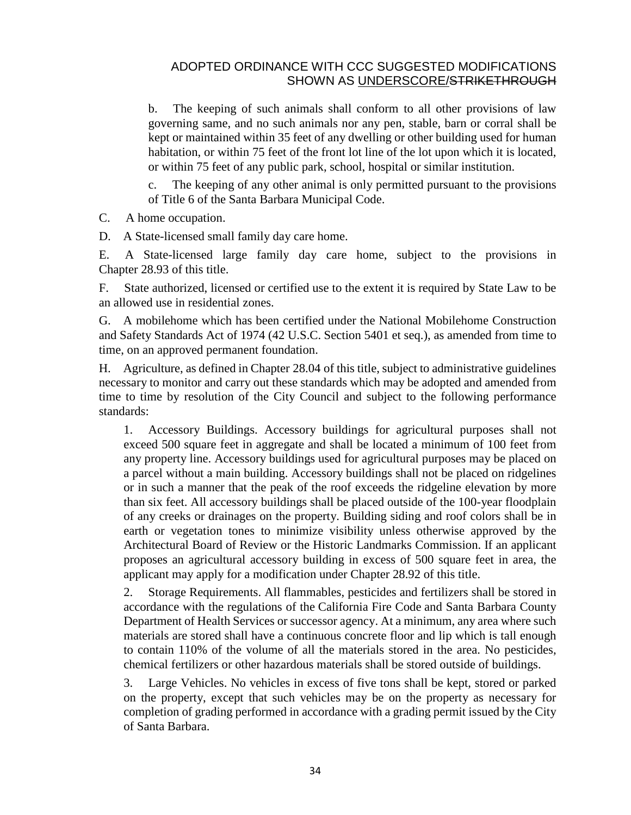b. The keeping of such animals shall conform to all other provisions of law governing same, and no such animals nor any pen, stable, barn or corral shall be kept or maintained within 35 feet of any dwelling or other building used for human habitation, or within 75 feet of the front lot line of the lot upon which it is located, or within 75 feet of any public park, school, hospital or similar institution.

c. The keeping of any other animal is only permitted pursuant to the provisions of Title 6 of the Santa Barbara Municipal Code.

C. A home occupation.

D. A State-licensed small family day care home.

E. A State-licensed large family day care home, subject to the provisions in Chapter [28.93](http://qcode.us/codes/santabarbara/view.php?cite=chapter_28.93&confidence=8) of this title.

F. State authorized, licensed or certified use to the extent it is required by State Law to be an allowed use in residential zones.

G. A mobilehome which has been certified under the National Mobilehome Construction and Safety Standards Act of 1974 (42 U.S.C. Section 5401 et seq.), as amended from time to time, on an approved permanent foundation.

H. Agriculture, as defined in Chapter [28.04](http://qcode.us/codes/santabarbara/view.php?cite=chapter_28.04&confidence=8) of this title, subject to administrative guidelines necessary to monitor and carry out these standards which may be adopted and amended from time to time by resolution of the City Council and subject to the following performance standards:

1. Accessory Buildings. Accessory buildings for agricultural purposes shall not exceed 500 square feet in aggregate and shall be located a minimum of 100 feet from any property line. Accessory buildings used for agricultural purposes may be placed on a parcel without a main building. Accessory buildings shall not be placed on ridgelines or in such a manner that the peak of the roof exceeds the ridgeline elevation by more than six feet. All accessory buildings shall be placed outside of the 100-year floodplain of any creeks or drainages on the property. Building siding and roof colors shall be in earth or vegetation tones to minimize visibility unless otherwise approved by the Architectural Board of Review or the Historic Landmarks Commission. If an applicant proposes an agricultural accessory building in excess of 500 square feet in area, the applicant may apply for a modification under Chapter [28.92](http://qcode.us/codes/santabarbara/view.php?cite=chapter_28.92&confidence=8) of this title.

2. Storage Requirements. All flammables, pesticides and fertilizers shall be stored in accordance with the regulations of the [California](http://qcode.us/codes/othercode.php?state=ca&code=calfir) Fire Code and Santa Barbara County Department of Health Services or successor agency. At a minimum, any area where such materials are stored shall have a continuous concrete floor and lip which is tall enough to contain 110% of the volume of all the materials stored in the area. No pesticides, chemical fertilizers or other hazardous materials shall be stored outside of buildings.

3. Large Vehicles. No vehicles in excess of five tons shall be kept, stored or parked on the property, except that such vehicles may be on the property as necessary for completion of grading performed in accordance with a grading permit issued by the City of Santa Barbara.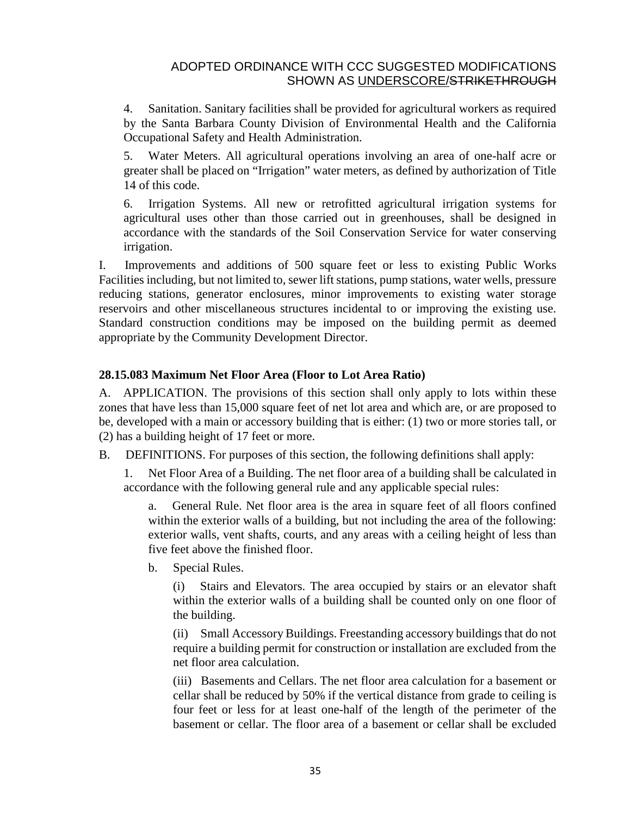4. Sanitation. Sanitary facilities shall be provided for agricultural workers as required by the Santa Barbara County Division of Environmental Health and the California Occupational Safety and Health Administration.

5. Water Meters. All agricultural operations involving an area of one-half acre or greater shall be placed on "Irrigation" water meters, as defined by authorization of Title 14 of this code.

6. Irrigation Systems. All new or retrofitted agricultural irrigation systems for agricultural uses other than those carried out in greenhouses, shall be designed in accordance with the standards of the Soil Conservation Service for water conserving irrigation.

I. Improvements and additions of 500 square feet or less to existing Public Works Facilities including, but not limited to, sewer lift stations, pump stations, water wells, pressure reducing stations, generator enclosures, minor improvements to existing water storage reservoirs and other miscellaneous structures incidental to or improving the existing use. Standard construction conditions may be imposed on the building permit as deemed appropriate by the Community Development Director.

## **28.15.083 Maximum Net Floor Area (Floor to Lot Area Ratio)**

A. APPLICATION. The provisions of this section shall only apply to lots within these zones that have less than 15,000 square feet of net lot area and which are, or are proposed to be, developed with a main or accessory building that is either: (1) two or more stories tall, or (2) has a building height of 17 feet or more.

B. DEFINITIONS. For purposes of this section, the following definitions shall apply:

1. Net Floor Area of a Building. The net floor area of a building shall be calculated in accordance with the following general rule and any applicable special rules:

a. General Rule. Net floor area is the area in square feet of all floors confined within the exterior walls of a building, but not including the area of the following: exterior walls, vent shafts, courts, and any areas with a ceiling height of less than five feet above the finished floor.

b. Special Rules.

(i) Stairs and Elevators. The area occupied by stairs or an elevator shaft within the exterior walls of a building shall be counted only on one floor of the building.

(ii) Small Accessory Buildings. Freestanding accessory buildings that do not require a building permit for construction or installation are excluded from the net floor area calculation.

(iii) Basements and Cellars. The net floor area calculation for a basement or cellar shall be reduced by 50% if the vertical distance from grade to ceiling is four feet or less for at least one-half of the length of the perimeter of the basement or cellar. The floor area of a basement or cellar shall be excluded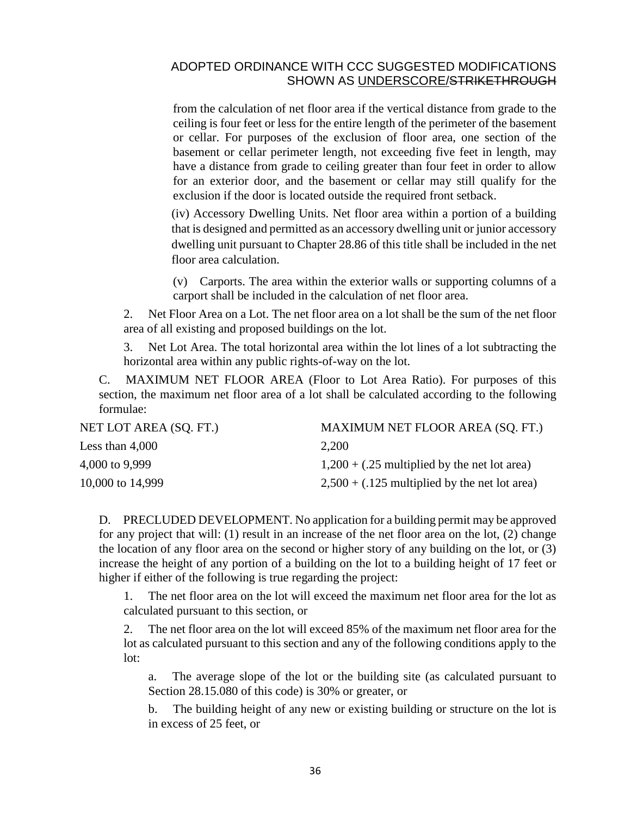from the calculation of net floor area if the vertical distance from grade to the ceiling is four feet or less for the entire length of the perimeter of the basement or cellar. For purposes of the exclusion of floor area, one section of the basement or cellar perimeter length, not exceeding five feet in length, may have a distance from grade to ceiling greater than four feet in order to allow for an exterior door, and the basement or cellar may still qualify for the exclusion if the door is located outside the required front setback.

(iv) Accessory Dwelling Units. Net floor area within a portion of a building that is designed and permitted as an accessory dwelling unit or junior accessory dwelling unit pursuant to Chapter 28.86 of this title shall be included in the net floor area calculation.

(v) Carports. The area within the exterior walls or supporting columns of a carport shall be included in the calculation of net floor area.

2. Net Floor Area on a Lot. The net floor area on a lot shall be the sum of the net floor area of all existing and proposed buildings on the lot.

3. Net Lot Area. The total horizontal area within the lot lines of a lot subtracting the horizontal area within any public rights-of-way on the lot.

C. MAXIMUM NET FLOOR AREA (Floor to Lot Area Ratio). For purposes of this section, the maximum net floor area of a lot shall be calculated according to the following formulae:

| NET LOT AREA (SQ. FT.) | MAXIMUM NET FLOOR AREA (SQ. FT.)                |
|------------------------|-------------------------------------------------|
| Less than $4,000$      | 2,200                                           |
| 4,000 to 9,999         | $1,200 + (.25$ multiplied by the net lot area)  |
| 10,000 to 14,999       | $2,500 + (.125$ multiplied by the net lot area) |

D. PRECLUDED DEVELOPMENT. No application for a building permit may be approved for any project that will: (1) result in an increase of the net floor area on the lot, (2) change the location of any floor area on the second or higher story of any building on the lot, or (3) increase the height of any portion of a building on the lot to a building height of 17 feet or higher if either of the following is true regarding the project:

1. The net floor area on the lot will exceed the maximum net floor area for the lot as calculated pursuant to this section, or

2. The net floor area on the lot will exceed 85% of the maximum net floor area for the lot as calculated pursuant to this section and any of the following conditions apply to the lot:

a. The average slope of the lot or the building site (as calculated pursuant to Section [28.15.080](http://qcode.us/codes/santabarbara/view.php?cite=section_28.15.080&confidence=8) of this code) is 30% or greater, or

The building height of any new or existing building or structure on the lot is in excess of 25 feet, or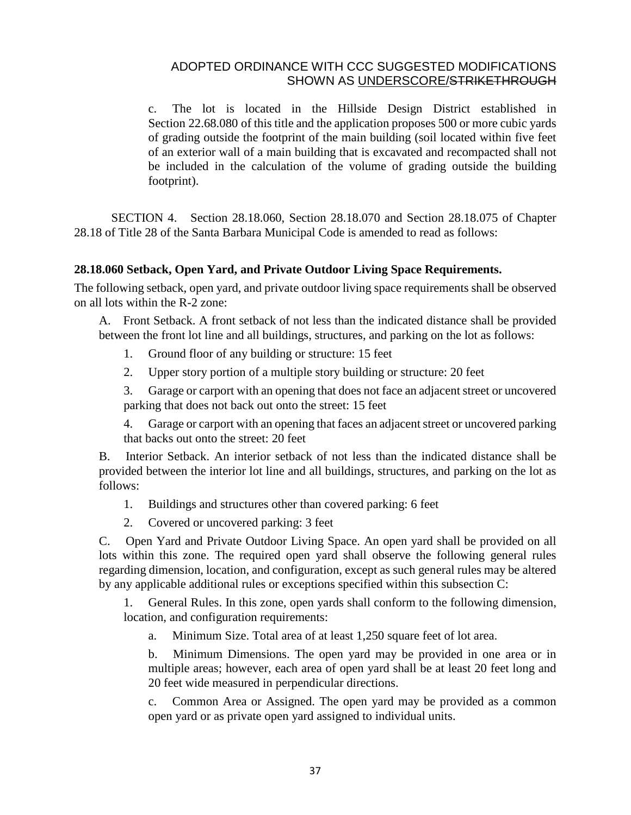c. The lot is located in the Hillside Design District established in Section [22.68.080](http://qcode.us/codes/santabarbara/view.php?cite=section_22.68.080&confidence=8) of this title and the application proposes 500 or more cubic yards of grading outside the footprint of the main building (soil located within five feet of an exterior wall of a main building that is excavated and recompacted shall not be included in the calculation of the volume of grading outside the building footprint).

SECTION 4. Section 28.18.060, Section 28.18.070 and Section 28.18.075 of Chapter 28.18 of Title 28 of the Santa Barbara Municipal Code is amended to read as follows:

#### **28.18.060 Setback, Open Yard, and Private Outdoor Living Space Requirements.**

The following setback, open yard, and private outdoor living space requirements shall be observed on all lots within the R-2 zone:

A. Front Setback. A front setback of not less than the indicated distance shall be provided between the front lot line and all buildings, structures, and parking on the lot as follows:

- 1. Ground floor of any building or structure: 15 feet
- 2. Upper story portion of a multiple story building or structure: 20 feet

3. Garage or carport with an opening that does not face an adjacent street or uncovered parking that does not back out onto the street: 15 feet

4. Garage or carport with an opening that faces an adjacent street or uncovered parking that backs out onto the street: 20 feet

B. Interior Setback. An interior setback of not less than the indicated distance shall be provided between the interior lot line and all buildings, structures, and parking on the lot as follows:

- 1. Buildings and structures other than covered parking: 6 feet
- 2. Covered or uncovered parking: 3 feet

C. Open Yard and Private Outdoor Living Space. An open yard shall be provided on all lots within this zone. The required open yard shall observe the following general rules regarding dimension, location, and configuration, except as such general rules may be altered by any applicable additional rules or exceptions specified within this subsection C:

General Rules. In this zone, open yards shall conform to the following dimension, location, and configuration requirements:

a. Minimum Size. Total area of at least 1,250 square feet of lot area.

b. Minimum Dimensions. The open yard may be provided in one area or in multiple areas; however, each area of open yard shall be at least 20 feet long and 20 feet wide measured in perpendicular directions.

c. Common Area or Assigned. The open yard may be provided as a common open yard or as private open yard assigned to individual units.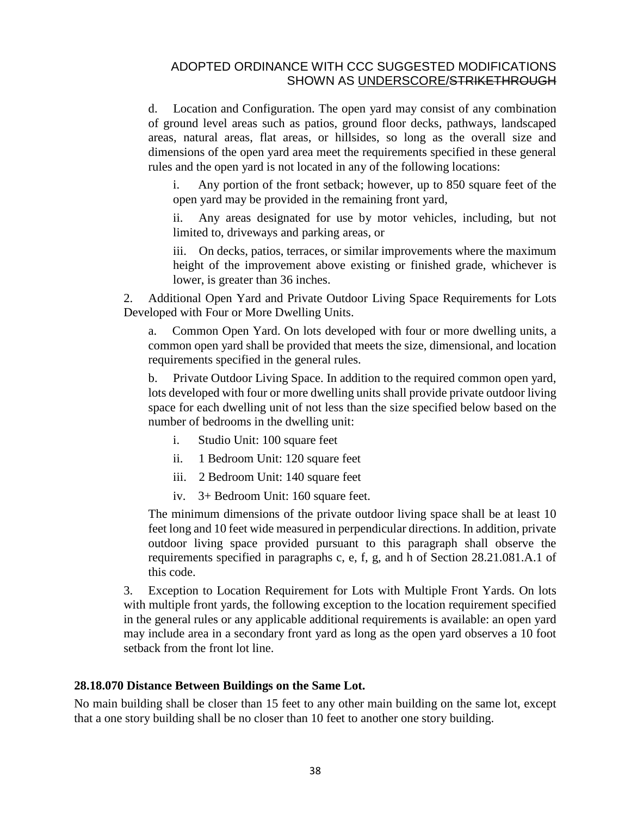d. Location and Configuration. The open yard may consist of any combination of ground level areas such as patios, ground floor decks, pathways, landscaped areas, natural areas, flat areas, or hillsides, so long as the overall size and dimensions of the open yard area meet the requirements specified in these general rules and the open yard is not located in any of the following locations:

i. Any portion of the front setback; however, up to 850 square feet of the open yard may be provided in the remaining front yard,

ii. Any areas designated for use by motor vehicles, including, but not limited to, driveways and parking areas, or

iii. On decks, patios, terraces, or similar improvements where the maximum height of the improvement above existing or finished grade, whichever is lower, is greater than 36 inches.

2. Additional Open Yard and Private Outdoor Living Space Requirements for Lots Developed with Four or More Dwelling Units.

a. Common Open Yard. On lots developed with four or more dwelling units, a common open yard shall be provided that meets the size, dimensional, and location requirements specified in the general rules.

b. Private Outdoor Living Space. In addition to the required common open yard, lots developed with four or more dwelling units shall provide private outdoor living space for each dwelling unit of not less than the size specified below based on the number of bedrooms in the dwelling unit:

- i. Studio Unit: 100 square feet
- ii. 1 Bedroom Unit: 120 square feet
- iii. 2 Bedroom Unit: 140 square feet
- iv. 3+ Bedroom Unit: 160 square feet.

The minimum dimensions of the private outdoor living space shall be at least 10 feet long and 10 feet wide measured in perpendicular directions. In addition, private outdoor living space provided pursuant to this paragraph shall observe the requirements specified in paragraphs c, e, f, g, and h of Section 28.21.081.A.1 of this code.

3. Exception to Location Requirement for Lots with Multiple Front Yards. On lots with multiple front yards, the following exception to the location requirement specified in the general rules or any applicable additional requirements is available: an open yard may include area in a secondary front yard as long as the open yard observes a 10 foot setback from the front lot line.

#### **28.18.070 Distance Between Buildings on the Same Lot.**

No main building shall be closer than 15 feet to any other main building on the same lot, except that a one story building shall be no closer than 10 feet to another one story building.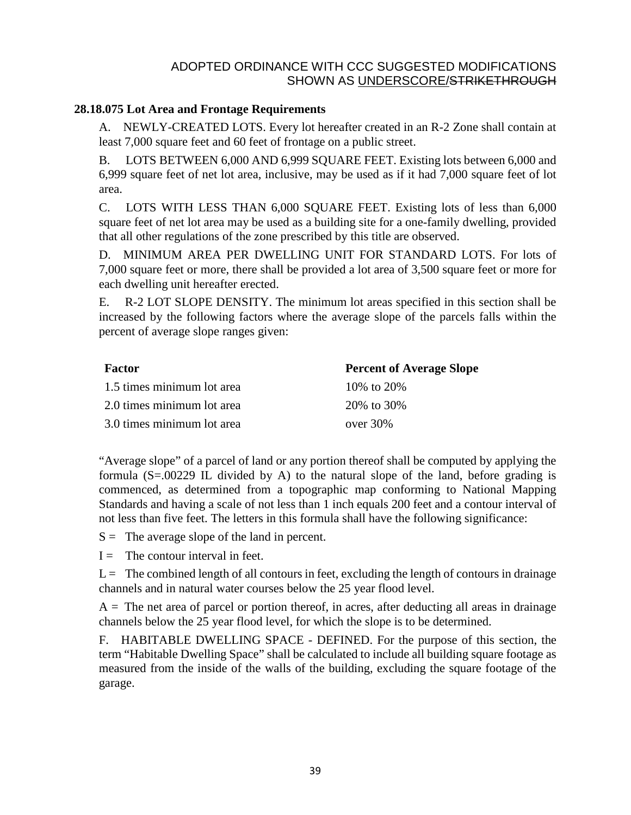#### **28.18.075 Lot Area and Frontage Requirements**

A. NEWLY-CREATED LOTS. Every lot hereafter created in an R-2 Zone shall contain at least 7,000 square feet and 60 feet of frontage on a public street.

B. LOTS BETWEEN 6,000 AND 6,999 SQUARE FEET. Existing lots between 6,000 and 6,999 square feet of net lot area, inclusive, may be used as if it had 7,000 square feet of lot area.

C. LOTS WITH LESS THAN 6,000 SQUARE FEET. Existing lots of less than 6,000 square feet of net lot area may be used as a building site for a one-family dwelling, provided that all other regulations of the zone prescribed by this title are observed.

D. MINIMUM AREA PER DWELLING UNIT FOR STANDARD LOTS. For lots of 7,000 square feet or more, there shall be provided a lot area of 3,500 square feet or more for each dwelling unit hereafter erected.

E. R-2 LOT SLOPE DENSITY. The minimum lot areas specified in this section shall be increased by the following factors where the average slope of the parcels falls within the percent of average slope ranges given:

| <b>Factor</b>              | <b>Percent of Average Slope</b> |
|----------------------------|---------------------------------|
| 1.5 times minimum lot area | 10\% to 20\%                    |
| 2.0 times minimum lot area | 20\% to 30\%                    |
| 3.0 times minimum lot area | over $30\%$                     |

"Average slope" of a parcel of land or any portion thereof shall be computed by applying the formula  $(S=.00229$  IL divided by A) to the natural slope of the land, before grading is commenced, as determined from a topographic map conforming to National Mapping Standards and having a scale of not less than 1 inch equals 200 feet and a contour interval of not less than five feet. The letters in this formula shall have the following significance:

 $S =$  The average slope of the land in percent.

 $I =$  The contour interval in feet.

 $L =$ The combined length of all contours in feet, excluding the length of contours in drainage channels and in natural water courses below the 25 year flood level.

 $A =$ The net area of parcel or portion thereof, in acres, after deducting all areas in drainage channels below the 25 year flood level, for which the slope is to be determined.

F. HABITABLE DWELLING SPACE - DEFINED. For the purpose of this section, the term "Habitable Dwelling Space" shall be calculated to include all building square footage as measured from the inside of the walls of the building, excluding the square footage of the garage.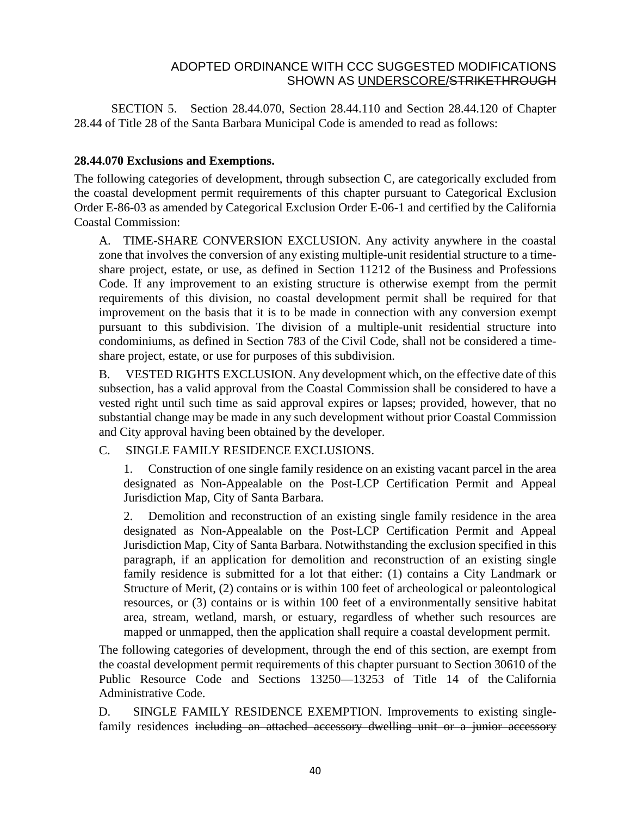SECTION 5. Section 28.44.070, Section 28.44.110 and Section 28.44.120 of Chapter 28.44 of Title 28 of the Santa Barbara Municipal Code is amended to read as follows:

#### **28.44.070 Exclusions and Exemptions.**

The following categories of development, through subsection C, are categorically excluded from the coastal development permit requirements of this chapter pursuant to Categorical Exclusion Order E-86-03 as amended by Categorical Exclusion Order E-06-1 and certified by the California Coastal Commission:

A. TIME-SHARE CONVERSION EXCLUSION. Any activity anywhere in the coastal zone that involves the conversion of any existing multiple-unit residential structure to a timeshare project, estate, or use, as defined in Section 11212 of the Business and [Professions](http://qcode.us/codes/othercode.php?state=ca&code=buspro) [Code.](http://qcode.us/codes/othercode.php?state=ca&code=buspro) If any improvement to an existing structure is otherwise exempt from the permit requirements of this division, no coastal development permit shall be required for that improvement on the basis that it is to be made in connection with any conversion exempt pursuant to this subdivision. The division of a multiple-unit residential structure into condominiums, as defined in Section 783 of the Civil [Code,](http://qcode.us/codes/othercode.php?state=ca&code=civ) shall not be considered a timeshare project, estate, or use for purposes of this subdivision.

B. VESTED RIGHTS EXCLUSION. Any development which, on the effective date of this subsection, has a valid approval from the Coastal Commission shall be considered to have a vested right until such time as said approval expires or lapses; provided, however, that no substantial change may be made in any such development without prior Coastal Commission and City approval having been obtained by the developer.

## C. SINGLE FAMILY RESIDENCE EXCLUSIONS.

1. Construction of one single family residence on an existing vacant parcel in the area designated as Non-Appealable on the Post-LCP Certification Permit and Appeal Jurisdiction Map, City of Santa Barbara.

2. Demolition and reconstruction of an existing single family residence in the area designated as Non-Appealable on the Post-LCP Certification Permit and Appeal Jurisdiction Map, City of Santa Barbara. Notwithstanding the exclusion specified in this paragraph, if an application for demolition and reconstruction of an existing single family residence is submitted for a lot that either: (1) contains a City Landmark or Structure of Merit, (2) contains or is within 100 feet of archeological or paleontological resources, or (3) contains or is within 100 feet of a environmentally sensitive habitat area, stream, wetland, marsh, or estuary, regardless of whether such resources are mapped or unmapped, then the application shall require a coastal development permit.

The following categories of development, through the end of this section, are exempt from the coastal development permit requirements of this chapter pursuant to Section 30610 of the Public Resource Code and Sections 13250—13253 of Title 14 of the [California](http://qcode.us/codes/othercode.php?state=ca&code=caladm) [Administrative](http://qcode.us/codes/othercode.php?state=ca&code=caladm) Code.

D. SINGLE FAMILY RESIDENCE EXEMPTION. Improvements to existing singlefamily residences including an attached accessory dwelling unit or a junior accessory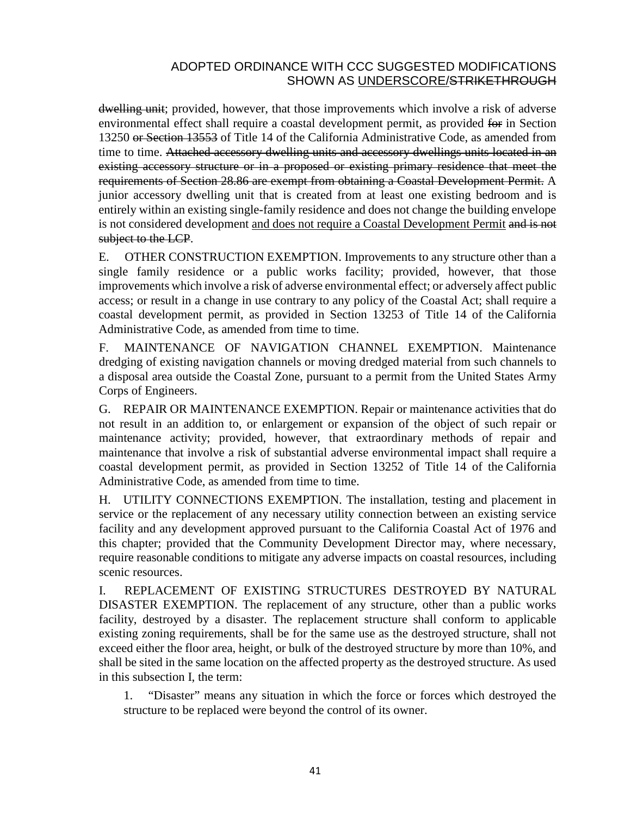dwelling unit; provided, however, that those improvements which involve a risk of adverse environmental effect shall require a coastal development permit, as provided for in Section 13250 or Section 13553 of Title 14 of the California Administrative Code, as amended from time to time. Attached accessory dwelling units and accessory dwellings units located in an existing accessory structure or in a proposed or existing primary residence that meet the requirements of Section 28.86 are exempt from obtaining a Coastal Development Permit. A junior accessory dwelling unit that is created from at least one existing bedroom and is entirely within an existing single-family residence and does not change the building envelope is not considered development and does not require a Coastal Development Permit and is not subject to the LCP.

E. OTHER CONSTRUCTION EXEMPTION. Improvements to any structure other than a single family residence or a public works facility; provided, however, that those improvements which involve a risk of adverse environmental effect; or adversely affect public access; or result in a change in use contrary to any policy of the Coastal Act; shall require a coastal development permit, as provided in Section 13253 of Title 14 of the [California](http://qcode.us/codes/othercode.php?state=ca&code=caladm) [Administrative](http://qcode.us/codes/othercode.php?state=ca&code=caladm) Code, as amended from time to time.

F. MAINTENANCE OF NAVIGATION CHANNEL EXEMPTION. Maintenance dredging of existing navigation channels or moving dredged material from such channels to a disposal area outside the Coastal Zone, pursuant to a permit from the United States Army Corps of Engineers.

G. REPAIR OR MAINTENANCE EXEMPTION. Repair or maintenance activities that do not result in an addition to, or enlargement or expansion of the object of such repair or maintenance activity; provided, however, that extraordinary methods of repair and maintenance that involve a risk of substantial adverse environmental impact shall require a coastal development permit, as provided in Section 13252 of Title 14 of the [California](http://qcode.us/codes/othercode.php?state=ca&code=caladm) [Administrative](http://qcode.us/codes/othercode.php?state=ca&code=caladm) Code, as amended from time to time.

H. UTILITY CONNECTIONS EXEMPTION. The installation, testing and placement in service or the replacement of any necessary utility connection between an existing service facility and any development approved pursuant to the California Coastal Act of 1976 and this chapter; provided that the Community Development Director may, where necessary, require reasonable conditions to mitigate any adverse impacts on coastal resources, including scenic resources.

I. REPLACEMENT OF EXISTING STRUCTURES DESTROYED BY NATURAL DISASTER EXEMPTION. The replacement of any structure, other than a public works facility, destroyed by a disaster. The replacement structure shall conform to applicable existing zoning requirements, shall be for the same use as the destroyed structure, shall not exceed either the floor area, height, or bulk of the destroyed structure by more than 10%, and shall be sited in the same location on the affected property as the destroyed structure. As used in this subsection I, the term:

1. "Disaster" means any situation in which the force or forces which destroyed the structure to be replaced were beyond the control of its owner.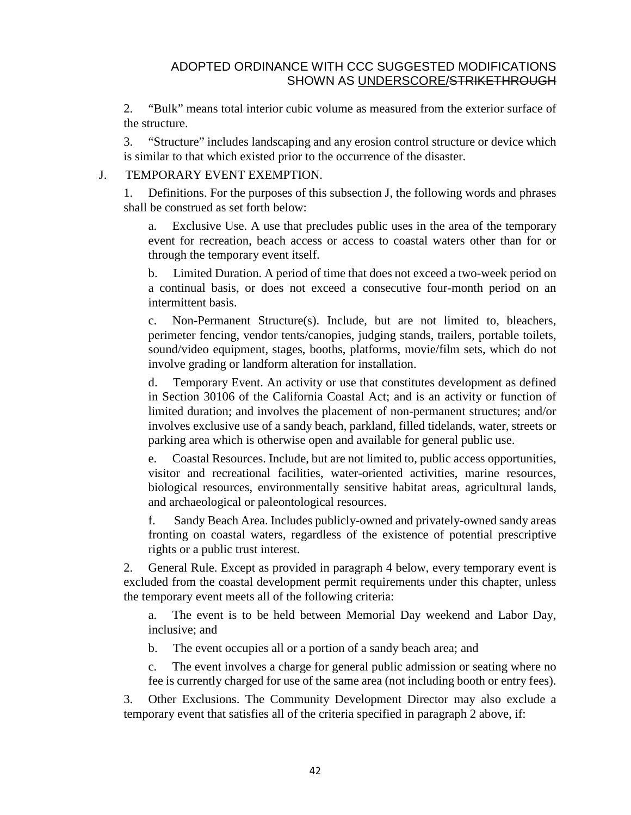2. "Bulk" means total interior cubic volume as measured from the exterior surface of the structure.

3. "Structure" includes landscaping and any erosion control structure or device which is similar to that which existed prior to the occurrence of the disaster.

#### J. TEMPORARY EVENT EXEMPTION.

1. Definitions. For the purposes of this subsection J, the following words and phrases shall be construed as set forth below:

a. Exclusive Use. A use that precludes public uses in the area of the temporary event for recreation, beach access or access to coastal waters other than for or through the temporary event itself.

b. Limited Duration. A period of time that does not exceed a two-week period on a continual basis, or does not exceed a consecutive four-month period on an intermittent basis.

c. Non-Permanent Structure(s). Include, but are not limited to, bleachers, perimeter fencing, vendor tents/canopies, judging stands, trailers, portable toilets, sound/video equipment, stages, booths, platforms, movie/film sets, which do not involve grading or landform alteration for installation.

d. Temporary Event. An activity or use that constitutes development as defined in Section 30106 of the California Coastal Act; and is an activity or function of limited duration; and involves the placement of non-permanent structures; and/or involves exclusive use of a sandy beach, parkland, filled tidelands, water, streets or parking area which is otherwise open and available for general public use.

e. Coastal Resources. Include, but are not limited to, public access opportunities, visitor and recreational facilities, water-oriented activities, marine resources, biological resources, environmentally sensitive habitat areas, agricultural lands, and archaeological or paleontological resources.

f. Sandy Beach Area. Includes publicly-owned and privately-owned sandy areas fronting on coastal waters, regardless of the existence of potential prescriptive rights or a public trust interest.

2. General Rule. Except as provided in paragraph 4 below, every temporary event is excluded from the coastal development permit requirements under this chapter, unless the temporary event meets all of the following criteria:

a. The event is to be held between Memorial Day weekend and Labor Day, inclusive; and

b. The event occupies all or a portion of a sandy beach area; and

c. The event involves a charge for general public admission or seating where no fee is currently charged for use of the same area (not including booth or entry fees).

3. Other Exclusions. The Community Development Director may also exclude a temporary event that satisfies all of the criteria specified in paragraph 2 above, if: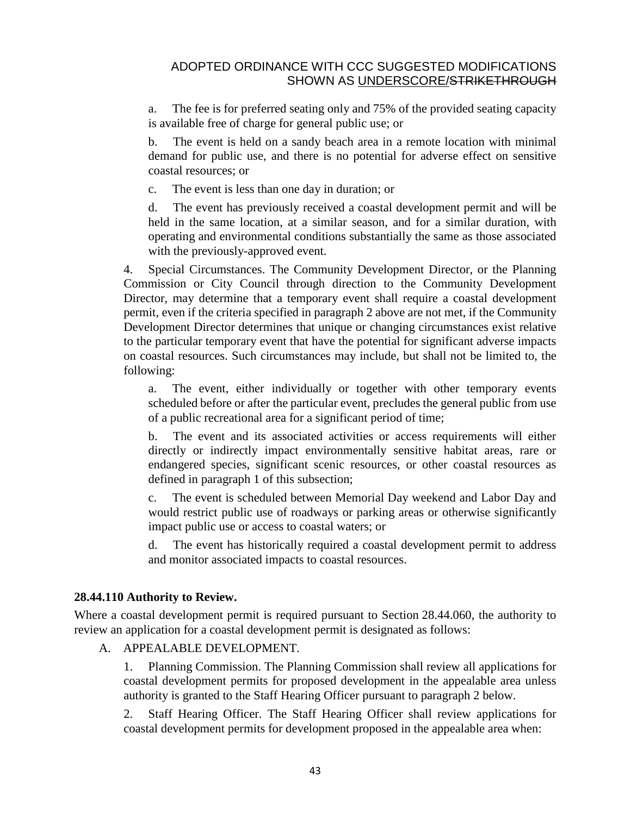a. The fee is for preferred seating only and 75% of the provided seating capacity is available free of charge for general public use; or

b. The event is held on a sandy beach area in a remote location with minimal demand for public use, and there is no potential for adverse effect on sensitive coastal resources; or

c. The event is less than one day in duration; or

d. The event has previously received a coastal development permit and will be held in the same location, at a similar season, and for a similar duration, with operating and environmental conditions substantially the same as those associated with the previously-approved event.

4. Special Circumstances. The Community Development Director, or the Planning Commission or City Council through direction to the Community Development Director, may determine that a temporary event shall require a coastal development permit, even if the criteria specified in paragraph 2 above are not met, if the Community Development Director determines that unique or changing circumstances exist relative to the particular temporary event that have the potential for significant adverse impacts on coastal resources. Such circumstances may include, but shall not be limited to, the following:

a. The event, either individually or together with other temporary events scheduled before or after the particular event, precludes the general public from use of a public recreational area for a significant period of time;

b. The event and its associated activities or access requirements will either directly or indirectly impact environmentally sensitive habitat areas, rare or endangered species, significant scenic resources, or other coastal resources as defined in paragraph 1 of this subsection;

c. The event is scheduled between Memorial Day weekend and Labor Day and would restrict public use of roadways or parking areas or otherwise significantly impact public use or access to coastal waters; or

d. The event has historically required a coastal development permit to address and monitor associated impacts to coastal resources.

## **28.44.110 Authority to Review.**

Where a coastal development permit is required pursuant to Section [28.44.060,](http://qcode.us/codes/santabarbara/view.php?cite=section_28.44.060&confidence=6) the authority to review an application for a coastal development permit is designated as follows:

A. APPEALABLE DEVELOPMENT.

1. Planning Commission. The Planning Commission shall review all applications for coastal development permits for proposed development in the appealable area unless authority is granted to the Staff Hearing Officer pursuant to paragraph 2 below.

2. Staff Hearing Officer. The Staff Hearing Officer shall review applications for coastal development permits for development proposed in the appealable area when: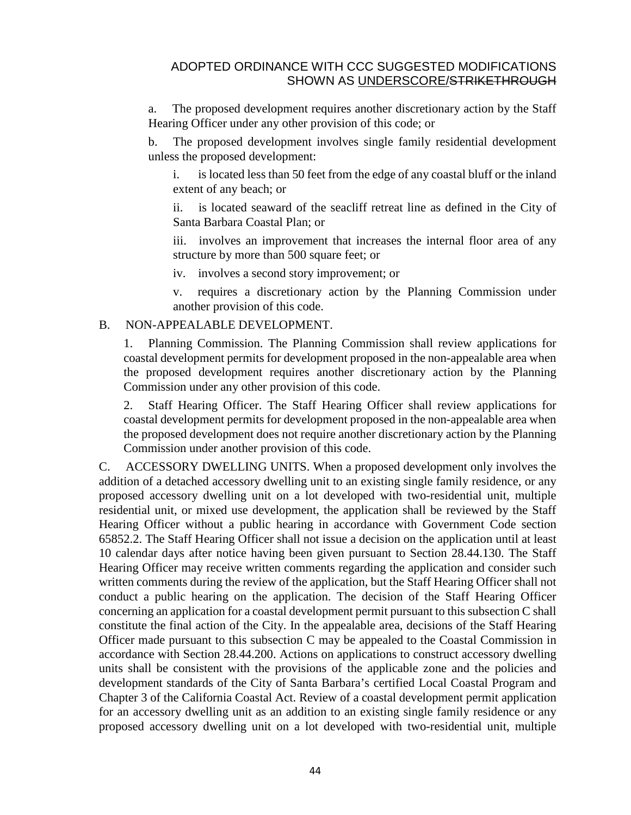a. The proposed development requires another discretionary action by the Staff Hearing Officer under any other provision of this code; or

b. The proposed development involves single family residential development unless the proposed development:

i. is located less than 50 feet from the edge of any coastal bluff or the inland extent of any beach; or

ii. is located seaward of the seacliff retreat line as defined in the City of Santa Barbara Coastal Plan; or

iii. involves an improvement that increases the internal floor area of any structure by more than 500 square feet; or

iv. involves a second story improvement; or

v. requires a discretionary action by the Planning Commission under another provision of this code.

#### B. NON-APPEALABLE DEVELOPMENT.

1. Planning Commission. The Planning Commission shall review applications for coastal development permits for development proposed in the non-appealable area when the proposed development requires another discretionary action by the Planning Commission under any other provision of this code.

2. Staff Hearing Officer. The Staff Hearing Officer shall review applications for coastal development permits for development proposed in the non-appealable area when the proposed development does not require another discretionary action by the Planning Commission under another provision of this code.

C. ACCESSORY DWELLING UNITS. When a proposed development only involves the addition of a detached accessory dwelling unit to an existing single family residence, or any proposed accessory dwelling unit on a lot developed with two-residential unit, multiple residential unit, or mixed use development, the application shall be reviewed by the Staff Hearing Officer without a public hearing in accordance with Government Code section 65852.2. The Staff Hearing Officer shall not issue a decision on the application until at least 10 calendar days after notice having been given pursuant to Section [28.44.130.](http://qcode.us/codes/santabarbara/view.php?cite=section_28.44.130&confidence=6) The Staff Hearing Officer may receive written comments regarding the application and consider such written comments during the review of the application, but the Staff Hearing Officer shall not conduct a public hearing on the application. The decision of the Staff Hearing Officer concerning an application for a coastal development permit pursuant to this subsection C shall constitute the final action of the City. In the appealable area, decisions of the Staff Hearing Officer made pursuant to this subsection C may be appealed to the Coastal Commission in accordance with Section [28.44.200.](http://qcode.us/codes/santabarbara/view.php?cite=section_28.44.200&confidence=6) Actions on applications to construct accessory dwelling units shall be consistent with the provisions of the applicable zone and the policies and development standards of the City of Santa Barbara's certified Local Coastal Program and Chapter 3 of the California Coastal Act. Review of a coastal development permit application for an accessory dwelling unit as an addition to an existing single family residence or any proposed accessory dwelling unit on a lot developed with two-residential unit, multiple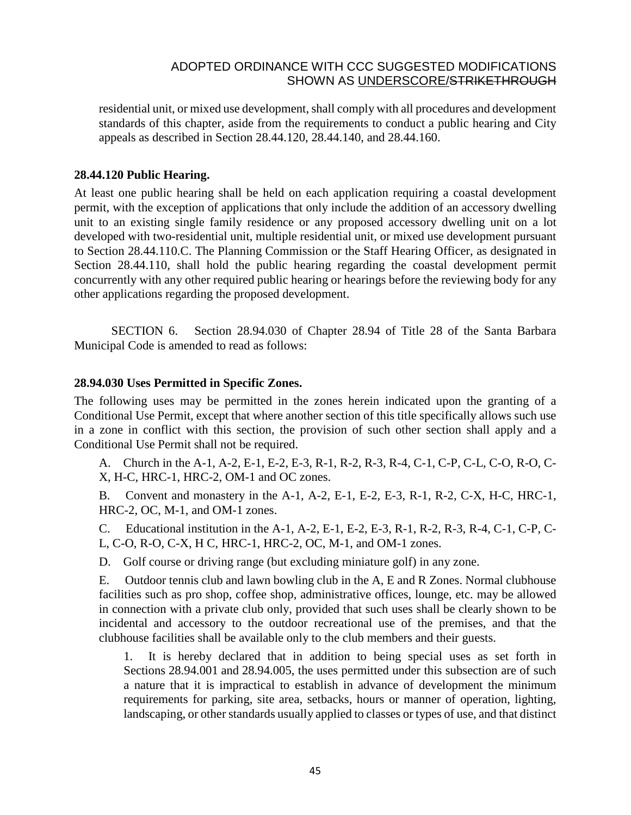residential unit, or mixed use development, shall comply with all procedures and development standards of this chapter, aside from the requirements to conduct a public hearing and City appeals as described in Section [28.44.120,](http://qcode.us/codes/santabarbara/view.php?cite=section_28.44.120&confidence=6) [28.44.140,](http://qcode.us/codes/santabarbara/view.php?cite=section_28.44.140&confidence=6) and [28.44.160.](http://qcode.us/codes/santabarbara/view.php?cite=section_28.44.160&confidence=6)

#### **28.44.120 Public Hearing.**

At least one public hearing shall be held on each application requiring a coastal development permit, with the exception of applications that only include the addition of an accessory dwelling unit to an existing single family residence or any proposed accessory dwelling unit on a lot developed with two-residential unit, multiple residential unit, or mixed use development pursuant to Section 28.44.110.C. The Planning Commission or the Staff Hearing Officer, as designated in Section [28.44.110,](http://qcode.us/codes/santabarbara/view.php?cite=section_28.44.110&confidence=6) shall hold the public hearing regarding the coastal development permit concurrently with any other required public hearing or hearings before the reviewing body for any other applications regarding the proposed development.

SECTION 6. Section 28.94.030 of Chapter 28.94 of Title 28 of the Santa Barbara Municipal Code is amended to read as follows:

#### **28.94.030 Uses Permitted in Specific Zones.**

The following uses may be permitted in the zones herein indicated upon the granting of a Conditional Use Permit, except that where another section of this title specifically allows such use in a zone in conflict with this section, the provision of such other section shall apply and a Conditional Use Permit shall not be required.

A. Church in the A-1, A-2, E-1, E-2, E-3, R-1, R-2, R-3, R-4, C-1, C-P, C-L, C-O, R-O, C-X, H-C, HRC-1, HRC-2, OM-1 and OC zones.

B. Convent and monastery in the A-1, A-2, E-1, E-2, E-3, R-1, R-2, C-X, H-C, HRC-1, HRC-2, OC, M-1, and OM-1 zones.

C. Educational institution in the A-1, A-2, E-1, E-2, E-3, R-1, R-2, R-3, R-4, C-1, C-P, C-L, C-O, R-O, C-X, H C, HRC-1, HRC-2, OC, M-1, and OM-1 zones.

D. Golf course or driving range (but excluding miniature golf) in any zone.

E. Outdoor tennis club and lawn bowling club in the A, E and R Zones. Normal clubhouse facilities such as pro shop, coffee shop, administrative offices, lounge, etc. may be allowed in connection with a private club only, provided that such uses shall be clearly shown to be incidental and accessory to the outdoor recreational use of the premises, and that the clubhouse facilities shall be available only to the club members and their guests.

1. It is hereby declared that in addition to being special uses as set forth in Sections [28.94.001](http://qcode.us/codes/santabarbara/view.php?cite=section_28.94.001&confidence=6) and [28.94.005,](http://qcode.us/codes/santabarbara/view.php?cite=section_28.94.005&confidence=6) the uses permitted under this subsection are of such a nature that it is impractical to establish in advance of development the minimum requirements for parking, site area, setbacks, hours or manner of operation, lighting, landscaping, or other standards usually applied to classes or types of use, and that distinct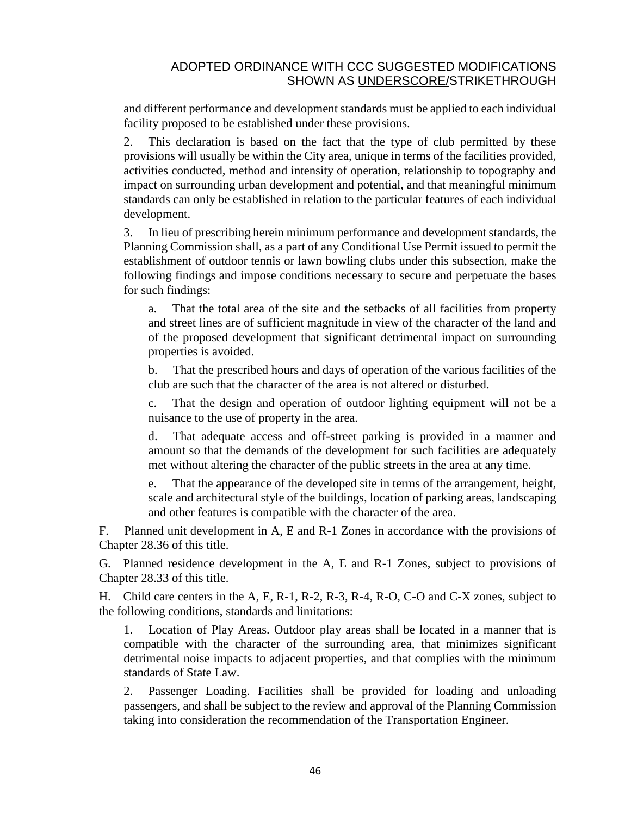and different performance and development standards must be applied to each individual facility proposed to be established under these provisions.

2. This declaration is based on the fact that the type of club permitted by these provisions will usually be within the City area, unique in terms of the facilities provided, activities conducted, method and intensity of operation, relationship to topography and impact on surrounding urban development and potential, and that meaningful minimum standards can only be established in relation to the particular features of each individual development.

3. In lieu of prescribing herein minimum performance and development standards, the Planning Commission shall, as a part of any Conditional Use Permit issued to permit the establishment of outdoor tennis or lawn bowling clubs under this subsection, make the following findings and impose conditions necessary to secure and perpetuate the bases for such findings:

a. That the total area of the site and the setbacks of all facilities from property and street lines are of sufficient magnitude in view of the character of the land and of the proposed development that significant detrimental impact on surrounding properties is avoided.

b. That the prescribed hours and days of operation of the various facilities of the club are such that the character of the area is not altered or disturbed.

c. That the design and operation of outdoor lighting equipment will not be a nuisance to the use of property in the area.

d. That adequate access and off-street parking is provided in a manner and amount so that the demands of the development for such facilities are adequately met without altering the character of the public streets in the area at any time.

e. That the appearance of the developed site in terms of the arrangement, height, scale and architectural style of the buildings, location of parking areas, landscaping and other features is compatible with the character of the area.

F. Planned unit development in A, E and R-1 Zones in accordance with the provisions of Chapter [28.36](http://qcode.us/codes/santabarbara/view.php?cite=chapter_28.36&confidence=8) of this title.

G. Planned residence development in the A, E and R-1 Zones, subject to provisions of Chapter [28.33](http://qcode.us/codes/santabarbara/view.php?cite=chapter_28.33&confidence=8) of this title.

H. Child care centers in the A, E, R-1, R-2, R-3, R-4, R-O, C-O and C-X zones, subject to the following conditions, standards and limitations:

1. Location of Play Areas. Outdoor play areas shall be located in a manner that is compatible with the character of the surrounding area, that minimizes significant detrimental noise impacts to adjacent properties, and that complies with the minimum standards of State Law.

2. Passenger Loading. Facilities shall be provided for loading and unloading passengers, and shall be subject to the review and approval of the Planning Commission taking into consideration the recommendation of the Transportation Engineer.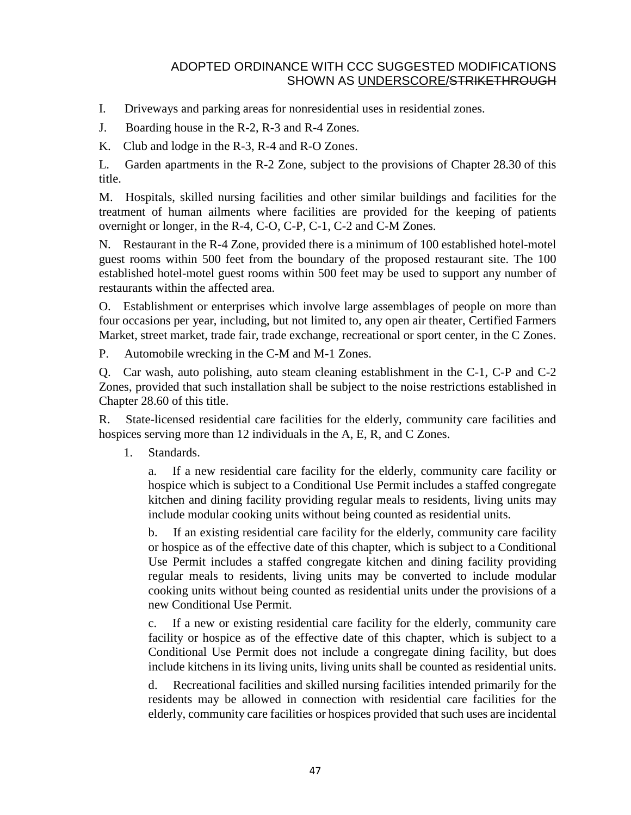- I. Driveways and parking areas for nonresidential uses in residential zones.
- J. Boarding house in the R-2, R-3 and R-4 Zones.
- K. Club and lodge in the R-3, R-4 and R-O Zones.

L. Garden apartments in the R-2 Zone, subject to the provisions of Chapter [28.30](http://qcode.us/codes/santabarbara/view.php?cite=chapter_28.30&confidence=8) of this title.

M. Hospitals, skilled nursing facilities and other similar buildings and facilities for the treatment of human ailments where facilities are provided for the keeping of patients overnight or longer, in the R-4, C-O, C-P, C-1, C-2 and C-M Zones.

N. Restaurant in the R-4 Zone, provided there is a minimum of 100 established hotel-motel guest rooms within 500 feet from the boundary of the proposed restaurant site. The 100 established hotel-motel guest rooms within 500 feet may be used to support any number of restaurants within the affected area.

O. Establishment or enterprises which involve large assemblages of people on more than four occasions per year, including, but not limited to, any open air theater, Certified Farmers Market, street market, trade fair, trade exchange, recreational or sport center, in the C Zones.

P. Automobile wrecking in the C-M and M-1 Zones.

Q. Car wash, auto polishing, auto steam cleaning establishment in the C-1, C-P and C-2 Zones, provided that such installation shall be subject to the noise restrictions established in Chapter [28.60](http://qcode.us/codes/santabarbara/view.php?cite=chapter_28.60&confidence=8) of this title.

R. State-licensed residential care facilities for the elderly, community care facilities and hospices serving more than 12 individuals in the A, E, R, and C Zones.

1. Standards.

a. If a new residential care facility for the elderly, community care facility or hospice which is subject to a Conditional Use Permit includes a staffed congregate kitchen and dining facility providing regular meals to residents, living units may include modular cooking units without being counted as residential units.

b. If an existing residential care facility for the elderly, community care facility or hospice as of the effective date of this chapter, which is subject to a Conditional Use Permit includes a staffed congregate kitchen and dining facility providing regular meals to residents, living units may be converted to include modular cooking units without being counted as residential units under the provisions of a new Conditional Use Permit.

c. If a new or existing residential care facility for the elderly, community care facility or hospice as of the effective date of this chapter, which is subject to a Conditional Use Permit does not include a congregate dining facility, but does include kitchens in its living units, living units shall be counted as residential units.

d. Recreational facilities and skilled nursing facilities intended primarily for the residents may be allowed in connection with residential care facilities for the elderly, community care facilities or hospices provided that such uses are incidental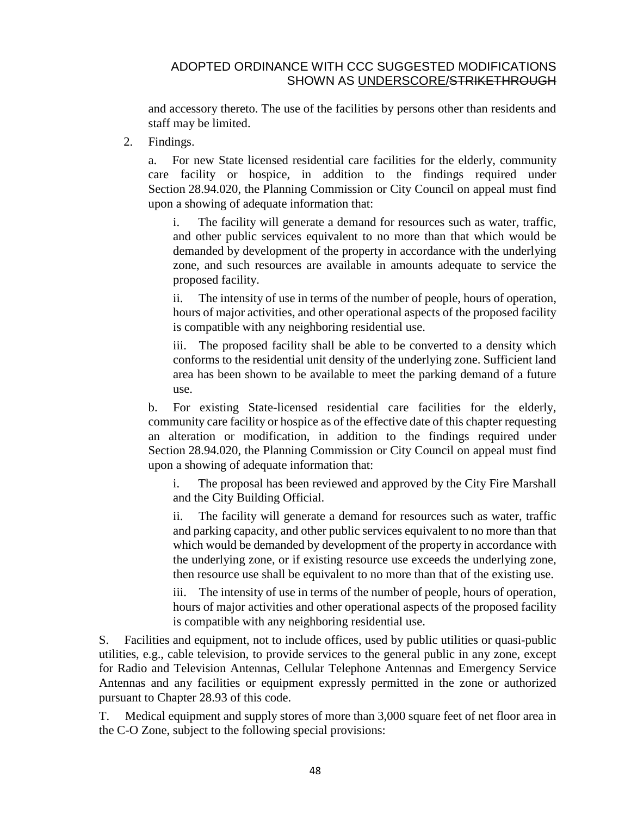and accessory thereto. The use of the facilities by persons other than residents and staff may be limited.

2. Findings.

For new State licensed residential care facilities for the elderly, community care facility or hospice, in addition to the findings required under Section [28.94.020,](http://qcode.us/codes/santabarbara/view.php?cite=section_28.94.020&confidence=6) the Planning Commission or City Council on appeal must find upon a showing of adequate information that:

i. The facility will generate a demand for resources such as water, traffic, and other public services equivalent to no more than that which would be demanded by development of the property in accordance with the underlying zone, and such resources are available in amounts adequate to service the proposed facility.

ii. The intensity of use in terms of the number of people, hours of operation, hours of major activities, and other operational aspects of the proposed facility is compatible with any neighboring residential use.

iii. The proposed facility shall be able to be converted to a density which conforms to the residential unit density of the underlying zone. Sufficient land area has been shown to be available to meet the parking demand of a future use.

b. For existing State-licensed residential care facilities for the elderly, community care facility or hospice as of the effective date of this chapter requesting an alteration or modification, in addition to the findings required under Section [28.94.020,](http://qcode.us/codes/santabarbara/view.php?cite=section_28.94.020&confidence=6) the Planning Commission or City Council on appeal must find upon a showing of adequate information that:

i. The proposal has been reviewed and approved by the City Fire Marshall and the City Building Official.

ii. The facility will generate a demand for resources such as water, traffic and parking capacity, and other public services equivalent to no more than that which would be demanded by development of the property in accordance with the underlying zone, or if existing resource use exceeds the underlying zone, then resource use shall be equivalent to no more than that of the existing use.

iii. The intensity of use in terms of the number of people, hours of operation, hours of major activities and other operational aspects of the proposed facility is compatible with any neighboring residential use.

S. Facilities and equipment, not to include offices, used by public utilities or quasi-public utilities, e.g., cable television, to provide services to the general public in any zone, except for Radio and Television Antennas, Cellular Telephone Antennas and Emergency Service Antennas and any facilities or equipment expressly permitted in the zone or authorized pursuant to Chapter [28.93](http://qcode.us/codes/santabarbara/view.php?cite=chapter_28.93&confidence=8) of this code.

T. Medical equipment and supply stores of more than 3,000 square feet of net floor area in the C-O Zone, subject to the following special provisions: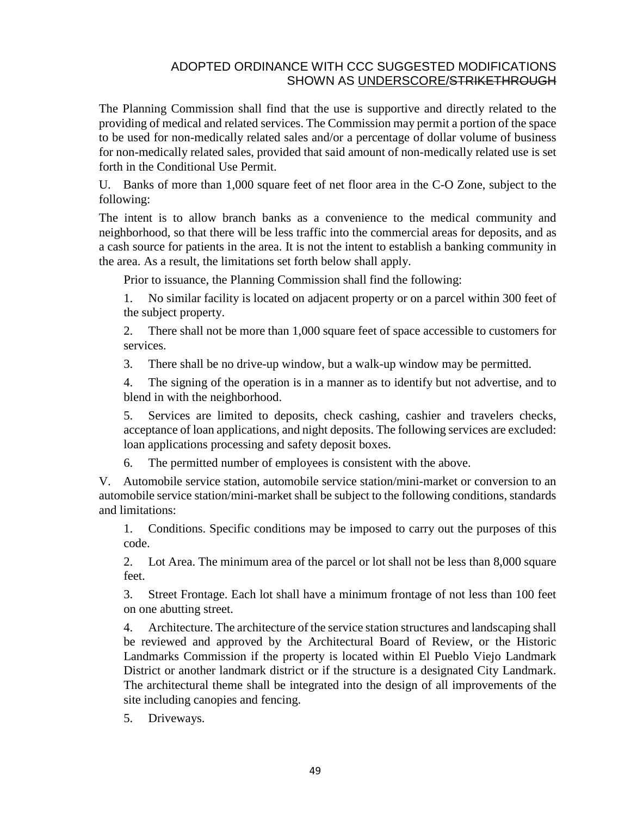The Planning Commission shall find that the use is supportive and directly related to the providing of medical and related services. The Commission may permit a portion of the space to be used for non-medically related sales and/or a percentage of dollar volume of business for non-medically related sales, provided that said amount of non-medically related use is set forth in the Conditional Use Permit.

U. Banks of more than 1,000 square feet of net floor area in the C-O Zone, subject to the following:

The intent is to allow branch banks as a convenience to the medical community and neighborhood, so that there will be less traffic into the commercial areas for deposits, and as a cash source for patients in the area. It is not the intent to establish a banking community in the area. As a result, the limitations set forth below shall apply.

Prior to issuance, the Planning Commission shall find the following:

1. No similar facility is located on adjacent property or on a parcel within 300 feet of the subject property.

2. There shall not be more than 1,000 square feet of space accessible to customers for services.

3. There shall be no drive-up window, but a walk-up window may be permitted.

4. The signing of the operation is in a manner as to identify but not advertise, and to blend in with the neighborhood.

5. Services are limited to deposits, check cashing, cashier and travelers checks, acceptance of loan applications, and night deposits. The following services are excluded: loan applications processing and safety deposit boxes.

6. The permitted number of employees is consistent with the above.

V. Automobile service station, automobile service station/mini-market or conversion to an automobile service station/mini-market shall be subject to the following conditions, standards and limitations:

1. Conditions. Specific conditions may be imposed to carry out the purposes of this code.

2. Lot Area. The minimum area of the parcel or lot shall not be less than 8,000 square feet.

3. Street Frontage. Each lot shall have a minimum frontage of not less than 100 feet on one abutting street.

4. Architecture. The architecture of the service station structures and landscaping shall be reviewed and approved by the Architectural Board of Review, or the Historic Landmarks Commission if the property is located within El Pueblo Viejo Landmark District or another landmark district or if the structure is a designated City Landmark. The architectural theme shall be integrated into the design of all improvements of the site including canopies and fencing.

5. Driveways.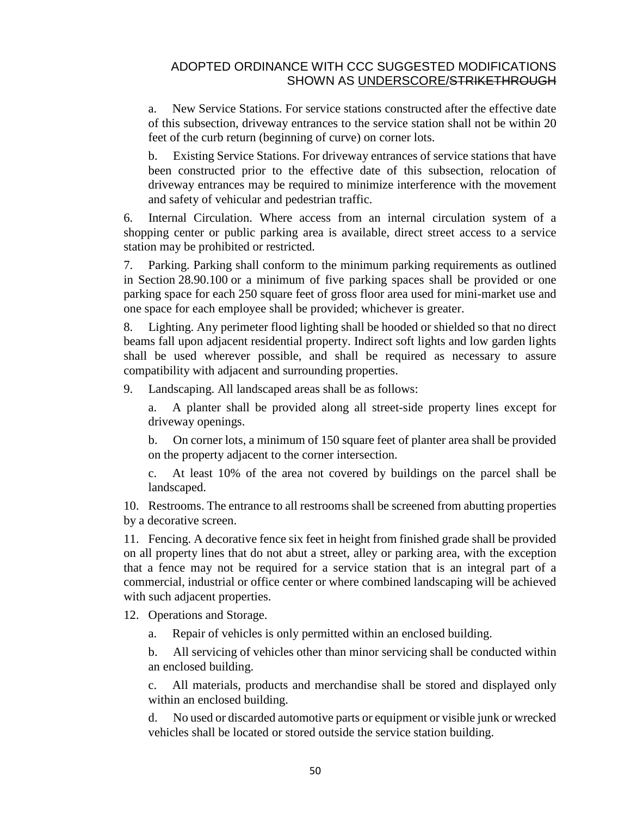a. New Service Stations. For service stations constructed after the effective date of this subsection, driveway entrances to the service station shall not be within 20 feet of the curb return (beginning of curve) on corner lots.

b. Existing Service Stations. For driveway entrances of service stations that have been constructed prior to the effective date of this subsection, relocation of driveway entrances may be required to minimize interference with the movement and safety of vehicular and pedestrian traffic.

6. Internal Circulation. Where access from an internal circulation system of a shopping center or public parking area is available, direct street access to a service station may be prohibited or restricted.

7. Parking. Parking shall conform to the minimum parking requirements as outlined in Section [28.90.100](http://qcode.us/codes/santabarbara/view.php?cite=section_28.90.100&confidence=6) or a minimum of five parking spaces shall be provided or one parking space for each 250 square feet of gross floor area used for mini-market use and one space for each employee shall be provided; whichever is greater.

8. Lighting. Any perimeter flood lighting shall be hooded or shielded so that no direct beams fall upon adjacent residential property. Indirect soft lights and low garden lights shall be used wherever possible, and shall be required as necessary to assure compatibility with adjacent and surrounding properties.

9. Landscaping. All landscaped areas shall be as follows:

a. A planter shall be provided along all street-side property lines except for driveway openings.

b. On corner lots, a minimum of 150 square feet of planter area shall be provided on the property adjacent to the corner intersection.

c. At least 10% of the area not covered by buildings on the parcel shall be landscaped.

10. Restrooms. The entrance to all restrooms shall be screened from abutting properties by a decorative screen.

11. Fencing. A decorative fence six feet in height from finished grade shall be provided on all property lines that do not abut a street, alley or parking area, with the exception that a fence may not be required for a service station that is an integral part of a commercial, industrial or office center or where combined landscaping will be achieved with such adjacent properties.

12. Operations and Storage.

a. Repair of vehicles is only permitted within an enclosed building.

b. All servicing of vehicles other than minor servicing shall be conducted within an enclosed building.

c. All materials, products and merchandise shall be stored and displayed only within an enclosed building.

d. No used or discarded automotive parts or equipment or visible junk or wrecked vehicles shall be located or stored outside the service station building.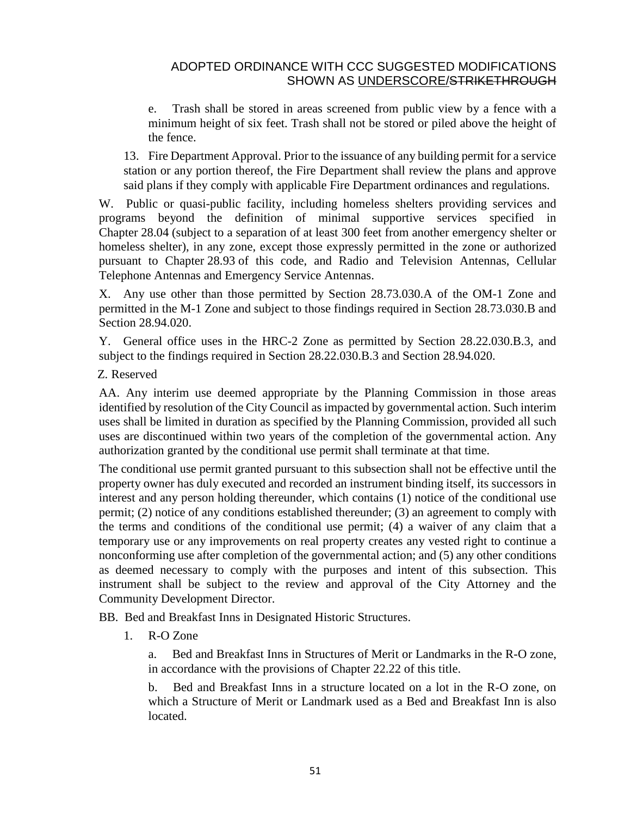e. Trash shall be stored in areas screened from public view by a fence with a minimum height of six feet. Trash shall not be stored or piled above the height of the fence.

13. Fire Department Approval. Prior to the issuance of any building permit for a service station or any portion thereof, the Fire Department shall review the plans and approve said plans if they comply with applicable Fire Department ordinances and regulations.

W. Public or quasi-public facility, including homeless shelters providing services and programs beyond the definition of minimal supportive services specified in Chapter [28.04](http://qcode.us/codes/santabarbara/view.php?cite=chapter_28.04&confidence=6) (subject to a separation of at least 300 feet from another emergency shelter or homeless shelter), in any zone, except those expressly permitted in the zone or authorized pursuant to Chapter [28.93](http://qcode.us/codes/santabarbara/view.php?cite=chapter_28.93&confidence=8) of this code, and Radio and Television Antennas, Cellular Telephone Antennas and Emergency Service Antennas.

X. Any use other than those permitted by Section 28.73.030.A of the OM-1 Zone and permitted in the M-1 Zone and subject to those findings required in Section 28.73.030.B and Section [28.94.020.](http://qcode.us/codes/santabarbara/view.php?cite=section_28.94.020&confidence=6)

Y. General office uses in the HRC-2 Zone as permitted by Section 28.22.030.B.3, and subject to the findings required in Section 28.22.030.B.3 and Section [28.94.020.](http://qcode.us/codes/santabarbara/view.php?cite=section_28.94.020&confidence=6)

Z. Reserved

AA. Any interim use deemed appropriate by the Planning Commission in those areas identified by resolution of the City Council as impacted by governmental action. Such interim uses shall be limited in duration as specified by the Planning Commission, provided all such uses are discontinued within two years of the completion of the governmental action. Any authorization granted by the conditional use permit shall terminate at that time.

The conditional use permit granted pursuant to this subsection shall not be effective until the property owner has duly executed and recorded an instrument binding itself, its successors in interest and any person holding thereunder, which contains (1) notice of the conditional use permit; (2) notice of any conditions established thereunder; (3) an agreement to comply with the terms and conditions of the conditional use permit; (4) a waiver of any claim that a temporary use or any improvements on real property creates any vested right to continue a nonconforming use after completion of the governmental action; and (5) any other conditions as deemed necessary to comply with the purposes and intent of this subsection. This instrument shall be subject to the review and approval of the City Attorney and the Community Development Director.

BB. Bed and Breakfast Inns in Designated Historic Structures.

1. R-O Zone

a. Bed and Breakfast Inns in Structures of Merit or Landmarks in the R-O zone, in accordance with the provisions of Chapter [22.22](http://qcode.us/codes/santabarbara/view.php?cite=chapter_22.22&confidence=8) of this title.

b. Bed and Breakfast Inns in a structure located on a lot in the R-O zone, on which a Structure of Merit or Landmark used as a Bed and Breakfast Inn is also located.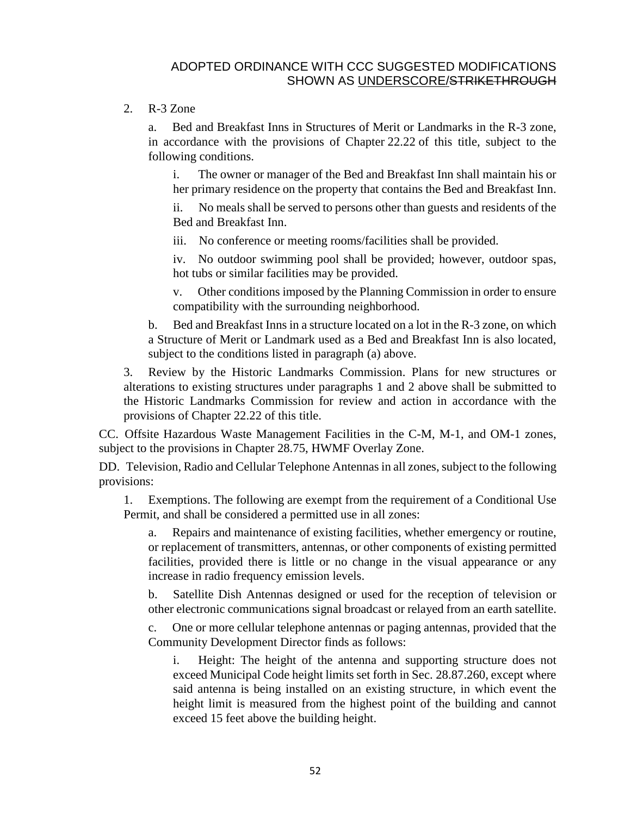#### 2. R-3 Zone

a. Bed and Breakfast Inns in Structures of Merit or Landmarks in the R-3 zone, in accordance with the provisions of Chapter [22.22](http://qcode.us/codes/santabarbara/view.php?cite=chapter_22.22&confidence=8) of this title, subject to the following conditions.

i. The owner or manager of the Bed and Breakfast Inn shall maintain his or her primary residence on the property that contains the Bed and Breakfast Inn.

ii. No meals shall be served to persons other than guests and residents of the Bed and Breakfast Inn.

iii. No conference or meeting rooms/facilities shall be provided.

iv. No outdoor swimming pool shall be provided; however, outdoor spas, hot tubs or similar facilities may be provided.

v. Other conditions imposed by the Planning Commission in order to ensure compatibility with the surrounding neighborhood.

b. Bed and Breakfast Inns in a structure located on a lot in the R-3 zone, on which a Structure of Merit or Landmark used as a Bed and Breakfast Inn is also located, subject to the conditions listed in paragraph (a) above.

3. Review by the Historic Landmarks Commission. Plans for new structures or alterations to existing structures under paragraphs 1 and 2 above shall be submitted to the Historic Landmarks Commission for review and action in accordance with the provisions of Chapter [22.22](http://qcode.us/codes/santabarbara/view.php?cite=chapter_22.22&confidence=8) of this title.

CC. Offsite Hazardous Waste Management Facilities in the C-M, M-1, and OM-1 zones, subject to the provisions in Chapter [28.75,](http://qcode.us/codes/santabarbara/view.php?cite=chapter_28.75&confidence=6) HWMF Overlay Zone.

DD. Television, Radio and Cellular Telephone Antennas in all zones, subject to the following provisions:

1. Exemptions. The following are exempt from the requirement of a Conditional Use Permit, and shall be considered a permitted use in all zones:

a. Repairs and maintenance of existing facilities, whether emergency or routine, or replacement of transmitters, antennas, or other components of existing permitted facilities, provided there is little or no change in the visual appearance or any increase in radio frequency emission levels.

b. Satellite Dish Antennas designed or used for the reception of television or other electronic communications signal broadcast or relayed from an earth satellite.

c. One or more cellular telephone antennas or paging antennas, provided that the Community Development Director finds as follows:

i. Height: The height of the antenna and supporting structure does not exceed Municipal Code height limits set forth in Sec. [28.87.260,](http://qcode.us/codes/santabarbara/view.php?cite=_28.87.260&confidence=5) except where said antenna is being installed on an existing structure, in which event the height limit is measured from the highest point of the building and cannot exceed 15 feet above the building height.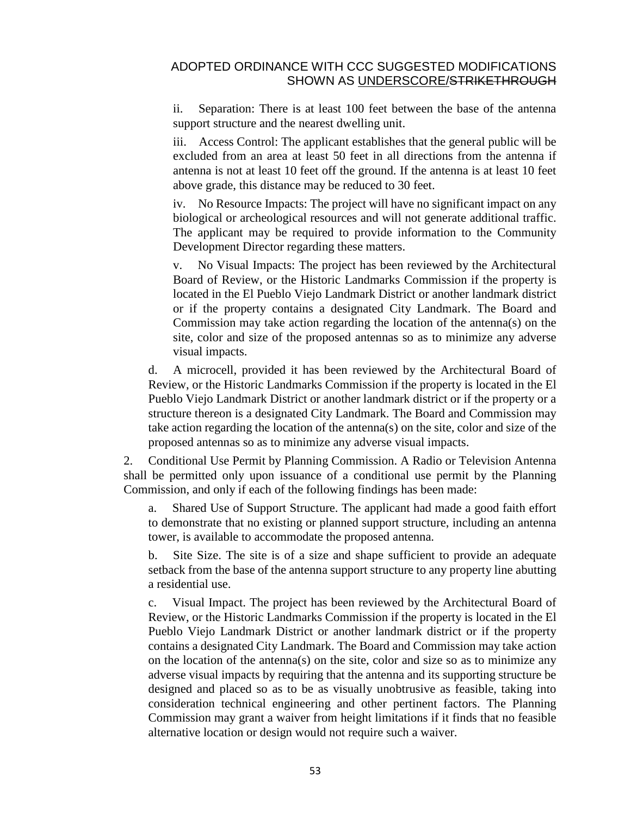ii. Separation: There is at least 100 feet between the base of the antenna support structure and the nearest dwelling unit.

iii. Access Control: The applicant establishes that the general public will be excluded from an area at least 50 feet in all directions from the antenna if antenna is not at least 10 feet off the ground. If the antenna is at least 10 feet above grade, this distance may be reduced to 30 feet.

iv. No Resource Impacts: The project will have no significant impact on any biological or archeological resources and will not generate additional traffic. The applicant may be required to provide information to the Community Development Director regarding these matters.

v. No Visual Impacts: The project has been reviewed by the Architectural Board of Review, or the Historic Landmarks Commission if the property is located in the El Pueblo Viejo Landmark District or another landmark district or if the property contains a designated City Landmark. The Board and Commission may take action regarding the location of the antenna(s) on the site, color and size of the proposed antennas so as to minimize any adverse visual impacts.

d. A microcell, provided it has been reviewed by the Architectural Board of Review, or the Historic Landmarks Commission if the property is located in the El Pueblo Viejo Landmark District or another landmark district or if the property or a structure thereon is a designated City Landmark. The Board and Commission may take action regarding the location of the antenna(s) on the site, color and size of the proposed antennas so as to minimize any adverse visual impacts.

2. Conditional Use Permit by Planning Commission. A Radio or Television Antenna shall be permitted only upon issuance of a conditional use permit by the Planning Commission, and only if each of the following findings has been made:

a. Shared Use of Support Structure. The applicant had made a good faith effort to demonstrate that no existing or planned support structure, including an antenna tower, is available to accommodate the proposed antenna.

b. Site Size. The site is of a size and shape sufficient to provide an adequate setback from the base of the antenna support structure to any property line abutting a residential use.

c. Visual Impact. The project has been reviewed by the Architectural Board of Review, or the Historic Landmarks Commission if the property is located in the El Pueblo Viejo Landmark District or another landmark district or if the property contains a designated City Landmark. The Board and Commission may take action on the location of the antenna(s) on the site, color and size so as to minimize any adverse visual impacts by requiring that the antenna and its supporting structure be designed and placed so as to be as visually unobtrusive as feasible, taking into consideration technical engineering and other pertinent factors. The Planning Commission may grant a waiver from height limitations if it finds that no feasible alternative location or design would not require such a waiver.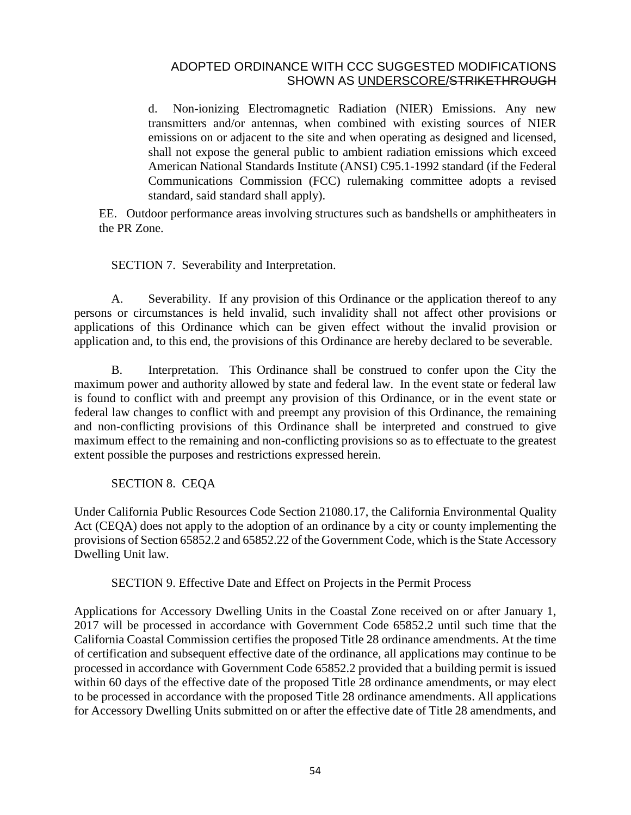d. Non-ionizing Electromagnetic Radiation (NIER) Emissions. Any new transmitters and/or antennas, when combined with existing sources of NIER emissions on or adjacent to the site and when operating as designed and licensed, shall not expose the general public to ambient radiation emissions which exceed American National Standards Institute (ANSI) C95.1-1992 standard (if the Federal Communications Commission (FCC) rulemaking committee adopts a revised standard, said standard shall apply).

EE. Outdoor performance areas involving structures such as bandshells or amphitheaters in the PR Zone.

SECTION 7. Severability and Interpretation.

A. Severability. If any provision of this Ordinance or the application thereof to any persons or circumstances is held invalid, such invalidity shall not affect other provisions or applications of this Ordinance which can be given effect without the invalid provision or application and, to this end, the provisions of this Ordinance are hereby declared to be severable.

B. Interpretation. This Ordinance shall be construed to confer upon the City the maximum power and authority allowed by state and federal law. In the event state or federal law is found to conflict with and preempt any provision of this Ordinance, or in the event state or federal law changes to conflict with and preempt any provision of this Ordinance, the remaining and non-conflicting provisions of this Ordinance shall be interpreted and construed to give maximum effect to the remaining and non-conflicting provisions so as to effectuate to the greatest extent possible the purposes and restrictions expressed herein.

SECTION 8. CEQA

Under California Public Resources Code Section 21080.17, the California Environmental Quality Act (CEQA) does not apply to the adoption of an ordinance by a city or county implementing the provisions of Section 65852.2 and 65852.22 of the Government Code, which is the State Accessory Dwelling Unit law.

SECTION 9. Effective Date and Effect on Projects in the Permit Process

Applications for Accessory Dwelling Units in the Coastal Zone received on or after January 1, 2017 will be processed in accordance with Government Code 65852.2 until such time that the California Coastal Commission certifies the proposed Title 28 ordinance amendments. At the time of certification and subsequent effective date of the ordinance, all applications may continue to be processed in accordance with Government Code 65852.2 provided that a building permit is issued within 60 days of the effective date of the proposed Title 28 ordinance amendments, or may elect to be processed in accordance with the proposed Title 28 ordinance amendments. All applications for Accessory Dwelling Units submitted on or after the effective date of Title 28 amendments, and